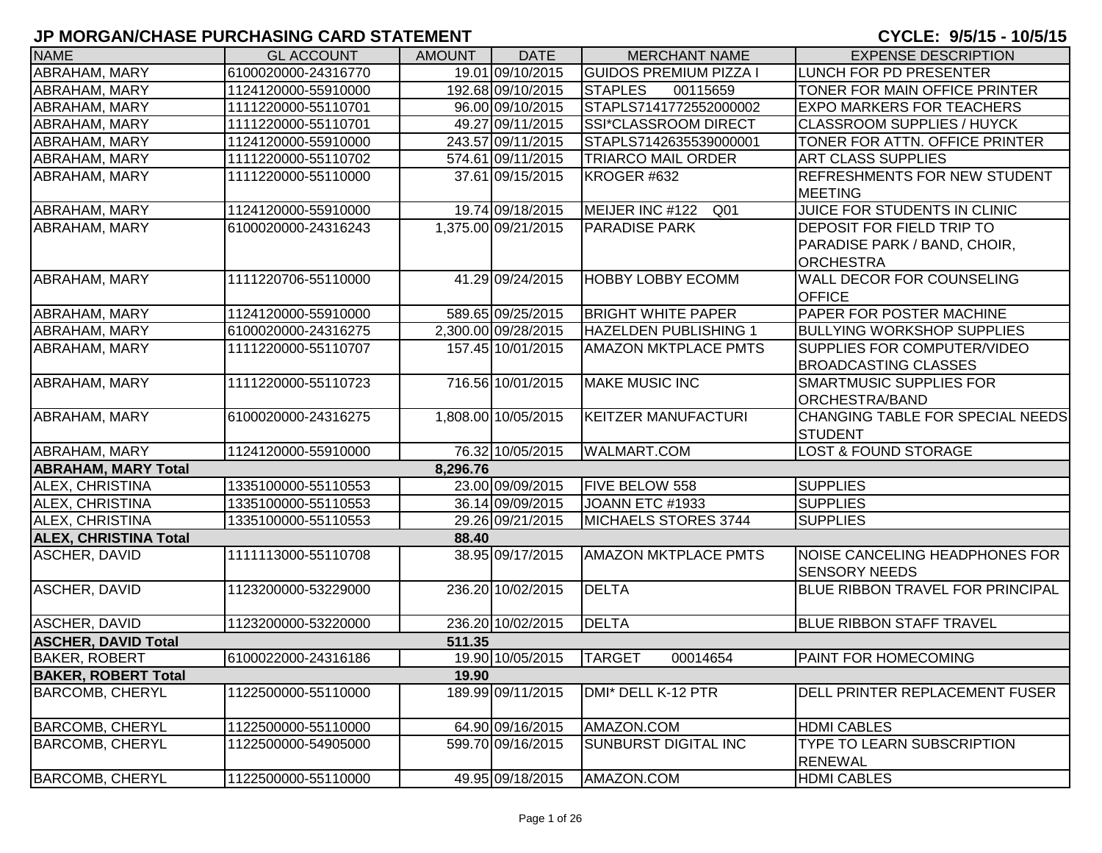| <b>NAME</b>                  | <b>GL ACCOUNT</b>   | <b>AMOUNT</b> | <b>DATE</b>         | <b>MERCHANT NAME</b>          | <b>EXPENSE DESCRIPTION</b>                                                           |
|------------------------------|---------------------|---------------|---------------------|-------------------------------|--------------------------------------------------------------------------------------|
| ABRAHAM, MARY                | 6100020000-24316770 |               | 19.01 09/10/2015    | <b>GUIDOS PREMIUM PIZZA I</b> | LUNCH FOR PD PRESENTER                                                               |
| ABRAHAM, MARY                | 1124120000-55910000 |               | 192.68 09/10/2015   | <b>STAPLES</b><br>00115659    | TONER FOR MAIN OFFICE PRINTER                                                        |
| ABRAHAM, MARY                | 1111220000-55110701 |               | 96.00 09/10/2015    | STAPLS7141772552000002        | <b>EXPO MARKERS FOR TEACHERS</b>                                                     |
| ABRAHAM, MARY                | 1111220000-55110701 |               | 49.27 09/11/2015    | SSI*CLASSROOM DIRECT          | <b>CLASSROOM SUPPLIES / HUYCK</b>                                                    |
| ABRAHAM, MARY                | 1124120000-55910000 |               | 243.57 09/11/2015   | STAPLS7142635539000001        | TONER FOR ATTN. OFFICE PRINTER                                                       |
| ABRAHAM, MARY                | 1111220000-55110702 |               | 574.61 09/11/2015   | <b>TRIARCO MAIL ORDER</b>     | <b>ART CLASS SUPPLIES</b>                                                            |
| ABRAHAM, MARY                | 1111220000-55110000 |               | 37.61 09/15/2015    | KROGER #632                   | <b>REFRESHMENTS FOR NEW STUDENT</b><br><b>MEETING</b>                                |
| ABRAHAM, MARY                | 1124120000-55910000 |               | 19.74 09/18/2015    | MEIJER INC #122<br>Q01        | JUICE FOR STUDENTS IN CLINIC                                                         |
| ABRAHAM, MARY                | 6100020000-24316243 |               | 1,375.00 09/21/2015 | <b>PARADISE PARK</b>          | <b>DEPOSIT FOR FIELD TRIP TO</b><br>PARADISE PARK / BAND, CHOIR,<br><b>ORCHESTRA</b> |
| ABRAHAM, MARY                | 1111220706-55110000 |               | 41.29 09/24/2015    | <b>HOBBY LOBBY ECOMM</b>      | WALL DECOR FOR COUNSELING<br><b>OFFICE</b>                                           |
| ABRAHAM, MARY                | 1124120000-55910000 |               | 589.65 09/25/2015   | <b>BRIGHT WHITE PAPER</b>     | PAPER FOR POSTER MACHINE                                                             |
| ABRAHAM, MARY                | 6100020000-24316275 |               | 2,300.00 09/28/2015 | <b>HAZELDEN PUBLISHING 1</b>  | <b>BULLYING WORKSHOP SUPPLIES</b>                                                    |
| ABRAHAM, MARY                | 1111220000-55110707 |               | 157.45 10/01/2015   | <b>AMAZON MKTPLACE PMTS</b>   | SUPPLIES FOR COMPUTER/VIDEO<br><b>BROADCASTING CLASSES</b>                           |
| ABRAHAM, MARY                | 1111220000-55110723 |               | 716.56 10/01/2015   | <b>MAKE MUSIC INC</b>         | <b>SMARTMUSIC SUPPLIES FOR</b><br><b>ORCHESTRA/BAND</b>                              |
| <b>ABRAHAM, MARY</b>         | 6100020000-24316275 |               | 1,808.00 10/05/2015 | <b>KEITZER MANUFACTURI</b>    | CHANGING TABLE FOR SPECIAL NEEDS<br><b>STUDENT</b>                                   |
| <b>ABRAHAM, MARY</b>         | 1124120000-55910000 |               | 76.32 10/05/2015    | <b>WALMART.COM</b>            | <b>LOST &amp; FOUND STORAGE</b>                                                      |
| <b>ABRAHAM, MARY Total</b>   |                     | 8,296.76      |                     |                               |                                                                                      |
| <b>ALEX, CHRISTINA</b>       | 1335100000-55110553 |               | 23.00 09/09/2015    | <b>FIVE BELOW 558</b>         | <b>SUPPLIES</b>                                                                      |
| <b>ALEX, CHRISTINA</b>       | 1335100000-55110553 |               | 36.14 09/09/2015    | JOANN ETC #1933               | <b>SUPPLIES</b>                                                                      |
| <b>ALEX, CHRISTINA</b>       | 1335100000-55110553 |               | 29.26 09/21/2015    | MICHAELS STORES 3744          | <b>SUPPLIES</b>                                                                      |
| <b>ALEX, CHRISTINA Total</b> |                     | 88.40         |                     |                               |                                                                                      |
| ASCHER, DAVID                | 1111113000-55110708 |               | 38.95 09/17/2015    | <b>AMAZON MKTPLACE PMTS</b>   | NOISE CANCELING HEADPHONES FOR<br><b>SENSORY NEEDS</b>                               |
| <b>ASCHER, DAVID</b>         | 1123200000-53229000 |               | 236.20 10/02/2015   | <b>DELTA</b>                  | <b>BLUE RIBBON TRAVEL FOR PRINCIPAL</b>                                              |
| ASCHER, DAVID                | 1123200000-53220000 |               | 236.20 10/02/2015   | <b>DELTA</b>                  | <b>BLUE RIBBON STAFF TRAVEL</b>                                                      |
| <b>ASCHER, DAVID Total</b>   |                     | 511.35        |                     |                               |                                                                                      |
| <b>BAKER, ROBERT</b>         | 6100022000-24316186 |               | 19.90 10/05/2015    | <b>TARGET</b><br>00014654     | <b>PAINT FOR HOMECOMING</b>                                                          |
| <b>BAKER, ROBERT Total</b>   |                     | 19.90         |                     |                               |                                                                                      |
| <b>BARCOMB, CHERYL</b>       | 1122500000-55110000 |               | 189.99 09/11/2015   | DMI* DELL K-12 PTR            | <b>IDELL PRINTER REPLACEMENT FUSER</b>                                               |
| <b>BARCOMB, CHERYL</b>       | 1122500000-55110000 |               | 64.90 09/16/2015    | AMAZON.COM                    | <b>HDMI CABLES</b>                                                                   |
| <b>BARCOMB, CHERYL</b>       | 1122500000-54905000 |               | 599.70 09/16/2015   | SUNBURST DIGITAL INC          | <b>TYPE TO LEARN SUBSCRIPTION</b><br><b>RENEWAL</b>                                  |
| <b>BARCOMB, CHERYL</b>       | 1122500000-55110000 |               | 49.95 09/18/2015    | AMAZON.COM                    | <b>HDMI CABLES</b>                                                                   |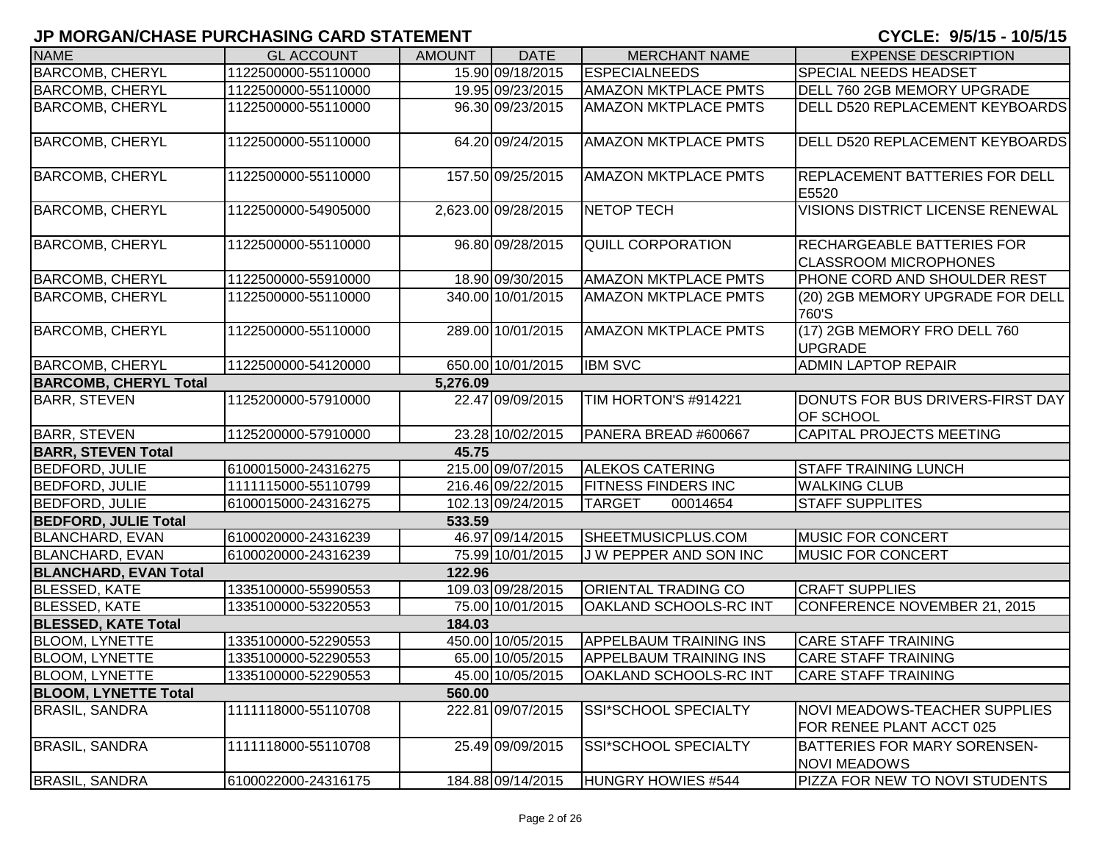| <b>NAME</b>                  | <b>GL ACCOUNT</b>   | <b>AMOUNT</b> | <b>DATE</b>         | <b>MERCHANT NAME</b>          | <b>EXPENSE DESCRIPTION</b>                                        |
|------------------------------|---------------------|---------------|---------------------|-------------------------------|-------------------------------------------------------------------|
| <b>BARCOMB, CHERYL</b>       | 1122500000-55110000 |               | 15.90 09/18/2015    | <b>ESPECIALNEEDS</b>          | SPECIAL NEEDS HEADSET                                             |
| <b>BARCOMB, CHERYL</b>       | 1122500000-55110000 |               | 19.95 09/23/2015    | <b>AMAZON MKTPLACE PMTS</b>   | DELL 760 2GB MEMORY UPGRADE                                       |
| <b>BARCOMB, CHERYL</b>       | 1122500000-55110000 |               | 96.30 09/23/2015    | <b>AMAZON MKTPLACE PMTS</b>   | DELL D520 REPLACEMENT KEYBOARDS                                   |
| <b>BARCOMB, CHERYL</b>       | 1122500000-55110000 |               | 64.20 09/24/2015    | <b>AMAZON MKTPLACE PMTS</b>   | DELL D520 REPLACEMENT KEYBOARDS                                   |
| <b>BARCOMB, CHERYL</b>       | 1122500000-55110000 |               | 157.50 09/25/2015   | <b>AMAZON MKTPLACE PMTS</b>   | <b>REPLACEMENT BATTERIES FOR DELL</b><br>E5520                    |
| <b>BARCOMB, CHERYL</b>       | 1122500000-54905000 |               | 2,623.00 09/28/2015 | <b>NETOP TECH</b>             | <b>VISIONS DISTRICT LICENSE RENEWAL</b>                           |
| <b>BARCOMB, CHERYL</b>       | 1122500000-55110000 |               | 96.80 09/28/2015    | <b>QUILL CORPORATION</b>      | <b>RECHARGEABLE BATTERIES FOR</b><br><b>CLASSROOM MICROPHONES</b> |
| <b>BARCOMB, CHERYL</b>       | 1122500000-55910000 |               | 18.90 09/30/2015    | <b>AMAZON MKTPLACE PMTS</b>   | PHONE CORD AND SHOULDER REST                                      |
| <b>BARCOMB, CHERYL</b>       | 1122500000-55110000 |               | 340.00 10/01/2015   | <b>AMAZON MKTPLACE PMTS</b>   | (20) 2GB MEMORY UPGRADE FOR DELL<br>760'S                         |
| <b>BARCOMB, CHERYL</b>       | 1122500000-55110000 |               | 289.00 10/01/2015   | <b>AMAZON MKTPLACE PMTS</b>   | (17) 2GB MEMORY FRO DELL 760<br><b>UPGRADE</b>                    |
| <b>BARCOMB, CHERYL</b>       | 1122500000-54120000 |               | 650.00 10/01/2015   | <b>IBM SVC</b>                | <b>ADMIN LAPTOP REPAIR</b>                                        |
| <b>BARCOMB, CHERYL Total</b> |                     | 5,276.09      |                     |                               |                                                                   |
| <b>BARR, STEVEN</b>          | 1125200000-57910000 |               | 22.47 09/09/2015    | TIM HORTON'S #914221          | DONUTS FOR BUS DRIVERS-FIRST DAY<br><b>OF SCHOOL</b>              |
| <b>BARR, STEVEN</b>          | 1125200000-57910000 |               | 23.28 10/02/2015    | PANERA BREAD #600667          | <b>CAPITAL PROJECTS MEETING</b>                                   |
| <b>BARR, STEVEN Total</b>    |                     | 45.75         |                     |                               |                                                                   |
| <b>BEDFORD, JULIE</b>        | 6100015000-24316275 |               | 215.00 09/07/2015   | <b>ALEKOS CATERING</b>        | <b>STAFF TRAINING LUNCH</b>                                       |
| <b>BEDFORD, JULIE</b>        | 1111115000-55110799 |               | 216.46 09/22/2015   | <b>FITNESS FINDERS INC</b>    | <b>WALKING CLUB</b>                                               |
| <b>BEDFORD, JULIE</b>        | 6100015000-24316275 |               | 102.13 09/24/2015   | <b>TARGET</b><br>00014654     | <b>STAFF SUPPLITES</b>                                            |
| <b>BEDFORD, JULIE Total</b>  |                     | 533.59        |                     |                               |                                                                   |
| <b>BLANCHARD, EVAN</b>       | 6100020000-24316239 |               | 46.97 09/14/2015    | SHEETMUSICPLUS.COM            | <b>MUSIC FOR CONCERT</b>                                          |
| <b>BLANCHARD, EVAN</b>       | 6100020000-24316239 |               | 75.99 10/01/2015    | J W PEPPER AND SON INC        | <b>MUSIC FOR CONCERT</b>                                          |
| <b>BLANCHARD, EVAN Total</b> |                     | 122.96        |                     |                               |                                                                   |
| <b>BLESSED, KATE</b>         | 1335100000-55990553 |               | 109.03 09/28/2015   | <b>ORIENTAL TRADING CO</b>    | <b>CRAFT SUPPLIES</b>                                             |
| <b>BLESSED, KATE</b>         | 1335100000-53220553 |               | 75.00 10/01/2015    | OAKLAND SCHOOLS-RC INT        | CONFERENCE NOVEMBER 21, 2015                                      |
| <b>BLESSED, KATE Total</b>   |                     | 184.03        |                     |                               |                                                                   |
| <b>BLOOM, LYNETTE</b>        | 1335100000-52290553 |               | 450.00 10/05/2015   | <b>APPELBAUM TRAINING INS</b> | <b>CARE STAFF TRAINING</b>                                        |
| <b>BLOOM, LYNETTE</b>        | 1335100000-52290553 |               | 65.00 10/05/2015    | <b>APPELBAUM TRAINING INS</b> | <b>CARE STAFF TRAINING</b>                                        |
| <b>BLOOM, LYNETTE</b>        | 1335100000-52290553 |               | 45.00 10/05/2015    | <b>OAKLAND SCHOOLS-RC INT</b> | <b>CARE STAFF TRAINING</b>                                        |
| <b>BLOOM, LYNETTE Total</b>  |                     | 560.00        |                     |                               |                                                                   |
| <b>BRASIL, SANDRA</b>        | 1111118000-55110708 |               | 222.81 09/07/2015   | SSI*SCHOOL SPECIALTY          | NOVI MEADOWS-TEACHER SUPPLIES<br>FOR RENEE PLANT ACCT 025         |
| <b>BRASIL, SANDRA</b>        | 1111118000-55110708 |               | 25.49 09/09/2015    | SSI*SCHOOL SPECIALTY          | <b>BATTERIES FOR MARY SORENSEN-</b><br><b>NOVI MEADOWS</b>        |
| <b>BRASIL, SANDRA</b>        | 6100022000-24316175 |               | 184.88 09/14/2015   | HUNGRY HOWIES #544            | PIZZA FOR NEW TO NOVI STUDENTS                                    |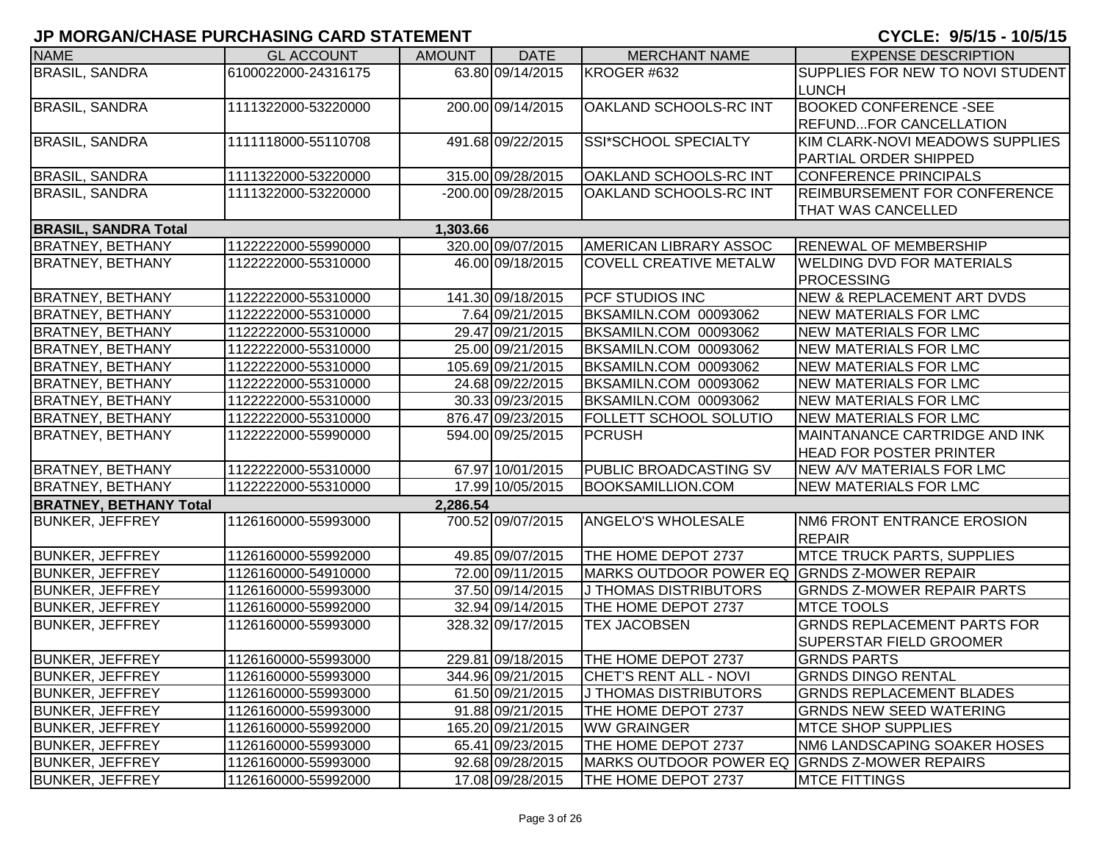| <b>NAME</b>                   | <b>GL ACCOUNT</b>   | <b>AMOUNT</b> | <b>DATE</b>        | <b>MERCHANT NAME</b>                         | <b>EXPENSE DESCRIPTION</b>                  |
|-------------------------------|---------------------|---------------|--------------------|----------------------------------------------|---------------------------------------------|
| <b>BRASIL, SANDRA</b>         | 6100022000-24316175 |               | 63.80 09/14/2015   | KROGER #632                                  | SUPPLIES FOR NEW TO NOVI STUDENT            |
|                               |                     |               |                    |                                              | <b>LUNCH</b>                                |
| <b>BRASIL, SANDRA</b>         | 1111322000-53220000 |               | 200.00 09/14/2015  | OAKLAND SCHOOLS-RC INT                       | <b>BOOKED CONFERENCE -SEE</b>               |
|                               |                     |               |                    |                                              | <b>REFUNDFOR CANCELLATION</b>               |
| <b>BRASIL, SANDRA</b>         | 1111118000-55110708 |               | 491.68 09/22/2015  | SSI*SCHOOL SPECIALTY                         | KIM CLARK-NOVI MEADOWS SUPPLIES             |
|                               |                     |               |                    |                                              | PARTIAL ORDER SHIPPED                       |
| <b>BRASIL, SANDRA</b>         | 1111322000-53220000 |               | 315.00 09/28/2015  | OAKLAND SCHOOLS-RC INT                       | CONFERENCE PRINCIPALS                       |
| <b>BRASIL, SANDRA</b>         | 1111322000-53220000 |               | -200.00 09/28/2015 | OAKLAND SCHOOLS-RC INT                       | <b>REIMBURSEMENT FOR CONFERENCE</b>         |
|                               |                     |               |                    |                                              | THAT WAS CANCELLED                          |
| <b>BRASIL, SANDRA Total</b>   |                     | 1,303.66      |                    |                                              |                                             |
| <b>BRATNEY, BETHANY</b>       | 1122222000-55990000 |               | 320.00 09/07/2015  | <b>AMERICAN LIBRARY ASSOC</b>                | <b>RENEWAL OF MEMBERSHIP</b>                |
| <b>BRATNEY, BETHANY</b>       | 1122222000-55310000 |               | 46.00 09/18/2015   | <b>COVELL CREATIVE METALW</b>                | <b>WELDING DVD FOR MATERIALS</b>            |
|                               |                     |               |                    |                                              | <b>PROCESSING</b>                           |
| <b>BRATNEY, BETHANY</b>       | 1122222000-55310000 |               | 141.30 09/18/2015  | <b>PCF STUDIOS INC</b>                       | <b>NEW &amp; REPLACEMENT ART DVDS</b>       |
| <b>BRATNEY, BETHANY</b>       | 1122222000-55310000 |               | 7.64 09/21/2015    | BKSAMILN.COM 00093062                        | <b>NEW MATERIALS FOR LMC</b>                |
| <b>BRATNEY, BETHANY</b>       | 1122222000-55310000 |               | 29.47 09/21/2015   | BKSAMILN.COM 00093062                        | <b>NEW MATERIALS FOR LMC</b>                |
| <b>BRATNEY, BETHANY</b>       | 1122222000-55310000 |               | 25.00 09/21/2015   | BKSAMILN.COM 00093062                        | <b>NEW MATERIALS FOR LMC</b>                |
| <b>BRATNEY, BETHANY</b>       | 1122222000-55310000 |               | 105.69 09/21/2015  | BKSAMILN.COM 00093062                        | <b>NEW MATERIALS FOR LMC</b>                |
| <b>BRATNEY, BETHANY</b>       | 1122222000-55310000 |               | 24.68 09/22/2015   | BKSAMILN.COM 00093062                        | <b>NEW MATERIALS FOR LMC</b>                |
| <b>BRATNEY, BETHANY</b>       | 1122222000-55310000 |               | 30.33 09/23/2015   | BKSAMILN.COM 00093062                        | <b>NEW MATERIALS FOR LMC</b>                |
| <b>BRATNEY, BETHANY</b>       | 1122222000-55310000 |               | 876.47 09/23/2015  | <b>FOLLETT SCHOOL SOLUTIO</b>                | <b>NEW MATERIALS FOR LMC</b>                |
| <b>BRATNEY, BETHANY</b>       | 1122222000-55990000 |               | 594.00 09/25/2015  | <b>PCRUSH</b>                                | MAINTANANCE CARTRIDGE AND INK               |
|                               |                     |               |                    |                                              | <b>HEAD FOR POSTER PRINTER</b>              |
| <b>BRATNEY, BETHANY</b>       | 1122222000-55310000 |               | 67.97 10/01/2015   | <b>PUBLIC BROADCASTING SV</b>                | <b>NEW A/V MATERIALS FOR LMC</b>            |
| <b>BRATNEY, BETHANY</b>       | 1122222000-55310000 |               | 17.99 10/05/2015   | <b>BOOKSAMILLION.COM</b>                     | <b>NEW MATERIALS FOR LMC</b>                |
| <b>BRATNEY, BETHANY Total</b> |                     | 2,286.54      |                    |                                              |                                             |
| <b>BUNKER, JEFFREY</b>        | 1126160000-55993000 |               | 700.52 09/07/2015  | <b>ANGELO'S WHOLESALE</b>                    | NM6 FRONT ENTRANCE EROSION<br><b>REPAIR</b> |
| <b>BUNKER, JEFFREY</b>        | 1126160000-55992000 |               | 49.85 09/07/2015   | THE HOME DEPOT 2737                          | <b>MTCE TRUCK PARTS, SUPPLIES</b>           |
| <b>BUNKER, JEFFREY</b>        | 1126160000-54910000 |               | 72.00 09/11/2015   | MARKS OUTDOOR POWER EQ                       | <b>GRNDS Z-MOWER REPAIR</b>                 |
| <b>BUNKER, JEFFREY</b>        | 1126160000-55993000 |               | 37.50 09/14/2015   | J THOMAS DISTRIBUTORS                        | <b>GRNDS Z-MOWER REPAIR PARTS</b>           |
| <b>BUNKER, JEFFREY</b>        | 1126160000-55992000 |               | 32.94 09/14/2015   | THE HOME DEPOT 2737                          | <b>MTCE TOOLS</b>                           |
| <b>BUNKER, JEFFREY</b>        | 1126160000-55993000 |               | 328.32 09/17/2015  | <b>TEX JACOBSEN</b>                          | <b>GRNDS REPLACEMENT PARTS FOR</b>          |
|                               |                     |               |                    |                                              | <b>SUPERSTAR FIELD GROOMER</b>              |
| <b>BUNKER, JEFFREY</b>        | 1126160000-55993000 |               | 229.81 09/18/2015  | <b>THE HOME DEPOT 2737</b>                   | <b>GRNDS PARTS</b>                          |
| <b>BUNKER, JEFFREY</b>        | 1126160000-55993000 |               | 344.96 09/21/2015  | <b>CHET'S RENT ALL - NOVI</b>                | <b>GRNDS DINGO RENTAL</b>                   |
| <b>BUNKER, JEFFREY</b>        | 1126160000-55993000 |               | 61.50 09/21/2015   | J THOMAS DISTRIBUTORS                        | <b>GRNDS REPLACEMENT BLADES</b>             |
| <b>BUNKER, JEFFREY</b>        | 1126160000-55993000 |               | 91.88 09/21/2015   | THE HOME DEPOT 2737                          | <b>GRNDS NEW SEED WATERING</b>              |
| <b>BUNKER, JEFFREY</b>        | 1126160000-55992000 |               | 165.20 09/21/2015  | <b>WW GRAINGER</b>                           | <b>MTCE SHOP SUPPLIES</b>                   |
| <b>BUNKER, JEFFREY</b>        | 1126160000-55993000 |               | 65.41 09/23/2015   | THE HOME DEPOT 2737                          | <b>NM6 LANDSCAPING SOAKER HOSES</b>         |
| <b>BUNKER, JEFFREY</b>        | 1126160000-55993000 |               | 92.68 09/28/2015   | MARKS OUTDOOR POWER EQ GRNDS Z-MOWER REPAIRS |                                             |
| <b>BUNKER, JEFFREY</b>        | 1126160000-55992000 |               | 17.08 09/28/2015   | THE HOME DEPOT 2737                          | <b>MTCE FITTINGS</b>                        |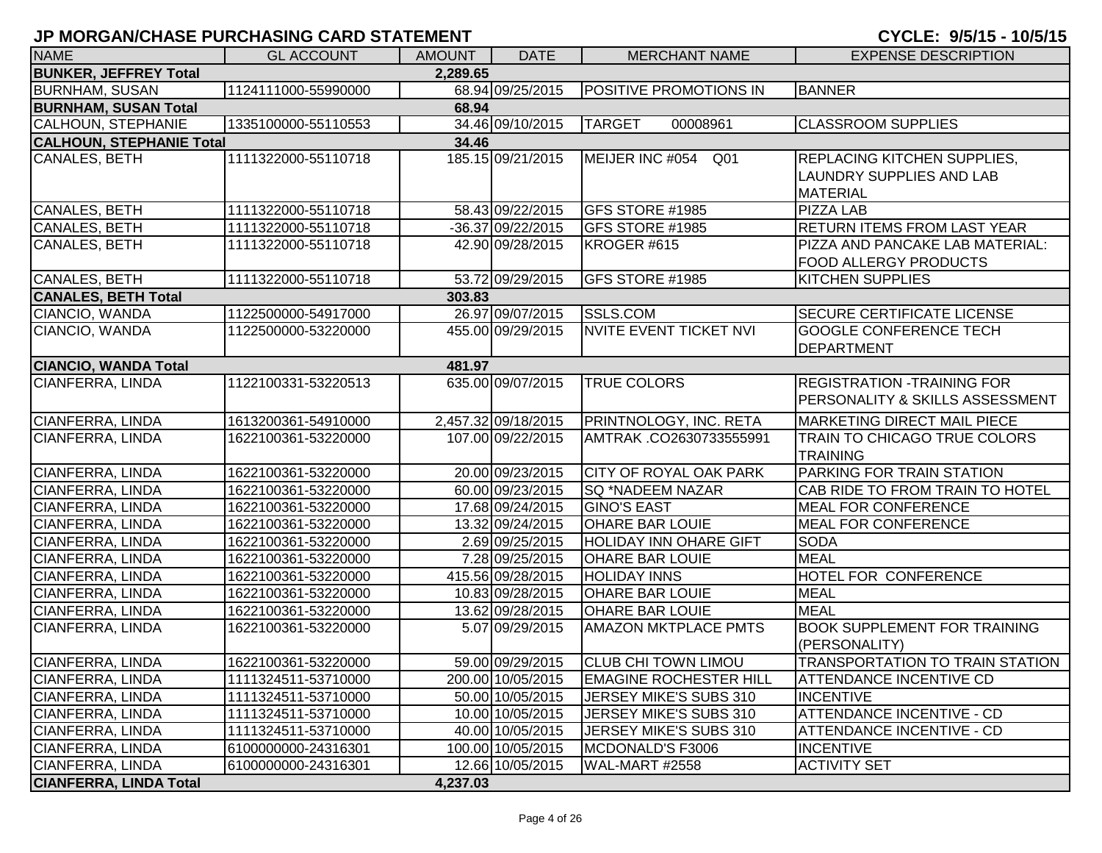| CYCLE: 9/5/15 - |  | 10/5/7 |
|-----------------|--|--------|
|-----------------|--|--------|

| <b>NAME</b>                     | <b>GL ACCOUNT</b>   | <b>AMOUNT</b> | <b>DATE</b>         | <b>MERCHANT NAME</b>          | <b>EXPENSE DESCRIPTION</b>          |
|---------------------------------|---------------------|---------------|---------------------|-------------------------------|-------------------------------------|
| <b>BUNKER, JEFFREY Total</b>    |                     | 2,289.65      |                     |                               |                                     |
| <b>BURNHAM, SUSAN</b>           | 1124111000-55990000 |               | 68.94 09/25/2015    | <b>POSITIVE PROMOTIONS IN</b> | <b>BANNER</b>                       |
| <b>BURNHAM, SUSAN Total</b>     |                     | 68.94         |                     |                               |                                     |
| CALHOUN, STEPHANIE              | 1335100000-55110553 |               | 34.46 09/10/2015    | <b>TARGET</b><br>00008961     | <b>CLASSROOM SUPPLIES</b>           |
| <b>CALHOUN, STEPHANIE Total</b> |                     | 34.46         |                     |                               |                                     |
| CANALES, BETH                   | 1111322000-55110718 |               | 185.15 09/21/2015   | MEIJER INC #054 Q01           | <b>REPLACING KITCHEN SUPPLIES,</b>  |
|                                 |                     |               |                     |                               | LAUNDRY SUPPLIES AND LAB            |
|                                 |                     |               |                     |                               | <b>MATERIAL</b>                     |
| CANALES, BETH                   | 1111322000-55110718 |               | 58.43 09/22/2015    | GFS STORE #1985               | <b>PIZZA LAB</b>                    |
| CANALES, BETH                   | 1111322000-55110718 |               | -36.37 09/22/2015   | GFS STORE #1985               | <b>RETURN ITEMS FROM LAST YEAR</b>  |
| CANALES, BETH                   | 1111322000-55110718 |               | 42.90 09/28/2015    | KROGER #615                   | PIZZA AND PANCAKE LAB MATERIAL:     |
|                                 |                     |               |                     |                               | <b>FOOD ALLERGY PRODUCTS</b>        |
| CANALES, BETH                   | 1111322000-55110718 |               | 53.72 09/29/2015    | GFS STORE #1985               | <b>KITCHEN SUPPLIES</b>             |
| <b>CANALES, BETH Total</b>      |                     | 303.83        |                     |                               |                                     |
| CIANCIO, WANDA                  | 1122500000-54917000 |               | 26.97 09/07/2015    | <b>SSLS.COM</b>               | <b>SECURE CERTIFICATE LICENSE</b>   |
| CIANCIO, WANDA                  | 1122500000-53220000 |               | 455.00 09/29/2015   | NVITE EVENT TICKET NVI        | <b>GOOGLE CONFERENCE TECH</b>       |
|                                 |                     |               |                     |                               | <b>DEPARTMENT</b>                   |
| <b>CIANCIO, WANDA Total</b>     |                     | 481.97        |                     |                               |                                     |
| CIANFERRA, LINDA                | 1122100331-53220513 |               | 635.00 09/07/2015   | <b>TRUE COLORS</b>            | <b>REGISTRATION -TRAINING FOR</b>   |
|                                 |                     |               |                     |                               | PERSONALITY & SKILLS ASSESSMENT     |
| <b>CIANFERRA, LINDA</b>         | 1613200361-54910000 |               | 2,457.32 09/18/2015 | PRINTNOLOGY, INC. RETA        | <b>MARKETING DIRECT MAIL PIECE</b>  |
| CIANFERRA, LINDA                | 1622100361-53220000 |               | 107.00 09/22/2015   | AMTRAK .CO2630733555991       | <b>TRAIN TO CHICAGO TRUE COLORS</b> |
|                                 |                     |               |                     |                               | <b>TRAINING</b>                     |
| CIANFERRA, LINDA                | 1622100361-53220000 |               | 20.00 09/23/2015    | <b>CITY OF ROYAL OAK PARK</b> | PARKING FOR TRAIN STATION           |
| CIANFERRA, LINDA                | 1622100361-53220000 |               | 60.00 09/23/2015    | <b>SQ *NADEEM NAZAR</b>       | CAB RIDE TO FROM TRAIN TO HOTEL     |
| CIANFERRA, LINDA                | 1622100361-53220000 |               | 17.68 09/24/2015    | <b>GINO'S EAST</b>            | <b>MEAL FOR CONFERENCE</b>          |
| CIANFERRA, LINDA                | 1622100361-53220000 |               | 13.32 09/24/2015    | <b>OHARE BAR LOUIE</b>        | <b>MEAL FOR CONFERENCE</b>          |
| CIANFERRA, LINDA                | 1622100361-53220000 |               | 2.69 09/25/2015     | <b>HOLIDAY INN OHARE GIFT</b> | <b>SODA</b>                         |
| CIANFERRA, LINDA                | 1622100361-53220000 |               | 7.28 09/25/2015     | <b>OHARE BAR LOUIE</b>        | <b>MEAL</b>                         |
| CIANFERRA, LINDA                | 1622100361-53220000 |               | 415.56 09/28/2015   | <b>HOLIDAY INNS</b>           | HOTEL FOR CONFERENCE                |
| CIANFERRA, LINDA                | 1622100361-53220000 |               | 10.83 09/28/2015    | <b>OHARE BAR LOUIE</b>        | <b>MEAL</b>                         |
| CIANFERRA, LINDA                | 1622100361-53220000 |               | 13.62 09/28/2015    | <b>OHARE BAR LOUIE</b>        | <b>MEAL</b>                         |
| CIANFERRA, LINDA                | 1622100361-53220000 |               | 5.07 09/29/2015     | <b>AMAZON MKTPLACE PMTS</b>   | <b>BOOK SUPPLEMENT FOR TRAINING</b> |
|                                 |                     |               |                     |                               | (PERSONALITY)                       |
| CIANFERRA, LINDA                | 1622100361-53220000 |               | 59.00 09/29/2015    | <b>CLUB CHI TOWN LIMOU</b>    | TRANSPORTATION TO TRAIN STATION     |
| CIANFERRA, LINDA                | 1111324511-53710000 |               | 200.00 10/05/2015   | <b>EMAGINE ROCHESTER HILL</b> | <b>ATTENDANCE INCENTIVE CD</b>      |
| CIANFERRA, LINDA                | 1111324511-53710000 |               | 50.00 10/05/2015    | JERSEY MIKE'S SUBS 310        | <b>INCENTIVE</b>                    |
| CIANFERRA, LINDA                | 1111324511-53710000 |               | 10.00 10/05/2015    | JERSEY MIKE'S SUBS 310        | <b>ATTENDANCE INCENTIVE - CD</b>    |
| CIANFERRA, LINDA                | 1111324511-53710000 |               | 40.00 10/05/2015    | JERSEY MIKE'S SUBS 310        | <b>ATTENDANCE INCENTIVE - CD</b>    |
| CIANFERRA, LINDA                | 6100000000-24316301 |               | 100.00 10/05/2015   | MCDONALD'S F3006              | <b>INCENTIVE</b>                    |
| CIANFERRA, LINDA                | 6100000000-24316301 |               | 12.66 10/05/2015    | WAL-MART #2558                | <b>ACTIVITY SET</b>                 |
| <b>CIANFERRA, LINDA Total</b>   |                     | 4,237.03      |                     |                               |                                     |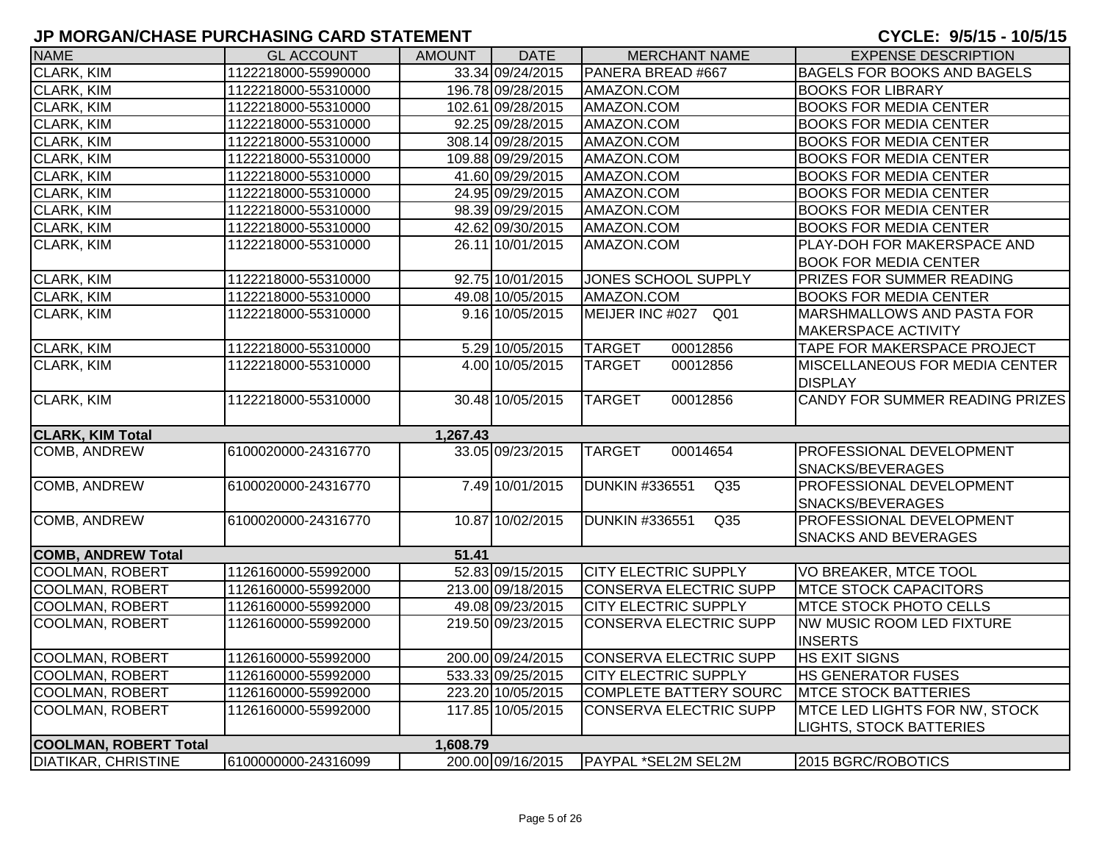| <b>NAME</b>                  | <b>GL ACCOUNT</b>   | <b>AMOUNT</b> | <b>DATE</b>       | <b>MERCHANT NAME</b>                     | <b>EXPENSE DESCRIPTION</b>         |
|------------------------------|---------------------|---------------|-------------------|------------------------------------------|------------------------------------|
| CLARK, KIM                   | 1122218000-55990000 |               | 33.34 09/24/2015  | PANERA BREAD #667                        | <b>BAGELS FOR BOOKS AND BAGELS</b> |
| CLARK, KIM                   | 1122218000-55310000 |               | 196.78 09/28/2015 | AMAZON.COM                               | <b>BOOKS FOR LIBRARY</b>           |
| CLARK, KIM                   | 1122218000-55310000 |               | 102.61 09/28/2015 | AMAZON.COM                               | <b>BOOKS FOR MEDIA CENTER</b>      |
| CLARK, KIM                   | 1122218000-55310000 |               | 92.25 09/28/2015  | AMAZON.COM                               | <b>BOOKS FOR MEDIA CENTER</b>      |
| CLARK, KIM                   | 1122218000-55310000 |               | 308.14 09/28/2015 | AMAZON.COM                               | <b>BOOKS FOR MEDIA CENTER</b>      |
| CLARK, KIM                   | 1122218000-55310000 |               | 109.88 09/29/2015 | AMAZON.COM                               | <b>BOOKS FOR MEDIA CENTER</b>      |
| CLARK, KIM                   | 1122218000-55310000 |               | 41.60 09/29/2015  | AMAZON.COM                               | <b>BOOKS FOR MEDIA CENTER</b>      |
| CLARK, KIM                   | 1122218000-55310000 |               | 24.95 09/29/2015  | AMAZON.COM                               | <b>BOOKS FOR MEDIA CENTER</b>      |
| CLARK, KIM                   | 1122218000-55310000 |               | 98.39 09/29/2015  | AMAZON.COM                               | <b>BOOKS FOR MEDIA CENTER</b>      |
| CLARK, KIM                   | 1122218000-55310000 |               | 42.62 09/30/2015  | AMAZON.COM                               | <b>BOOKS FOR MEDIA CENTER</b>      |
| <b>CLARK, KIM</b>            | 1122218000-55310000 |               | 26.11 10/01/2015  | AMAZON.COM                               | PLAY-DOH FOR MAKERSPACE AND        |
|                              |                     |               |                   |                                          | <b>BOOK FOR MEDIA CENTER</b>       |
| <b>CLARK, KIM</b>            | 1122218000-55310000 |               | 92.75 10/01/2015  | <b>JONES SCHOOL SUPPLY</b>               | PRIZES FOR SUMMER READING          |
| CLARK, KIM                   | 1122218000-55310000 |               | 49.08 10/05/2015  | AMAZON.COM                               | <b>BOOKS FOR MEDIA CENTER</b>      |
| <b>CLARK, KIM</b>            | 1122218000-55310000 |               | 9.16 10/05/2015   | MEIJER INC #027 Q01                      | <b>MARSHMALLOWS AND PASTA FOR</b>  |
|                              |                     |               |                   |                                          | <b>MAKERSPACE ACTIVITY</b>         |
| <b>CLARK, KIM</b>            | 1122218000-55310000 |               | 5.29 10/05/2015   | <b>TARGET</b><br>00012856                | TAPE FOR MAKERSPACE PROJECT        |
| CLARK, KIM                   | 1122218000-55310000 |               | 4.00 10/05/2015   | <b>TARGET</b><br>00012856                | MISCELLANEOUS FOR MEDIA CENTER     |
|                              |                     |               |                   |                                          | <b>DISPLAY</b>                     |
| <b>CLARK, KIM</b>            | 1122218000-55310000 |               | 30.48 10/05/2015  | 00012856<br><b>TARGET</b>                | CANDY FOR SUMMER READING PRIZES    |
|                              |                     |               |                   |                                          |                                    |
| <b>CLARK, KIM Total</b>      |                     | 1,267.43      |                   |                                          |                                    |
| COMB, ANDREW                 | 6100020000-24316770 |               | 33.05 09/23/2015  | <b>TARGET</b><br>00014654                | PROFESSIONAL DEVELOPMENT           |
|                              |                     |               |                   |                                          | SNACKS/BEVERAGES                   |
| <b>COMB, ANDREW</b>          | 6100020000-24316770 |               | 7.49 10/01/2015   | <b>DUNKIN #336551</b><br>Q <sub>35</sub> | PROFESSIONAL DEVELOPMENT           |
|                              |                     |               |                   |                                          | SNACKS/BEVERAGES                   |
| <b>COMB, ANDREW</b>          | 6100020000-24316770 |               | 10.87 10/02/2015  | DUNKIN #336551<br>Q <sub>35</sub>        | PROFESSIONAL DEVELOPMENT           |
|                              |                     |               |                   |                                          | SNACKS AND BEVERAGES               |
| <b>COMB, ANDREW Total</b>    |                     | 51.41         |                   |                                          |                                    |
| <b>COOLMAN, ROBERT</b>       | 1126160000-55992000 |               | 52.83 09/15/2015  | <b>CITY ELECTRIC SUPPLY</b>              | VO BREAKER, MTCE TOOL              |
| <b>COOLMAN, ROBERT</b>       | 1126160000-55992000 |               | 213.00 09/18/2015 | <b>CONSERVA ELECTRIC SUPP</b>            | <b>MTCE STOCK CAPACITORS</b>       |
| <b>COOLMAN, ROBERT</b>       | 1126160000-55992000 |               | 49.08 09/23/2015  | CITY ELECTRIC SUPPLY                     | <b>MTCE STOCK PHOTO CELLS</b>      |
| <b>COOLMAN, ROBERT</b>       | 1126160000-55992000 |               | 219.50 09/23/2015 | <b>CONSERVA ELECTRIC SUPP</b>            | NW MUSIC ROOM LED FIXTURE          |
|                              |                     |               |                   |                                          | <b>INSERTS</b>                     |
| <b>COOLMAN, ROBERT</b>       | 1126160000-55992000 |               | 200.00 09/24/2015 | <b>CONSERVA ELECTRIC SUPP</b>            | <b>HS EXIT SIGNS</b>               |
| <b>COOLMAN, ROBERT</b>       | 1126160000-55992000 |               | 533.33 09/25/2015 | <b>CITY ELECTRIC SUPPLY</b>              | <b>HS GENERATOR FUSES</b>          |
| <b>COOLMAN, ROBERT</b>       | 1126160000-55992000 |               | 223.20 10/05/2015 | <b>COMPLETE BATTERY SOURC</b>            | <b>MTCE STOCK BATTERIES</b>        |
| <b>COOLMAN, ROBERT</b>       | 1126160000-55992000 |               | 117.85 10/05/2015 | CONSERVA ELECTRIC SUPP                   | MTCE LED LIGHTS FOR NW, STOCK      |
|                              |                     |               |                   |                                          | <b>LIGHTS, STOCK BATTERIES</b>     |
| <b>COOLMAN, ROBERT Total</b> |                     | 1,608.79      |                   |                                          |                                    |
| <b>DIATIKAR, CHRISTINE</b>   | 6100000000-24316099 |               | 200.00 09/16/2015 | PAYPAL *SEL2M SEL2M                      | 2015 BGRC/ROBOTICS                 |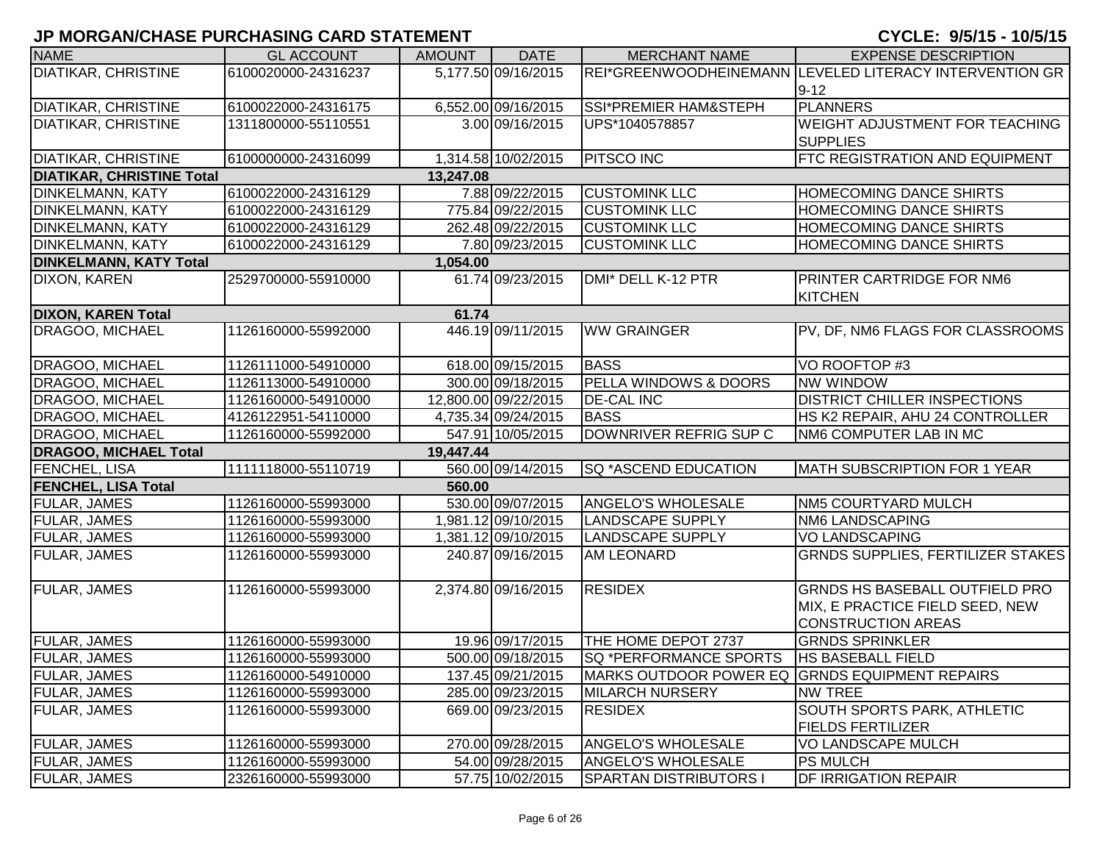| <b>NAME</b>                      | <b>GL ACCOUNT</b>   | <b>AMOUNT</b> | <b>DATE</b>          | <b>MERCHANT NAME</b>                           | <b>EXPENSE DESCRIPTION</b>                              |
|----------------------------------|---------------------|---------------|----------------------|------------------------------------------------|---------------------------------------------------------|
| DIATIKAR, CHRISTINE              | 6100020000-24316237 |               | 5,177.50 09/16/2015  |                                                | REI*GREENWOODHEINEMANN LEVELED LITERACY INTERVENTION GR |
|                                  |                     |               |                      |                                                | $9 - 12$                                                |
| <b>DIATIKAR, CHRISTINE</b>       | 6100022000-24316175 |               | 6,552.00 09/16/2015  | SSI*PREMIER HAM&STEPH                          | <b>PLANNERS</b>                                         |
| <b>DIATIKAR, CHRISTINE</b>       | 1311800000-55110551 |               | 3.00 09/16/2015      | UPS*1040578857                                 | WEIGHT ADJUSTMENT FOR TEACHING                          |
|                                  |                     |               |                      |                                                | <b>SUPPLIES</b>                                         |
| <b>DIATIKAR, CHRISTINE</b>       | 6100000000-24316099 |               | 1,314.58 10/02/2015  | <b>PITSCO INC</b>                              | FTC REGISTRATION AND EQUIPMENT                          |
| <b>DIATIKAR, CHRISTINE Total</b> |                     | 13,247.08     |                      |                                                |                                                         |
| DINKELMANN, KATY                 | 6100022000-24316129 |               | 7.88 09/22/2015      | <b>CUSTOMINK LLC</b>                           | HOMECOMING DANCE SHIRTS                                 |
| DINKELMANN, KATY                 | 6100022000-24316129 |               | 775.84 09/22/2015    | <b>CUSTOMINK LLC</b>                           | HOMECOMING DANCE SHIRTS                                 |
| DINKELMANN, KATY                 | 6100022000-24316129 |               | 262.48 09/22/2015    | <b>CUSTOMINK LLC</b>                           | HOMECOMING DANCE SHIRTS                                 |
| DINKELMANN, KATY                 | 6100022000-24316129 |               | 7.80 09/23/2015      | <b>CUSTOMINK LLC</b>                           | HOMECOMING DANCE SHIRTS                                 |
| <b>DINKELMANN, KATY Total</b>    |                     | 1,054.00      |                      |                                                |                                                         |
| DIXON, KAREN                     | 2529700000-55910000 |               | 61.74 09/23/2015     | DMI* DELL K-12 PTR                             | PRINTER CARTRIDGE FOR NM6                               |
|                                  |                     |               |                      |                                                | <b>KITCHEN</b>                                          |
| <b>DIXON, KAREN Total</b>        |                     | 61.74         |                      |                                                |                                                         |
| DRAGOO, MICHAEL                  | 1126160000-55992000 |               | 446.19 09/11/2015    | <b>WW GRAINGER</b>                             | PV, DF, NM6 FLAGS FOR CLASSROOMS                        |
|                                  |                     |               |                      |                                                |                                                         |
| DRAGOO, MICHAEL                  | 1126111000-54910000 |               | 618.00 09/15/2015    | <b>BASS</b>                                    | VO ROOFTOP #3                                           |
| DRAGOO, MICHAEL                  | 1126113000-54910000 |               | 300.00 09/18/2015    | PELLA WINDOWS & DOORS                          | <b>NW WINDOW</b>                                        |
| DRAGOO, MICHAEL                  | 1126160000-54910000 |               | 12,800.00 09/22/2015 | <b>DE-CAL INC</b>                              | DISTRICT CHILLER INSPECTIONS                            |
| DRAGOO, MICHAEL                  | 4126122951-54110000 |               | 4,735.34 09/24/2015  | <b>BASS</b>                                    | HS K2 REPAIR, AHU 24 CONTROLLER                         |
| DRAGOO, MICHAEL                  | 1126160000-55992000 |               | 547.91 10/05/2015    | DOWNRIVER REFRIG SUP C                         | NM6 COMPUTER LAB IN MC                                  |
| <b>DRAGOO, MICHAEL Total</b>     |                     | 19,447.44     |                      |                                                |                                                         |
| FENCHEL, LISA                    | 1111118000-55110719 |               | 560.00 09/14/2015    | <b>SQ *ASCEND EDUCATION</b>                    | MATH SUBSCRIPTION FOR 1 YEAR                            |
| <b>FENCHEL, LISA Total</b>       |                     | 560.00        |                      |                                                |                                                         |
| FULAR, JAMES                     | 1126160000-55993000 |               | 530.00 09/07/2015    | <b>ANGELO'S WHOLESALE</b>                      | NM5 COURTYARD MULCH                                     |
| <b>FULAR, JAMES</b>              | 1126160000-55993000 |               | 1,981.12 09/10/2015  | <b>LANDSCAPE SUPPLY</b>                        | NM6 LANDSCAPING                                         |
| FULAR, JAMES                     | 1126160000-55993000 |               | 1,381.12 09/10/2015  | <b>LANDSCAPE SUPPLY</b>                        | <b>VO LANDSCAPING</b>                                   |
| FULAR, JAMES                     | 1126160000-55993000 |               | 240.87 09/16/2015    | <b>AM LEONARD</b>                              | <b>GRNDS SUPPLIES, FERTILIZER STAKES</b>                |
|                                  |                     |               |                      |                                                |                                                         |
| FULAR, JAMES                     | 1126160000-55993000 |               | 2,374.80 09/16/2015  | <b>RESIDEX</b>                                 | GRNDS HS BASEBALL OUTFIELD PRO                          |
|                                  |                     |               |                      |                                                | MIX, E PRACTICE FIELD SEED, NEW                         |
|                                  |                     |               |                      |                                                | <b>CONSTRUCTION AREAS</b>                               |
| <b>FULAR, JAMES</b>              | 1126160000-55993000 |               | 19.96 09/17/2015     | THE HOME DEPOT 2737                            | <b>GRNDS SPRINKLER</b>                                  |
| <b>FULAR, JAMES</b>              | 1126160000-55993000 |               | 500.00 09/18/2015    | <b>SQ *PERFORMANCE SPORTS</b>                  | <b>HS BASEBALL FIELD</b>                                |
| <b>FULAR, JAMES</b>              | 1126160000-54910000 |               | 137.45 09/21/2015    | MARKS OUTDOOR POWER EQ GRNDS EQUIPMENT REPAIRS |                                                         |
| <b>FULAR, JAMES</b>              | 1126160000-55993000 |               | 285.00 09/23/2015    | <b>MILARCH NURSERY</b>                         | <b>NW TREE</b>                                          |
| <b>FULAR, JAMES</b>              | 1126160000-55993000 |               | 669.00 09/23/2015    | <b>RESIDEX</b>                                 | SOUTH SPORTS PARK, ATHLETIC                             |
|                                  |                     |               |                      |                                                | <b>FIELDS FERTILIZER</b>                                |
| <b>FULAR, JAMES</b>              | 1126160000-55993000 |               | 270.00 09/28/2015    | <b>ANGELO'S WHOLESALE</b>                      | VO LANDSCAPE MULCH                                      |
| <b>FULAR, JAMES</b>              | 1126160000-55993000 |               | 54.00 09/28/2015     | ANGELO'S WHOLESALE                             | <b>PS MULCH</b>                                         |
| <b>FULAR, JAMES</b>              | 2326160000-55993000 |               | 57.75 10/02/2015     | <b>SPARTAN DISTRIBUTORS I</b>                  | <b>DF IRRIGATION REPAIR</b>                             |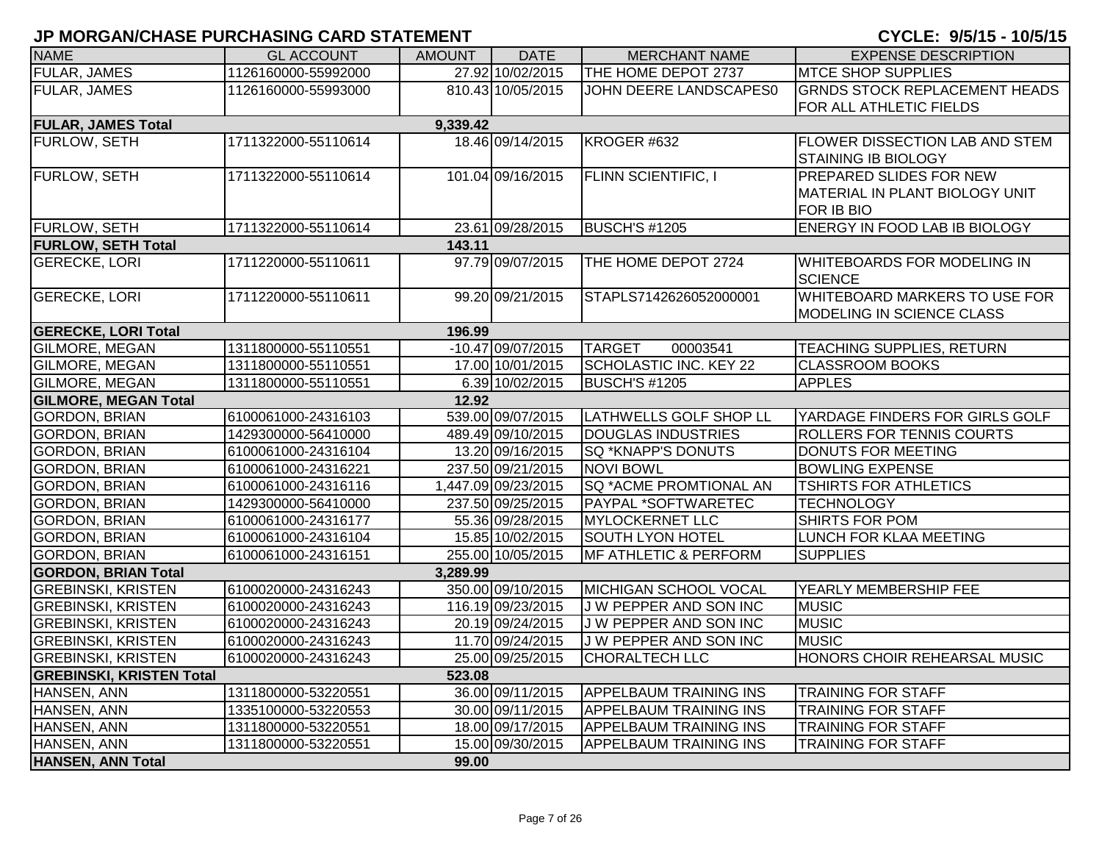| <b>NAME</b>                     | <b>GL ACCOUNT</b>   | <b>AMOUNT</b> | <b>DATE</b>         | <b>MERCHANT NAME</b>             | <b>EXPENSE DESCRIPTION</b>                           |
|---------------------------------|---------------------|---------------|---------------------|----------------------------------|------------------------------------------------------|
| <b>FULAR, JAMES</b>             | 1126160000-55992000 |               | 27.92 10/02/2015    | THE HOME DEPOT 2737              | <b>MTCE SHOP SUPPLIES</b>                            |
| <b>FULAR, JAMES</b>             | 1126160000-55993000 |               | 810.43 10/05/2015   | JOHN DEERE LANDSCAPES0           | <b>GRNDS STOCK REPLACEMENT HEADS</b>                 |
|                                 |                     |               |                     |                                  | FOR ALL ATHLETIC FIELDS                              |
| <b>FULAR, JAMES Total</b>       |                     | 9,339.42      |                     |                                  |                                                      |
| FURLOW, SETH                    | 1711322000-55110614 |               | 18.46 09/14/2015    | KROGER #632                      | <b>FLOWER DISSECTION LAB AND STEM</b>                |
|                                 |                     |               |                     |                                  | <b>STAINING IB BIOLOGY</b>                           |
| FURLOW, SETH                    | 1711322000-55110614 |               | 101.04 09/16/2015   | <b>FLINN SCIENTIFIC, I</b>       | PREPARED SLIDES FOR NEW                              |
|                                 |                     |               |                     |                                  | MATERIAL IN PLANT BIOLOGY UNIT                       |
|                                 |                     |               |                     |                                  | FOR IB BIO                                           |
| <b>FURLOW, SETH</b>             | 1711322000-55110614 |               | 23.61 09/28/2015    | <b>BUSCH'S #1205</b>             | ENERGY IN FOOD LAB IB BIOLOGY                        |
| <b>FURLOW, SETH Total</b>       |                     | 143.11        |                     |                                  |                                                      |
| <b>GERECKE, LORI</b>            | 1711220000-55110611 |               | 97.79 09/07/2015    | THE HOME DEPOT 2724              | <b>WHITEBOARDS FOR MODELING IN</b><br><b>SCIENCE</b> |
| <b>GERECKE, LORI</b>            | 1711220000-55110611 |               | 99.20 09/21/2015    | STAPLS7142626052000001           | WHITEBOARD MARKERS TO USE FOR                        |
|                                 |                     |               |                     |                                  | <b>MODELING IN SCIENCE CLASS</b>                     |
| <b>GERECKE, LORI Total</b>      |                     | 196.99        |                     |                                  |                                                      |
| <b>GILMORE, MEGAN</b>           | 1311800000-55110551 |               | $-10.47$ 09/07/2015 | <b>TARGET</b><br>00003541        | <b>TEACHING SUPPLIES, RETURN</b>                     |
| <b>GILMORE, MEGAN</b>           | 1311800000-55110551 |               | 17.00 10/01/2015    | <b>SCHOLASTIC INC. KEY 22</b>    | <b>CLASSROOM BOOKS</b>                               |
| <b>GILMORE, MEGAN</b>           | 1311800000-55110551 |               | 6.39 10/02/2015     | <b>BUSCH'S #1205</b>             | <b>APPLES</b>                                        |
| <b>GILMORE, MEGAN Total</b>     |                     | 12.92         |                     |                                  |                                                      |
| <b>GORDON, BRIAN</b>            | 6100061000-24316103 |               | 539.00 09/07/2015   | LATHWELLS GOLF SHOP LL           | YARDAGE FINDERS FOR GIRLS GOLF                       |
| <b>GORDON, BRIAN</b>            | 1429300000-56410000 |               | 489.49 09/10/2015   | <b>DOUGLAS INDUSTRIES</b>        | <b>ROLLERS FOR TENNIS COURTS</b>                     |
| <b>GORDON, BRIAN</b>            | 6100061000-24316104 |               | 13.20 09/16/2015    | SQ *KNAPP'S DONUTS               | DONUTS FOR MEETING                                   |
| <b>GORDON, BRIAN</b>            | 6100061000-24316221 |               | 237.50 09/21/2015   | <b>NOVI BOWL</b>                 | <b>BOWLING EXPENSE</b>                               |
| <b>GORDON, BRIAN</b>            | 6100061000-24316116 |               | 1,447.09 09/23/2015 | <b>SQ *ACME PROMTIONAL AN</b>    | <b>TSHIRTS FOR ATHLETICS</b>                         |
| <b>GORDON, BRIAN</b>            | 1429300000-56410000 |               | 237.50 09/25/2015   | <b>PAYPAL *SOFTWARETEC</b>       | <b>TECHNOLOGY</b>                                    |
| <b>GORDON, BRIAN</b>            | 6100061000-24316177 |               | 55.36 09/28/2015    | <b>MYLOCKERNET LLC</b>           | SHIRTS FOR POM                                       |
| <b>GORDON, BRIAN</b>            | 6100061000-24316104 |               | 15.85 10/02/2015    | <b>SOUTH LYON HOTEL</b>          | LUNCH FOR KLAA MEETING                               |
| <b>GORDON, BRIAN</b>            | 6100061000-24316151 |               | 255.00 10/05/2015   | <b>MF ATHLETIC &amp; PERFORM</b> | <b>SUPPLIES</b>                                      |
| <b>GORDON, BRIAN Total</b>      |                     | 3,289.99      |                     |                                  |                                                      |
| <b>GREBINSKI, KRISTEN</b>       | 6100020000-24316243 |               | 350.00 09/10/2015   | MICHIGAN SCHOOL VOCAL            | YEARLY MEMBERSHIP FEE                                |
| <b>GREBINSKI, KRISTEN</b>       | 6100020000-24316243 |               | 116.19 09/23/2015   | J W PEPPER AND SON INC           | <b>MUSIC</b>                                         |
| <b>GREBINSKI, KRISTEN</b>       | 6100020000-24316243 |               | 20.19 09/24/2015    | <b>JW PEPPER AND SON INC</b>     | <b>MUSIC</b>                                         |
| <b>GREBINSKI, KRISTEN</b>       | 6100020000-24316243 |               | 11.70 09/24/2015    | J W PEPPER AND SON INC           | <b>MUSIC</b>                                         |
| <b>GREBINSKI, KRISTEN</b>       | 6100020000-24316243 |               | 25.00 09/25/2015    | <b>CHORALTECH LLC</b>            | HONORS CHOIR REHEARSAL MUSIC                         |
| <b>GREBINSKI, KRISTEN Total</b> |                     | 523.08        |                     |                                  |                                                      |
| HANSEN, ANN                     | 1311800000-53220551 |               | 36.00 09/11/2015    | <b>APPELBAUM TRAINING INS</b>    | <b>TRAINING FOR STAFF</b>                            |
| HANSEN, ANN                     | 1335100000-53220553 |               | 30.00 09/11/2015    | <b>APPELBAUM TRAINING INS</b>    | <b>TRAINING FOR STAFF</b>                            |
| HANSEN, ANN                     | 1311800000-53220551 |               | 18.00 09/17/2015    | <b>APPELBAUM TRAINING INS</b>    | <b>TRAINING FOR STAFF</b>                            |
| HANSEN, ANN                     | 1311800000-53220551 |               | 15.00 09/30/2015    | <b>APPELBAUM TRAINING INS</b>    | <b>TRAINING FOR STAFF</b>                            |
| <b>HANSEN, ANN Total</b>        |                     | 99.00         |                     |                                  |                                                      |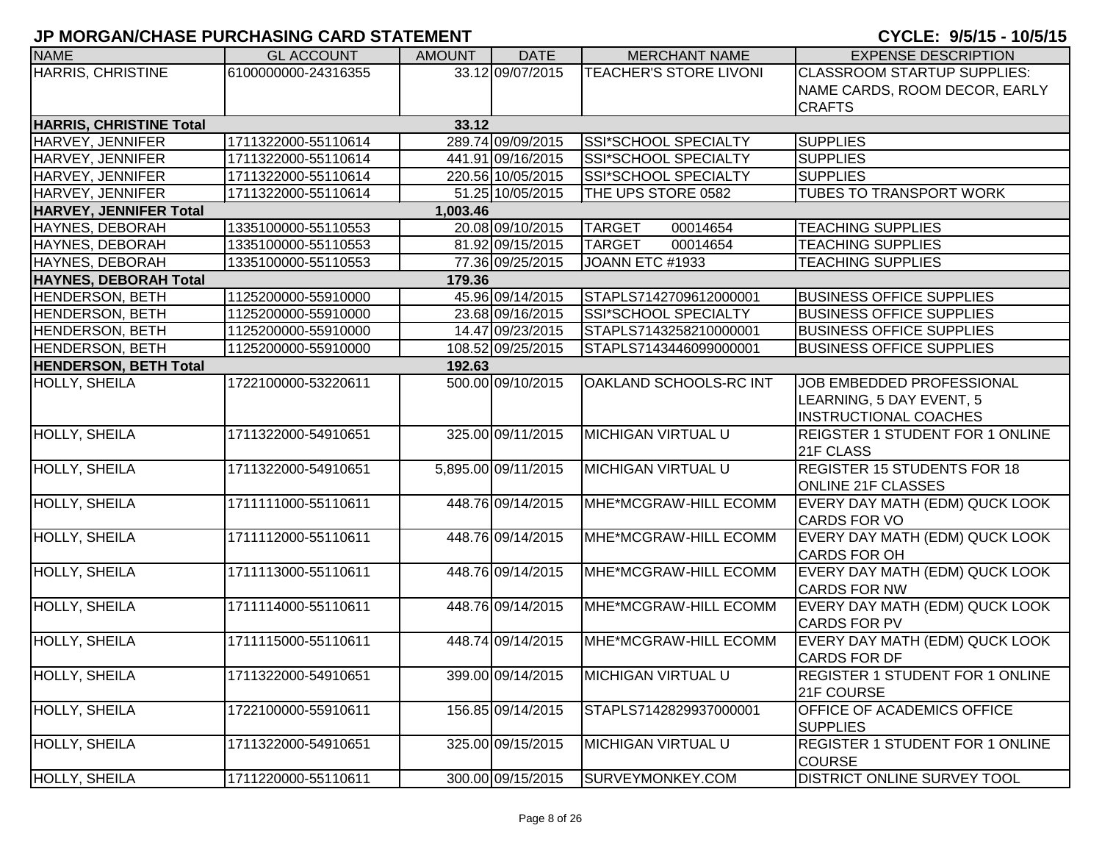| <b>NAME</b>                    | <b>GL ACCOUNT</b>   | <b>AMOUNT</b> | <b>DATE</b>         | <b>MERCHANT NAME</b>          | <b>EXPENSE DESCRIPTION</b>             |
|--------------------------------|---------------------|---------------|---------------------|-------------------------------|----------------------------------------|
| <b>HARRIS, CHRISTINE</b>       | 6100000000-24316355 |               | 33.12 09/07/2015    | <b>TEACHER'S STORE LIVONI</b> | <b>CLASSROOM STARTUP SUPPLIES:</b>     |
|                                |                     |               |                     |                               | NAME CARDS, ROOM DECOR, EARLY          |
|                                |                     |               |                     |                               | <b>CRAFTS</b>                          |
| <b>HARRIS, CHRISTINE Total</b> |                     | 33.12         |                     |                               |                                        |
| HARVEY, JENNIFER               | 1711322000-55110614 |               | 289.74 09/09/2015   | SSI*SCHOOL SPECIALTY          | <b>SUPPLIES</b>                        |
| HARVEY, JENNIFER               | 1711322000-55110614 |               | 441.91 09/16/2015   | SSI*SCHOOL SPECIALTY          | <b>SUPPLIES</b>                        |
| HARVEY, JENNIFER               | 1711322000-55110614 |               | 220.56 10/05/2015   | SSI*SCHOOL SPECIALTY          | <b>SUPPLIES</b>                        |
| HARVEY, JENNIFER               | 1711322000-55110614 |               | 51.25 10/05/2015    | THE UPS STORE 0582            | <b>TUBES TO TRANSPORT WORK</b>         |
| <b>HARVEY, JENNIFER Total</b>  |                     | 1,003.46      |                     |                               |                                        |
| HAYNES, DEBORAH                | 1335100000-55110553 |               | 20.08 09/10/2015    | <b>TARGET</b><br>00014654     | <b>TEACHING SUPPLIES</b>               |
| HAYNES, DEBORAH                | 1335100000-55110553 |               | 81.92 09/15/2015    | <b>TARGET</b><br>00014654     | <b>TEACHING SUPPLIES</b>               |
| HAYNES, DEBORAH                | 1335100000-55110553 |               | 77.36 09/25/2015    | JOANN ETC #1933               | <b>TEACHING SUPPLIES</b>               |
| <b>HAYNES, DEBORAH Total</b>   |                     | 179.36        |                     |                               |                                        |
| <b>HENDERSON, BETH</b>         | 1125200000-55910000 |               | 45.96 09/14/2015    | STAPLS7142709612000001        | <b>BUSINESS OFFICE SUPPLIES</b>        |
| <b>HENDERSON, BETH</b>         | 1125200000-55910000 |               | 23.68 09/16/2015    | SSI*SCHOOL SPECIALTY          | <b>BUSINESS OFFICE SUPPLIES</b>        |
| <b>HENDERSON, BETH</b>         | 1125200000-55910000 |               | 14.47 09/23/2015    | STAPLS7143258210000001        | <b>BUSINESS OFFICE SUPPLIES</b>        |
| <b>HENDERSON, BETH</b>         | 1125200000-55910000 |               | 108.52 09/25/2015   | STAPLS7143446099000001        | <b>BUSINESS OFFICE SUPPLIES</b>        |
| <b>HENDERSON, BETH Total</b>   |                     | 192.63        |                     |                               |                                        |
| HOLLY, SHEILA                  | 1722100000-53220611 |               | 500.00 09/10/2015   | OAKLAND SCHOOLS-RC INT        | JOB EMBEDDED PROFESSIONAL              |
|                                |                     |               |                     |                               | LEARNING, 5 DAY EVENT, 5               |
|                                |                     |               |                     |                               | <b>INSTRUCTIONAL COACHES</b>           |
| HOLLY, SHEILA                  | 1711322000-54910651 |               | 325.00 09/11/2015   | <b>MICHIGAN VIRTUAL U</b>     | <b>REIGSTER 1 STUDENT FOR 1 ONLINE</b> |
|                                |                     |               |                     |                               | 21F CLASS                              |
| HOLLY, SHEILA                  | 1711322000-54910651 |               | 5,895.00 09/11/2015 | <b>MICHIGAN VIRTUAL U</b>     | <b>REGISTER 15 STUDENTS FOR 18</b>     |
|                                |                     |               |                     |                               | <b>ONLINE 21F CLASSES</b>              |
| HOLLY, SHEILA                  | 1711111000-55110611 |               | 448.76 09/14/2015   | MHE*MCGRAW-HILL ECOMM         | EVERY DAY MATH (EDM) QUCK LOOK         |
|                                |                     |               |                     |                               | <b>CARDS FOR VO</b>                    |
| HOLLY, SHEILA                  | 1711112000-55110611 |               | 448.76 09/14/2015   | MHE*MCGRAW-HILL ECOMM         | EVERY DAY MATH (EDM) QUCK LOOK         |
|                                |                     |               |                     |                               | <b>CARDS FOR OH</b>                    |
| HOLLY, SHEILA                  | 1711113000-55110611 |               | 448.76 09/14/2015   | MHE*MCGRAW-HILL ECOMM         | EVERY DAY MATH (EDM) QUCK LOOK         |
|                                |                     |               |                     |                               | <b>CARDS FOR NW</b>                    |
| HOLLY, SHEILA                  | 1711114000-55110611 |               | 448.76 09/14/2015   | MHE*MCGRAW-HILL ECOMM         | EVERY DAY MATH (EDM) QUCK LOOK         |
|                                |                     |               |                     |                               | <b>CARDS FOR PV</b>                    |
| HOLLY, SHEILA                  | 1711115000-55110611 |               | 448.74 09/14/2015   | MHE*MCGRAW-HILL ECOMM         | EVERY DAY MATH (EDM) QUCK LOOK         |
|                                |                     |               |                     |                               | <b>CARDS FOR DF</b>                    |
| HOLLY, SHEILA                  | 1711322000-54910651 |               | 399.00 09/14/2015   | <b>MICHIGAN VIRTUAL U</b>     | <b>REGISTER 1 STUDENT FOR 1 ONLINE</b> |
|                                |                     |               |                     |                               | 21F COURSE                             |
| HOLLY, SHEILA                  | 1722100000-55910611 |               | 156.85 09/14/2015   | STAPLS7142829937000001        | OFFICE OF ACADEMICS OFFICE             |
|                                |                     |               |                     |                               | <b>SUPPLIES</b>                        |
| HOLLY, SHEILA                  | 1711322000-54910651 |               | 325.00 09/15/2015   | <b>MICHIGAN VIRTUAL U</b>     | <b>REGISTER 1 STUDENT FOR 1 ONLINE</b> |
|                                |                     |               |                     |                               | <b>COURSE</b>                          |
| <b>HOLLY, SHEILA</b>           | 1711220000-55110611 |               | 300.00 09/15/2015   | SURVEYMONKEY.COM              | <b>DISTRICT ONLINE SURVEY TOOL</b>     |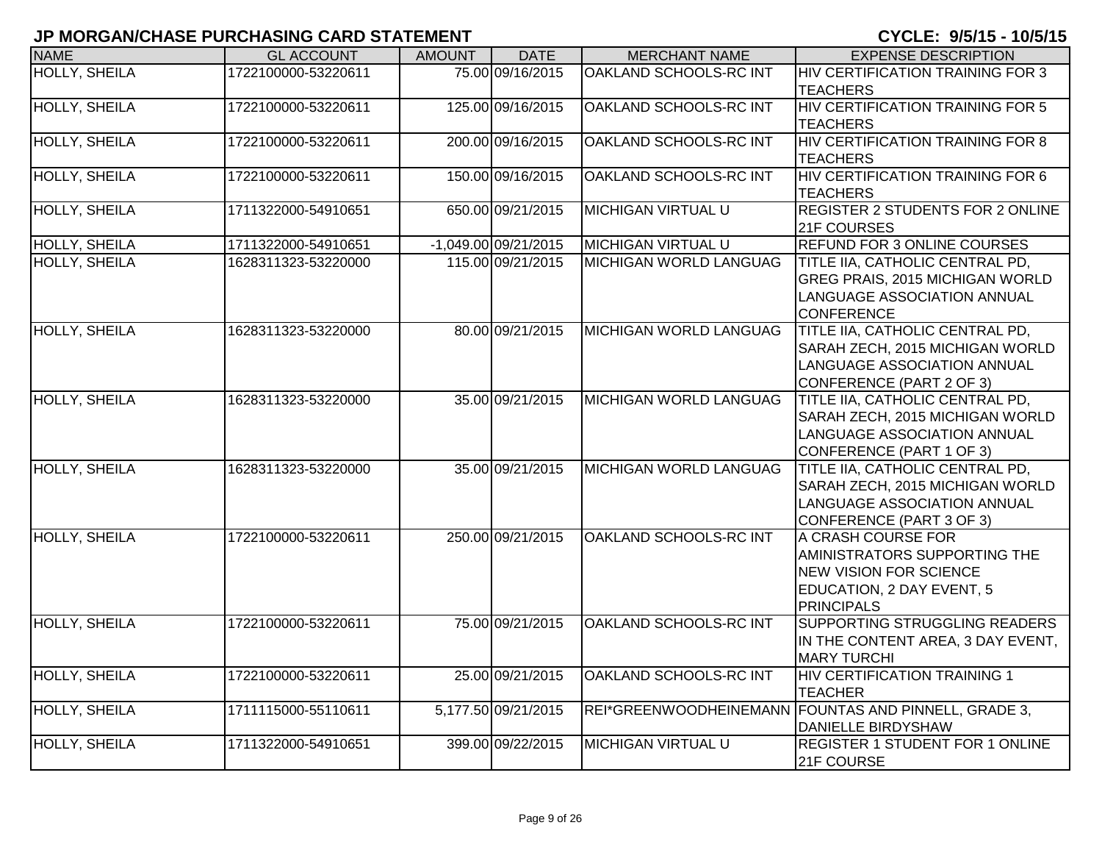| <b>NAME</b>          | <b>GL ACCOUNT</b>   | <b>AMOUNT</b> | <b>DATE</b>            | <b>MERCHANT NAME</b>          | <b>EXPENSE DESCRIPTION</b>                                                                                                                   |
|----------------------|---------------------|---------------|------------------------|-------------------------------|----------------------------------------------------------------------------------------------------------------------------------------------|
| HOLLY, SHEILA        | 1722100000-53220611 |               | 75.00 09/16/2015       | <b>OAKLAND SCHOOLS-RC INT</b> | HIV CERTIFICATION TRAINING FOR 3<br><b>TEACHERS</b>                                                                                          |
| HOLLY, SHEILA        | 1722100000-53220611 |               | 125.00 09/16/2015      | OAKLAND SCHOOLS-RC INT        | HIV CERTIFICATION TRAINING FOR 5<br><b>TEACHERS</b>                                                                                          |
| <b>HOLLY, SHEILA</b> | 1722100000-53220611 |               | 200.00 09/16/2015      | OAKLAND SCHOOLS-RC INT        | <b>HIV CERTIFICATION TRAINING FOR 8</b><br><b>TEACHERS</b>                                                                                   |
| HOLLY, SHEILA        | 1722100000-53220611 |               | 150.00 09/16/2015      | OAKLAND SCHOOLS-RC INT        | HIV CERTIFICATION TRAINING FOR 6<br><b>TEACHERS</b>                                                                                          |
| HOLLY, SHEILA        | 1711322000-54910651 |               | 650.00 09/21/2015      | <b>MICHIGAN VIRTUAL U</b>     | <b>REGISTER 2 STUDENTS FOR 2 ONLINE</b><br>21F COURSES                                                                                       |
| HOLLY, SHEILA        | 1711322000-54910651 |               | $-1,049.00$ 09/21/2015 | <b>MICHIGAN VIRTUAL U</b>     | <b>REFUND FOR 3 ONLINE COURSES</b>                                                                                                           |
| HOLLY, SHEILA        | 1628311323-53220000 |               | 115.00 09/21/2015      | <b>MICHIGAN WORLD LANGUAG</b> | TITLE IIA, CATHOLIC CENTRAL PD,<br>GREG PRAIS, 2015 MICHIGAN WORLD<br>LANGUAGE ASSOCIATION ANNUAL<br><b>CONFERENCE</b>                       |
| <b>HOLLY, SHEILA</b> | 1628311323-53220000 |               | 80.00 09/21/2015       | <b>MICHIGAN WORLD LANGUAG</b> | TITLE IIA, CATHOLIC CENTRAL PD,<br>SARAH ZECH, 2015 MICHIGAN WORLD<br>LANGUAGE ASSOCIATION ANNUAL<br>CONFERENCE (PART 2 OF 3)                |
| <b>HOLLY, SHEILA</b> | 1628311323-53220000 |               | 35.00 09/21/2015       | <b>MICHIGAN WORLD LANGUAG</b> | TITLE IIA, CATHOLIC CENTRAL PD,<br>SARAH ZECH, 2015 MICHIGAN WORLD<br>LANGUAGE ASSOCIATION ANNUAL<br>CONFERENCE (PART 1 OF 3)                |
| <b>HOLLY, SHEILA</b> | 1628311323-53220000 |               | 35.00 09/21/2015       | MICHIGAN WORLD LANGUAG        | TITLE IIA, CATHOLIC CENTRAL PD,<br>SARAH ZECH, 2015 MICHIGAN WORLD<br>LANGUAGE ASSOCIATION ANNUAL<br>CONFERENCE (PART 3 OF 3)                |
| HOLLY, SHEILA        | 1722100000-53220611 |               | 250.00 09/21/2015      | OAKLAND SCHOOLS-RC INT        | A CRASH COURSE FOR<br><b>AMINISTRATORS SUPPORTING THE</b><br><b>NEW VISION FOR SCIENCE</b><br>EDUCATION, 2 DAY EVENT, 5<br><b>PRINCIPALS</b> |
| HOLLY, SHEILA        | 1722100000-53220611 |               | 75.00 09/21/2015       | OAKLAND SCHOOLS-RC INT        | SUPPORTING STRUGGLING READERS<br>IN THE CONTENT AREA, 3 DAY EVENT,<br><b>MARY TURCHI</b>                                                     |
| HOLLY, SHEILA        | 1722100000-53220611 |               | 25.00 09/21/2015       | <b>OAKLAND SCHOOLS-RC INT</b> | <b>HIV CERTIFICATION TRAINING 1</b><br><b>TEACHER</b>                                                                                        |
| HOLLY, SHEILA        | 1711115000-55110611 |               | 5,177.50 09/21/2015    |                               | REI*GREENWOODHEINEMANN FOUNTAS AND PINNELL, GRADE 3,<br><b>DANIELLE BIRDYSHAW</b>                                                            |
| HOLLY, SHEILA        | 1711322000-54910651 |               | 399.00 09/22/2015      | <b>MICHIGAN VIRTUAL U</b>     | <b>REGISTER 1 STUDENT FOR 1 ONLINE</b><br>21F COURSE                                                                                         |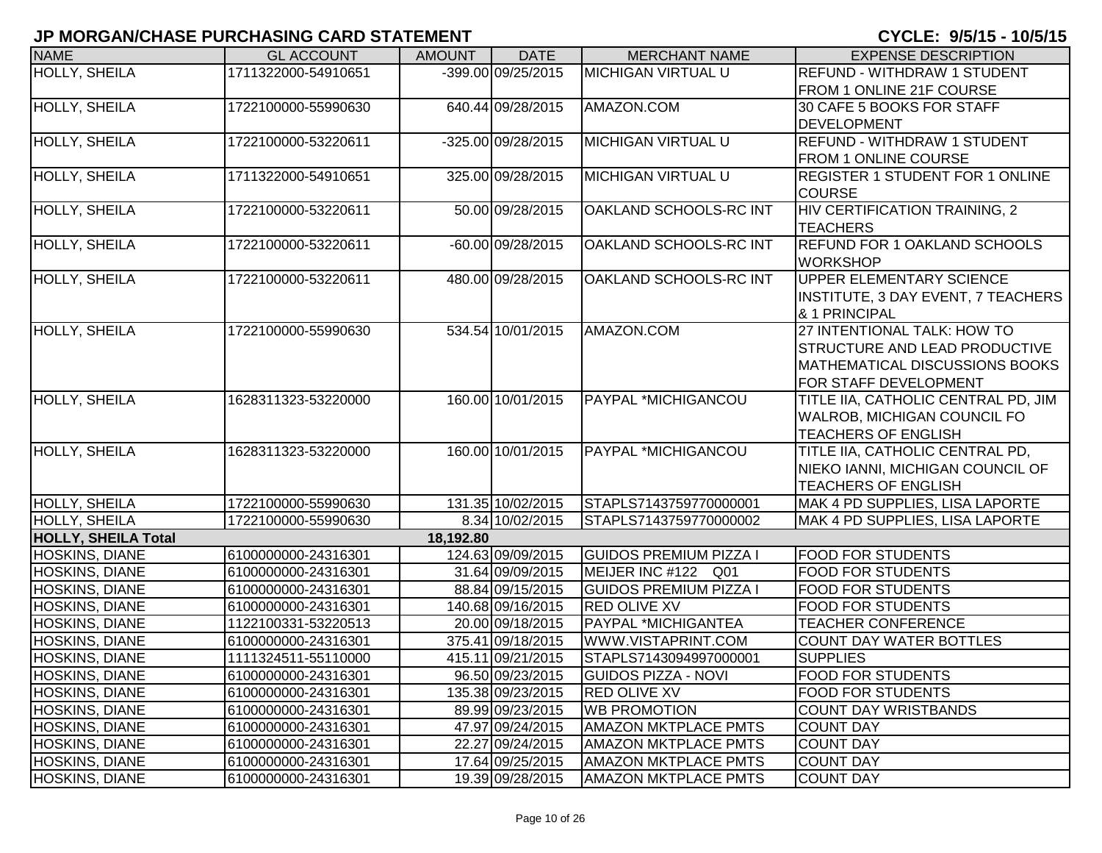| <b>NAME</b>                                    | <b>GL ACCOUNT</b>                          | <b>AMOUNT</b> | <b>DATE</b>                            | <b>MERCHANT NAME</b>                               | <b>EXPENSE DESCRIPTION</b>                           |
|------------------------------------------------|--------------------------------------------|---------------|----------------------------------------|----------------------------------------------------|------------------------------------------------------|
| HOLLY, SHEILA                                  | 1711322000-54910651                        |               | $-399.00009/25/2015$                   | <b>MICHIGAN VIRTUAL U</b>                          | <b>REFUND - WITHDRAW 1 STUDENT</b>                   |
|                                                |                                            |               |                                        |                                                    | FROM 1 ONLINE 21F COURSE                             |
| HOLLY, SHEILA                                  | 1722100000-55990630                        |               | 640.44 09/28/2015                      | AMAZON.COM                                         | 30 CAFE 5 BOOKS FOR STAFF                            |
|                                                |                                            |               |                                        |                                                    | <b>DEVELOPMENT</b>                                   |
| HOLLY, SHEILA                                  | 1722100000-53220611                        |               | -325.00 09/28/2015                     | <b>MICHIGAN VIRTUAL U</b>                          | <b>REFUND - WITHDRAW 1 STUDENT</b>                   |
|                                                |                                            |               |                                        |                                                    | <b>FROM 1 ONLINE COURSE</b>                          |
| HOLLY, SHEILA                                  | 1711322000-54910651                        |               | 325.00 09/28/2015                      | <b>MICHIGAN VIRTUAL U</b>                          | <b>REGISTER 1 STUDENT FOR 1 ONLINE</b>               |
|                                                | 1722100000-53220611                        |               | 50.00 09/28/2015                       | OAKLAND SCHOOLS-RC INT                             | <b>COURSE</b>                                        |
| HOLLY, SHEILA                                  |                                            |               |                                        |                                                    | HIV CERTIFICATION TRAINING, 2<br><b>TEACHERS</b>     |
| HOLLY, SHEILA                                  | 1722100000-53220611                        |               | -60.00 09/28/2015                      | OAKLAND SCHOOLS-RC INT                             | <b>REFUND FOR 1 OAKLAND SCHOOLS</b>                  |
|                                                |                                            |               |                                        |                                                    | <b>WORKSHOP</b>                                      |
| HOLLY, SHEILA                                  | 1722100000-53220611                        |               | 480.00 09/28/2015                      | OAKLAND SCHOOLS-RC INT                             | <b>UPPER ELEMENTARY SCIENCE</b>                      |
|                                                |                                            |               |                                        |                                                    | INSTITUTE, 3 DAY EVENT, 7 TEACHERS                   |
|                                                |                                            |               |                                        |                                                    | & 1 PRINCIPAL                                        |
| <b>HOLLY, SHEILA</b>                           | 1722100000-55990630                        |               | 534.54 10/01/2015                      | AMAZON.COM                                         | 27 INTENTIONAL TALK: HOW TO                          |
|                                                |                                            |               |                                        |                                                    | <b>STRUCTURE AND LEAD PRODUCTIVE</b>                 |
|                                                |                                            |               |                                        |                                                    | MATHEMATICAL DISCUSSIONS BOOKS                       |
|                                                |                                            |               |                                        |                                                    | FOR STAFF DEVELOPMENT                                |
| <b>HOLLY, SHEILA</b>                           | 1628311323-53220000                        |               | 160.00 10/01/2015                      | PAYPAL *MICHIGANCOU                                | TITLE IIA, CATHOLIC CENTRAL PD, JIM                  |
|                                                |                                            |               |                                        |                                                    | <b>WALROB, MICHIGAN COUNCIL FO</b>                   |
|                                                |                                            |               |                                        |                                                    | <b>TEACHERS OF ENGLISH</b>                           |
| <b>HOLLY, SHEILA</b>                           | 1628311323-53220000                        |               | 160.00 10/01/2015                      | <b>PAYPAL *MICHIGANCOU</b>                         | TITLE IIA, CATHOLIC CENTRAL PD,                      |
|                                                |                                            |               |                                        |                                                    | NIEKO IANNI, MICHIGAN COUNCIL OF                     |
|                                                |                                            |               |                                        |                                                    | <b>TEACHERS OF ENGLISH</b>                           |
| HOLLY, SHEILA                                  | 1722100000-55990630                        |               | 131.35 10/02/2015                      | STAPLS7143759770000001                             | MAK 4 PD SUPPLIES, LISA LAPORTE                      |
| HOLLY, SHEILA                                  | 1722100000-55990630                        |               | 8.34 10/02/2015                        | STAPLS7143759770000002                             | MAK 4 PD SUPPLIES, LISA LAPORTE                      |
| <b>HOLLY, SHEILA Total</b>                     |                                            | 18,192.80     |                                        |                                                    |                                                      |
| HOSKINS, DIANE                                 | 6100000000-24316301                        |               | 124.63 09/09/2015                      | <b>GUIDOS PREMIUM PIZZA I</b>                      | <b>FOOD FOR STUDENTS</b>                             |
| HOSKINS, DIANE                                 | 6100000000-24316301                        |               | 31.64 09/09/2015                       | MEIJER INC #122 Q01                                | <b>FOOD FOR STUDENTS</b>                             |
| HOSKINS, DIANE                                 | 6100000000-24316301                        |               | 88.84 09/15/2015                       | <b>GUIDOS PREMIUM PIZZA I</b>                      | <b>FOOD FOR STUDENTS</b>                             |
| HOSKINS, DIANE                                 | 6100000000-24316301                        |               | 140.68 09/16/2015                      | <b>RED OLIVE XV</b><br>PAYPAL *MICHIGANTEA         | <b>FOOD FOR STUDENTS</b>                             |
| HOSKINS, DIANE                                 | 1122100331-53220513                        |               | 20.00 09/18/2015                       |                                                    | <b>TEACHER CONFERENCE</b>                            |
| HOSKINS, DIANE<br>HOSKINS, DIANE               | 6100000000-24316301                        |               | 375.41 09/18/2015<br>415.11 09/21/2015 | WWW.VISTAPRINT.COM                                 | <b>COUNT DAY WATER BOTTLES</b>                       |
|                                                | 1111324511-55110000                        |               |                                        | STAPLS7143094997000001                             | <b>SUPPLIES</b>                                      |
| <b>HOSKINS, DIANE</b><br><b>HOSKINS, DIANE</b> | 6100000000-24316301<br>6100000000-24316301 |               | 96.50 09/23/2015<br>135.38 09/23/2015  | <b>GUIDOS PIZZA - NOVI</b><br><b>RED OLIVE XV</b>  | <b>FOOD FOR STUDENTS</b><br><b>FOOD FOR STUDENTS</b> |
| <b>HOSKINS, DIANE</b>                          |                                            |               |                                        |                                                    |                                                      |
| <b>HOSKINS, DIANE</b>                          | 6100000000-24316301<br>6100000000-24316301 |               | 89.99 09/23/2015<br>47.97 09/24/2015   | <b>WB PROMOTION</b><br><b>AMAZON MKTPLACE PMTS</b> | <b>COUNT DAY WRISTBANDS</b><br><b>COUNT DAY</b>      |
| <b>HOSKINS, DIANE</b>                          | 6100000000-24316301                        |               | 22.27 09/24/2015                       | <b>AMAZON MKTPLACE PMTS</b>                        | <b>COUNT DAY</b>                                     |
| <b>HOSKINS, DIANE</b>                          | 6100000000-24316301                        |               | 17.64 09/25/2015                       | <b>AMAZON MKTPLACE PMTS</b>                        | <b>COUNT DAY</b>                                     |
| <b>HOSKINS, DIANE</b>                          | 6100000000-24316301                        |               | 19.39 09/28/2015                       | <b>AMAZON MKTPLACE PMTS</b>                        | <b>COUNT DAY</b>                                     |
|                                                |                                            |               |                                        |                                                    |                                                      |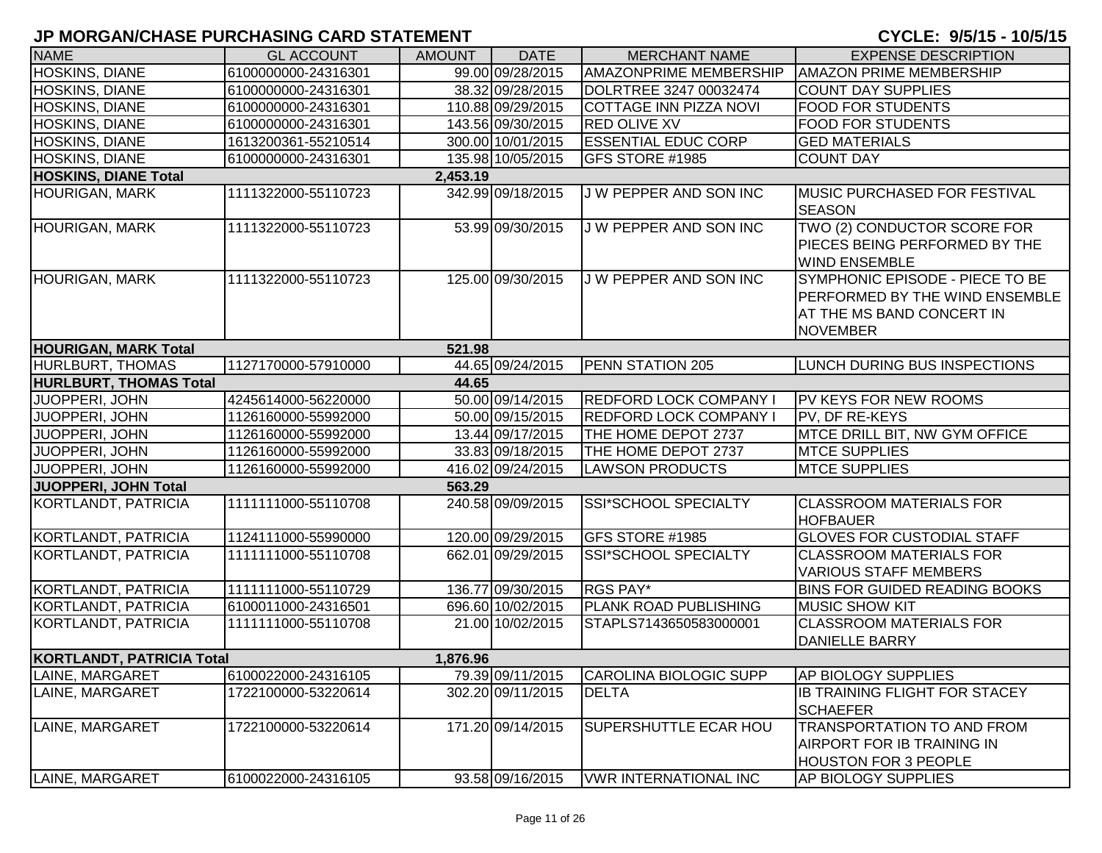| <b>NAME</b>                      | <b>GL ACCOUNT</b>   | <b>AMOUNT</b> | <b>DATE</b>       | <b>MERCHANT NAME</b>          | <b>EXPENSE DESCRIPTION</b>                                                                                        |
|----------------------------------|---------------------|---------------|-------------------|-------------------------------|-------------------------------------------------------------------------------------------------------------------|
| HOSKINS, DIANE                   | 6100000000-24316301 |               | 99.00 09/28/2015  | <b>AMAZONPRIME MEMBERSHIP</b> | <b>AMAZON PRIME MEMBERSHIP</b>                                                                                    |
| HOSKINS, DIANE                   | 6100000000-24316301 |               | 38.32 09/28/2015  | DOLRTREE 3247 00032474        | <b>COUNT DAY SUPPLIES</b>                                                                                         |
| HOSKINS, DIANE                   | 6100000000-24316301 |               | 110.88 09/29/2015 | COTTAGE INN PIZZA NOVI        | <b>FOOD FOR STUDENTS</b>                                                                                          |
| HOSKINS, DIANE                   | 6100000000-24316301 |               | 143.56 09/30/2015 | <b>RED OLIVE XV</b>           | <b>FOOD FOR STUDENTS</b>                                                                                          |
| HOSKINS, DIANE                   | 1613200361-55210514 |               | 300.00 10/01/2015 | <b>ESSENTIAL EDUC CORP</b>    | <b>GED MATERIALS</b>                                                                                              |
| HOSKINS, DIANE                   | 6100000000-24316301 |               | 135.98 10/05/2015 | GFS STORE #1985               | <b>COUNT DAY</b>                                                                                                  |
| <b>HOSKINS, DIANE Total</b>      |                     | 2,453.19      |                   |                               |                                                                                                                   |
| <b>HOURIGAN, MARK</b>            | 1111322000-55110723 |               | 342.99 09/18/2015 | J W PEPPER AND SON INC        | <b>MUSIC PURCHASED FOR FESTIVAL</b><br><b>SEASON</b>                                                              |
| <b>HOURIGAN, MARK</b>            | 1111322000-55110723 |               | 53.99 09/30/2015  | J W PEPPER AND SON INC        | TWO (2) CONDUCTOR SCORE FOR<br>PIECES BEING PERFORMED BY THE<br><b>WIND ENSEMBLE</b>                              |
| <b>HOURIGAN, MARK</b>            | 1111322000-55110723 |               | 125.00 09/30/2015 | J W PEPPER AND SON INC        | SYMPHONIC EPISODE - PIECE TO BE<br>PERFORMED BY THE WIND ENSEMBLE<br>AT THE MS BAND CONCERT IN<br><b>NOVEMBER</b> |
| <b>HOURIGAN, MARK Total</b>      |                     | 521.98        |                   |                               |                                                                                                                   |
| HURLBURT, THOMAS                 | 1127170000-57910000 |               | 44.65 09/24/2015  | <b>PENN STATION 205</b>       | <b>LUNCH DURING BUS INSPECTIONS</b>                                                                               |
| <b>HURLBURT, THOMAS Total</b>    |                     | 44.65         |                   |                               |                                                                                                                   |
| JUOPPERI, JOHN                   | 4245614000-56220000 |               | 50.00 09/14/2015  | <b>REDFORD LOCK COMPANY I</b> | <b>PV KEYS FOR NEW ROOMS</b>                                                                                      |
| JUOPPERI, JOHN                   | 1126160000-55992000 |               | 50.00 09/15/2015  | <b>REDFORD LOCK COMPANY I</b> | <b>PV. DF RE-KEYS</b>                                                                                             |
| <b>JUOPPERI, JOHN</b>            | 1126160000-55992000 |               | 13.44 09/17/2015  | THE HOME DEPOT 2737           | MTCE DRILL BIT, NW GYM OFFICE                                                                                     |
| JUOPPERI, JOHN                   | 1126160000-55992000 |               | 33.83 09/18/2015  | THE HOME DEPOT 2737           | <b>MTCE SUPPLIES</b>                                                                                              |
| JUOPPERI, JOHN                   | 1126160000-55992000 |               | 416.02 09/24/2015 | <b>LAWSON PRODUCTS</b>        | <b>MTCE SUPPLIES</b>                                                                                              |
| JUOPPERI, JOHN Total             |                     | 563.29        |                   |                               |                                                                                                                   |
| <b>KORTLANDT, PATRICIA</b>       | 1111111000-55110708 |               | 240.58 09/09/2015 | SSI*SCHOOL SPECIALTY          | <b>CLASSROOM MATERIALS FOR</b><br><b>HOFBAUER</b>                                                                 |
| KORTLANDT, PATRICIA              | 1124111000-55990000 |               | 120.00 09/29/2015 | GFS STORE #1985               | <b>GLOVES FOR CUSTODIAL STAFF</b>                                                                                 |
| KORTLANDT, PATRICIA              | 1111111000-55110708 |               | 662.01 09/29/2015 | SSI*SCHOOL SPECIALTY          | <b>CLASSROOM MATERIALS FOR</b><br><b>VARIOUS STAFF MEMBERS</b>                                                    |
| KORTLANDT, PATRICIA              | 1111111000-55110729 |               | 136.77 09/30/2015 | RGS PAY*                      | <b>BINS FOR GUIDED READING BOOKS</b>                                                                              |
| <b>KORTLANDT, PATRICIA</b>       | 6100011000-24316501 |               | 696.60 10/02/2015 | PLANK ROAD PUBLISHING         | <b>MUSIC SHOW KIT</b>                                                                                             |
| KORTLANDT, PATRICIA              | 1111111000-55110708 |               | 21.00 10/02/2015  | STAPLS7143650583000001        | <b>CLASSROOM MATERIALS FOR</b><br><b>DANIELLE BARRY</b>                                                           |
| <b>KORTLANDT, PATRICIA Total</b> |                     | 1,876.96      |                   |                               |                                                                                                                   |
| LAINE, MARGARET                  | 6100022000-24316105 |               | 79.39 09/11/2015  | CAROLINA BIOLOGIC SUPP        | <b>AP BIOLOGY SUPPLIES</b>                                                                                        |
| LAINE, MARGARET                  | 1722100000-53220614 |               | 302.20 09/11/2015 | <b>DELTA</b>                  | <b>IB TRAINING FLIGHT FOR STACEY</b><br><b>SCHAEFER</b>                                                           |
| LAINE, MARGARET                  | 1722100000-53220614 |               | 171.20 09/14/2015 | SUPERSHUTTLE ECAR HOU         | TRANSPORTATION TO AND FROM<br>AIRPORT FOR IB TRAINING IN<br><b>HOUSTON FOR 3 PEOPLE</b>                           |
| LAINE, MARGARET                  | 6100022000-24316105 |               | 93.58 09/16/2015  | <b>VWR INTERNATIONAL INC</b>  | AP BIOLOGY SUPPLIES                                                                                               |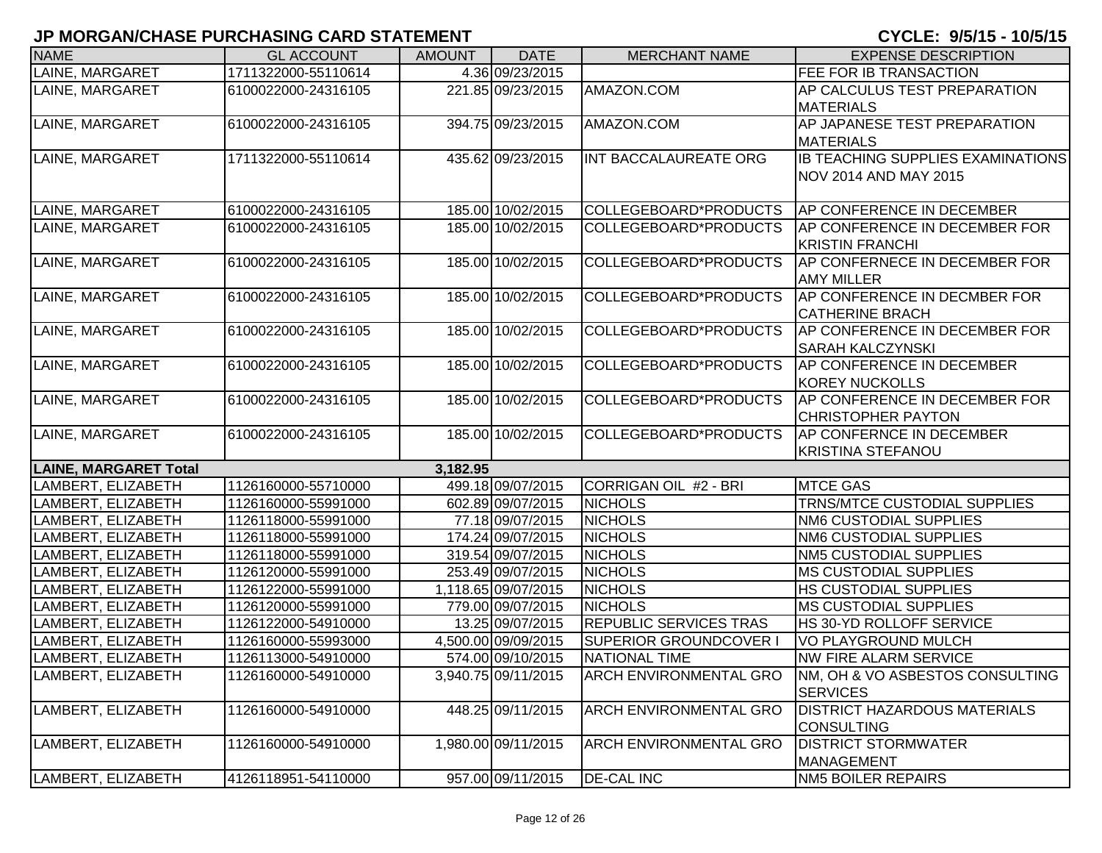| <b>NAME</b>                  | <b>GL ACCOUNT</b>   | <b>AMOUNT</b> | <b>DATE</b>         | <b>MERCHANT NAME</b>          | <b>EXPENSE DESCRIPTION</b>          |
|------------------------------|---------------------|---------------|---------------------|-------------------------------|-------------------------------------|
| LAINE, MARGARET              | 1711322000-55110614 |               | 4.36 09/23/2015     |                               | FEE FOR IB TRANSACTION              |
| LAINE, MARGARET              | 6100022000-24316105 |               | 221.85 09/23/2015   | AMAZON.COM                    | AP CALCULUS TEST PREPARATION        |
|                              |                     |               |                     |                               | <b>MATERIALS</b>                    |
| LAINE, MARGARET              | 6100022000-24316105 |               | 394.75 09/23/2015   | AMAZON.COM                    | AP JAPANESE TEST PREPARATION        |
|                              |                     |               |                     |                               | <b>MATERIALS</b>                    |
| LAINE, MARGARET              | 1711322000-55110614 |               | 435.62 09/23/2015   | INT BACCALAUREATE ORG         | IB TEACHING SUPPLIES EXAMINATIONS   |
|                              |                     |               |                     |                               | NOV 2014 AND MAY 2015               |
|                              |                     |               |                     |                               |                                     |
| LAINE, MARGARET              | 6100022000-24316105 |               | 185.00 10/02/2015   | COLLEGEBOARD*PRODUCTS         | AP CONFERENCE IN DECEMBER           |
| LAINE, MARGARET              | 6100022000-24316105 |               | 185.00 10/02/2015   | COLLEGEBOARD*PRODUCTS         | AP CONFERENCE IN DECEMBER FOR       |
|                              |                     |               |                     |                               | <b>KRISTIN FRANCHI</b>              |
| LAINE, MARGARET              | 6100022000-24316105 |               | 185.00 10/02/2015   | COLLEGEBOARD*PRODUCTS         | AP CONFERNECE IN DECEMBER FOR       |
|                              |                     |               |                     |                               | <b>AMY MILLER</b>                   |
| LAINE, MARGARET              | 6100022000-24316105 |               | 185.00 10/02/2015   | COLLEGEBOARD*PRODUCTS         | AP CONFERENCE IN DECMBER FOR        |
|                              |                     |               |                     |                               | <b>CATHERINE BRACH</b>              |
| LAINE, MARGARET              | 6100022000-24316105 |               | 185.00 10/02/2015   | COLLEGEBOARD*PRODUCTS         | AP CONFERENCE IN DECEMBER FOR       |
|                              |                     |               |                     |                               | SARAH KALCZYNSKI                    |
| LAINE, MARGARET              | 6100022000-24316105 |               | 185.00 10/02/2015   | COLLEGEBOARD*PRODUCTS         | <b>AP CONFERENCE IN DECEMBER</b>    |
|                              |                     |               |                     |                               | <b>KOREY NUCKOLLS</b>               |
| LAINE, MARGARET              | 6100022000-24316105 |               | 185.00 10/02/2015   | COLLEGEBOARD*PRODUCTS         | AP CONFERENCE IN DECEMBER FOR       |
|                              |                     |               |                     |                               | <b>CHRISTOPHER PAYTON</b>           |
| LAINE, MARGARET              | 6100022000-24316105 |               | 185.00 10/02/2015   | COLLEGEBOARD*PRODUCTS         | <b>AP CONFERNCE IN DECEMBER</b>     |
|                              |                     |               |                     |                               | <b>KRISTINA STEFANOU</b>            |
| <b>LAINE, MARGARET Total</b> |                     | 3,182.95      |                     |                               |                                     |
| LAMBERT, ELIZABETH           | 1126160000-55710000 |               | 499.18 09/07/2015   | CORRIGAN OIL #2 - BRI         | <b>MTCE GAS</b>                     |
| LAMBERT, ELIZABETH           | 1126160000-55991000 |               | 602.89 09/07/2015   | <b>NICHOLS</b>                | TRNS/MTCE CUSTODIAL SUPPLIES        |
| LAMBERT, ELIZABETH           | 1126118000-55991000 |               | 77.18 09/07/2015    | <b>NICHOLS</b>                | NM6 CUSTODIAL SUPPLIES              |
| LAMBERT, ELIZABETH           | 1126118000-55991000 |               | 174.24 09/07/2015   | <b>NICHOLS</b>                | NM6 CUSTODIAL SUPPLIES              |
| LAMBERT, ELIZABETH           | 1126118000-55991000 |               | 319.54 09/07/2015   | <b>NICHOLS</b>                | NM5 CUSTODIAL SUPPLIES              |
| LAMBERT, ELIZABETH           | 1126120000-55991000 |               | 253.49 09/07/2015   | <b>NICHOLS</b>                | <b>MS CUSTODIAL SUPPLIES</b>        |
| LAMBERT, ELIZABETH           | 1126122000-55991000 |               | 1,118.65 09/07/2015 | <b>NICHOLS</b>                | HS CUSTODIAL SUPPLIES               |
| LAMBERT, ELIZABETH           | 1126120000-55991000 |               | 779.00 09/07/2015   | <b>NICHOLS</b>                | <b>MS CUSTODIAL SUPPLIES</b>        |
| LAMBERT, ELIZABETH           | 1126122000-54910000 |               | 13.25 09/07/2015    | REPUBLIC SERVICES TRAS        | HS 30-YD ROLLOFF SERVICE            |
| LAMBERT, ELIZABETH           | 1126160000-55993000 |               | 4,500.00 09/09/2015 | SUPERIOR GROUNDCOVER I        | <b>VO PLAYGROUND MULCH</b>          |
| LAMBERT, ELIZABETH           | 1126113000-54910000 |               | 574.00 09/10/2015   | <b>NATIONAL TIME</b>          | <b>NW FIRE ALARM SERVICE</b>        |
| LAMBERT, ELIZABETH           | 1126160000-54910000 |               | 3,940.75 09/11/2015 | <b>ARCH ENVIRONMENTAL GRO</b> | NM, OH & VO ASBESTOS CONSULTING     |
|                              |                     |               |                     |                               | <b>SERVICES</b>                     |
| LAMBERT, ELIZABETH           | 1126160000-54910000 |               | 448.25 09/11/2015   | ARCH ENVIRONMENTAL GRO        | <b>DISTRICT HAZARDOUS MATERIALS</b> |
|                              |                     |               |                     |                               | <b>CONSULTING</b>                   |
| LAMBERT, ELIZABETH           | 1126160000-54910000 |               | 1,980.00 09/11/2015 | ARCH ENVIRONMENTAL GRO        | <b>DISTRICT STORMWATER</b>          |
|                              |                     |               |                     |                               | MANAGEMENT                          |
| LAMBERT, ELIZABETH           | 4126118951-54110000 |               | 957.00 09/11/2015   | <b>DE-CAL INC</b>             | <b>NM5 BOILER REPAIRS</b>           |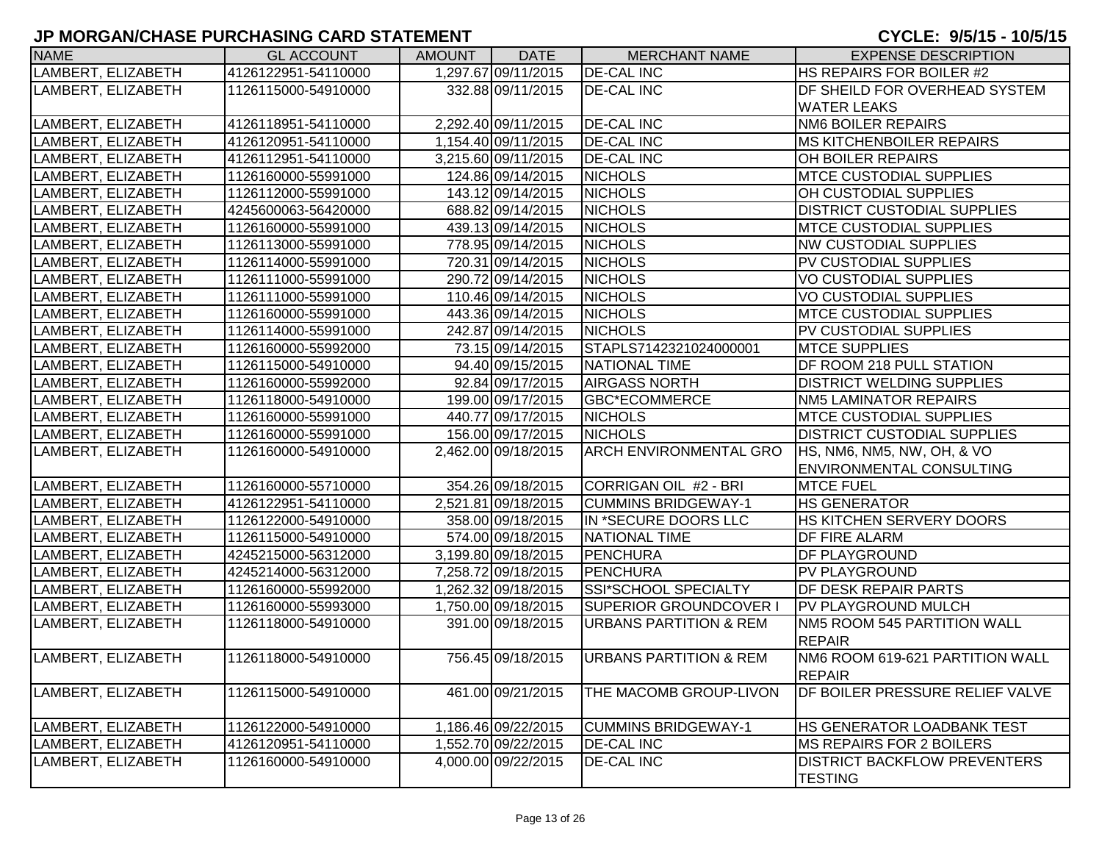| <b>NAME</b>        | <b>GL ACCOUNT</b>   | <b>AMOUNT</b> | <b>DATE</b>         | <b>MERCHANT NAME</b>              | <b>EXPENSE DESCRIPTION</b>                            |
|--------------------|---------------------|---------------|---------------------|-----------------------------------|-------------------------------------------------------|
| LAMBERT, ELIZABETH | 4126122951-54110000 |               | 1,297.67 09/11/2015 | <b>DE-CAL INC</b>                 | HS REPAIRS FOR BOILER #2                              |
| LAMBERT, ELIZABETH | 1126115000-54910000 |               | 332.88 09/11/2015   | <b>DE-CAL INC</b>                 | <b>DF SHEILD FOR OVERHEAD SYSTEM</b>                  |
|                    |                     |               |                     |                                   | <b>WATER LEAKS</b>                                    |
| LAMBERT, ELIZABETH | 4126118951-54110000 |               | 2,292.40 09/11/2015 | <b>DE-CAL INC</b>                 | <b>NM6 BOILER REPAIRS</b>                             |
| LAMBERT, ELIZABETH | 4126120951-54110000 |               | 1,154.40 09/11/2015 | <b>DE-CAL INC</b>                 | <b>MS KITCHENBOILER REPAIRS</b>                       |
| LAMBERT, ELIZABETH | 4126112951-54110000 |               | 3,215.60 09/11/2015 | <b>DE-CAL INC</b>                 | OH BOILER REPAIRS                                     |
| LAMBERT, ELIZABETH | 1126160000-55991000 |               | 124.86 09/14/2015   | <b>NICHOLS</b>                    | <b>MTCE CUSTODIAL SUPPLIES</b>                        |
| LAMBERT, ELIZABETH | 1126112000-55991000 |               | 143.12 09/14/2015   | <b>NICHOLS</b>                    | OH CUSTODIAL SUPPLIES                                 |
| LAMBERT, ELIZABETH | 4245600063-56420000 |               | 688.82 09/14/2015   | <b>NICHOLS</b>                    | <b>DISTRICT CUSTODIAL SUPPLIES</b>                    |
| LAMBERT, ELIZABETH | 1126160000-55991000 |               | 439.13 09/14/2015   | <b>NICHOLS</b>                    | <b>MTCE CUSTODIAL SUPPLIES</b>                        |
| LAMBERT, ELIZABETH | 1126113000-55991000 |               | 778.95 09/14/2015   | <b>NICHOLS</b>                    | <b>NW CUSTODIAL SUPPLIES</b>                          |
| LAMBERT, ELIZABETH | 1126114000-55991000 |               | 720.31 09/14/2015   | <b>NICHOLS</b>                    | PV CUSTODIAL SUPPLIES                                 |
| LAMBERT, ELIZABETH | 1126111000-55991000 |               | 290.72 09/14/2015   | <b>NICHOLS</b>                    | <b>VO CUSTODIAL SUPPLIES</b>                          |
| LAMBERT, ELIZABETH | 1126111000-55991000 |               | 110.46 09/14/2015   | <b>NICHOLS</b>                    | <b>VO CUSTODIAL SUPPLIES</b>                          |
| LAMBERT, ELIZABETH | 1126160000-55991000 |               | 443.36 09/14/2015   | <b>NICHOLS</b>                    | <b>MTCE CUSTODIAL SUPPLIES</b>                        |
| LAMBERT, ELIZABETH | 1126114000-55991000 |               | 242.87 09/14/2015   | <b>NICHOLS</b>                    | PV CUSTODIAL SUPPLIES                                 |
| LAMBERT, ELIZABETH | 1126160000-55992000 |               | 73.15 09/14/2015    | STAPLS7142321024000001            | <b>MTCE SUPPLIES</b>                                  |
| LAMBERT, ELIZABETH | 1126115000-54910000 |               | 94.40 09/15/2015    | NATIONAL TIME                     | DF ROOM 218 PULL STATION                              |
| LAMBERT, ELIZABETH | 1126160000-55992000 |               | 92.84 09/17/2015    | <b>AIRGASS NORTH</b>              | <b>DISTRICT WELDING SUPPLIES</b>                      |
| LAMBERT, ELIZABETH | 1126118000-54910000 |               | 199.00 09/17/2015   | GBC*ECOMMERCE                     | <b>NM5 LAMINATOR REPAIRS</b>                          |
| LAMBERT, ELIZABETH | 1126160000-55991000 |               | 440.77 09/17/2015   | <b>NICHOLS</b>                    | <b>MTCE CUSTODIAL SUPPLIES</b>                        |
| LAMBERT, ELIZABETH | 1126160000-55991000 |               | 156.00 09/17/2015   | <b>NICHOLS</b>                    | <b>DISTRICT CUSTODIAL SUPPLIES</b>                    |
| LAMBERT, ELIZABETH | 1126160000-54910000 |               | 2,462.00 09/18/2015 | <b>ARCH ENVIRONMENTAL GRO</b>     | HS, NM6, NM5, NW, OH, & VO                            |
|                    |                     |               |                     |                                   | <b>ENVIRONMENTAL CONSULTING</b>                       |
| LAMBERT, ELIZABETH | 1126160000-55710000 |               | 354.26 09/18/2015   | CORRIGAN OIL #2 - BRI             | <b>MTCE FUEL</b>                                      |
| LAMBERT, ELIZABETH | 4126122951-54110000 |               | 2,521.81 09/18/2015 | <b>CUMMINS BRIDGEWAY-1</b>        | <b>HS GENERATOR</b>                                   |
| LAMBERT, ELIZABETH | 1126122000-54910000 |               | 358.00 09/18/2015   | IN *SECURE DOORS LLC              | HS KITCHEN SERVERY DOORS                              |
| LAMBERT, ELIZABETH | 1126115000-54910000 |               | 574.00 09/18/2015   | <b>NATIONAL TIME</b>              | DF FIRE ALARM                                         |
| LAMBERT, ELIZABETH | 4245215000-56312000 |               | 3,199.80 09/18/2015 | PENCHURA                          | <b>DF PLAYGROUND</b>                                  |
| LAMBERT, ELIZABETH | 4245214000-56312000 |               | 7,258.72 09/18/2015 | <b>PENCHURA</b>                   | <b>PV PLAYGROUND</b>                                  |
| LAMBERT, ELIZABETH | 1126160000-55992000 |               | 1,262.32 09/18/2015 | SSI*SCHOOL SPECIALTY              | <b>DF DESK REPAIR PARTS</b>                           |
| LAMBERT, ELIZABETH | 1126160000-55993000 |               | 1,750.00 09/18/2015 | <b>SUPERIOR GROUNDCOVER I</b>     | <b>PV PLAYGROUND MULCH</b>                            |
| LAMBERT, ELIZABETH | 1126118000-54910000 |               | 391.00 09/18/2015   | <b>URBANS PARTITION &amp; REM</b> | NM5 ROOM 545 PARTITION WALL                           |
|                    |                     |               |                     |                                   | <b>REPAIR</b>                                         |
| LAMBERT, ELIZABETH | 1126118000-54910000 |               | 756.45 09/18/2015   | <b>URBANS PARTITION &amp; REM</b> | NM6 ROOM 619-621 PARTITION WALL                       |
|                    |                     |               |                     |                                   | <b>REPAIR</b>                                         |
| LAMBERT, ELIZABETH | 1126115000-54910000 |               | 461.00 09/21/2015   | THE MACOMB GROUP-LIVON            | DF BOILER PRESSURE RELIEF VALVE                       |
|                    |                     |               |                     |                                   |                                                       |
| LAMBERT, ELIZABETH | 1126122000-54910000 |               | 1,186.46 09/22/2015 | <b>CUMMINS BRIDGEWAY-1</b>        | HS GENERATOR LOADBANK TEST                            |
| LAMBERT, ELIZABETH | 4126120951-54110000 |               | 1,552.70 09/22/2015 | <b>DE-CAL INC</b>                 | <b>MS REPAIRS FOR 2 BOILERS</b>                       |
| LAMBERT, ELIZABETH | 1126160000-54910000 |               | 4,000.00 09/22/2015 | <b>DE-CAL INC</b>                 | <b>DISTRICT BACKFLOW PREVENTERS</b><br><b>TESTING</b> |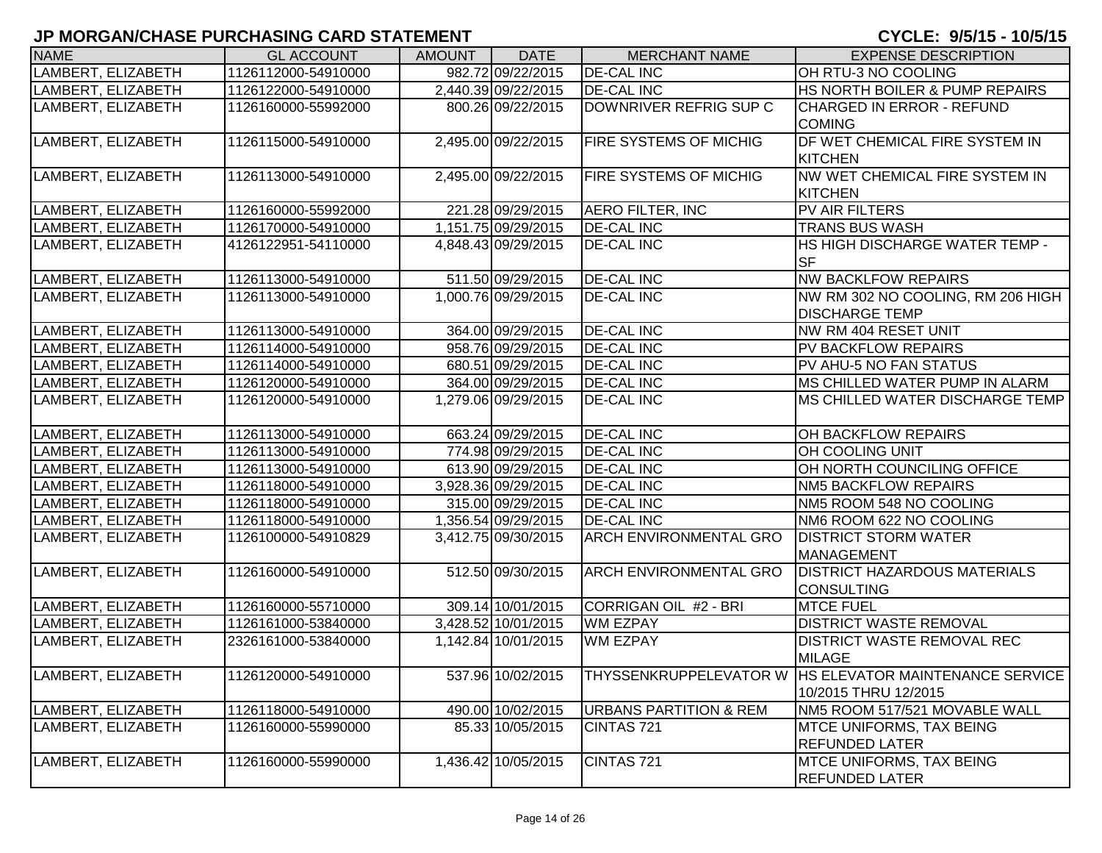| <b>NAME</b>        | <b>GL ACCOUNT</b>                          | <b>AMOUNT</b> | <b>DATE</b>         | <b>MERCHANT NAME</b>              | <b>EXPENSE DESCRIPTION</b>                               |
|--------------------|--------------------------------------------|---------------|---------------------|-----------------------------------|----------------------------------------------------------|
| LAMBERT, ELIZABETH | 1126112000-54910000                        |               | 982.72 09/22/2015   | <b>DE-CAL INC</b>                 | OH RTU-3 NO COOLING                                      |
| LAMBERT, ELIZABETH | 1126122000-54910000                        |               | 2,440.39 09/22/2015 | <b>DE-CAL INC</b>                 | HS NORTH BOILER & PUMP REPAIRS                           |
| LAMBERT, ELIZABETH | 1126160000-55992000                        |               | 800.26 09/22/2015   | DOWNRIVER REFRIG SUP C            | CHARGED IN ERROR - REFUND                                |
|                    |                                            |               |                     |                                   | <b>COMING</b>                                            |
| LAMBERT, ELIZABETH | 1126115000-54910000                        |               | 2,495.00 09/22/2015 | FIRE SYSTEMS OF MICHIG            | DF WET CHEMICAL FIRE SYSTEM IN                           |
|                    |                                            |               |                     |                                   | <b>KITCHEN</b>                                           |
| LAMBERT, ELIZABETH | 1126113000-54910000                        |               | 2,495.00 09/22/2015 | <b>FIRE SYSTEMS OF MICHIG</b>     | NW WET CHEMICAL FIRE SYSTEM IN                           |
|                    |                                            |               |                     |                                   | <b>KITCHEN</b>                                           |
| LAMBERT, ELIZABETH | 1126160000-55992000                        |               | 221.28 09/29/2015   | <b>AERO FILTER, INC</b>           | PV AIR FILTERS                                           |
| LAMBERT, ELIZABETH | 1126170000-54910000                        |               | 1,151.75 09/29/2015 | <b>DE-CAL INC</b>                 | <b>TRANS BUS WASH</b>                                    |
| LAMBERT, ELIZABETH | 4126122951-54110000                        |               | 4,848.43 09/29/2015 | <b>DE-CAL INC</b>                 | HS HIGH DISCHARGE WATER TEMP -                           |
|                    |                                            |               |                     |                                   | <b>SF</b>                                                |
| LAMBERT, ELIZABETH | 1126113000-54910000                        |               | 511.50 09/29/2015   | <b>DE-CAL INC</b>                 | <b>NW BACKLFOW REPAIRS</b>                               |
| LAMBERT, ELIZABETH | 1126113000-54910000                        |               | 1,000.76 09/29/2015 | <b>DE-CAL INC</b>                 | NW RM 302 NO COOLING, RM 206 HIGH                        |
|                    |                                            |               |                     |                                   | <b>DISCHARGE TEMP</b>                                    |
| LAMBERT, ELIZABETH | 1126113000-54910000                        |               | 364.00 09/29/2015   | <b>DE-CAL INC</b>                 | NW RM 404 RESET UNIT                                     |
| LAMBERT, ELIZABETH | 1126114000-54910000                        |               | 958.76 09/29/2015   | <b>DE-CAL INC</b>                 | <b>PV BACKFLOW REPAIRS</b>                               |
| LAMBERT, ELIZABETH | 1126114000-54910000                        |               | 680.51 09/29/2015   | <b>DE-CAL INC</b>                 | PV AHU-5 NO FAN STATUS                                   |
| LAMBERT, ELIZABETH | 1126120000-54910000                        |               | 364.00 09/29/2015   | <b>DE-CAL INC</b>                 | MS CHILLED WATER PUMP IN ALARM                           |
| LAMBERT, ELIZABETH | 1126120000-54910000                        |               | 1,279.06 09/29/2015 | <b>DE-CAL INC</b>                 | MS CHILLED WATER DISCHARGE TEMP                          |
| LAMBERT, ELIZABETH | 1126113000-54910000                        |               | 663.24 09/29/2015   | <b>DE-CAL INC</b>                 | OH BACKFLOW REPAIRS                                      |
| LAMBERT, ELIZABETH | 1126113000-54910000                        |               | 774.98 09/29/2015   | <b>DE-CAL INC</b>                 | OH COOLING UNIT                                          |
| LAMBERT, ELIZABETH |                                            |               | 613.90 09/29/2015   | <b>DE-CAL INC</b>                 | OH NORTH COUNCILING OFFICE                               |
| LAMBERT, ELIZABETH | 1126113000-54910000<br>1126118000-54910000 |               | 3,928.36 09/29/2015 | <b>DE-CAL INC</b>                 | <b>NM5 BACKFLOW REPAIRS</b>                              |
| LAMBERT, ELIZABETH | 1126118000-54910000                        |               | 315.00 09/29/2015   | <b>DE-CAL INC</b>                 | NM5 ROOM 548 NO COOLING                                  |
| LAMBERT, ELIZABETH | 1126118000-54910000                        |               | 1,356.54 09/29/2015 | <b>DE-CAL INC</b>                 | NM6 ROOM 622 NO COOLING                                  |
| LAMBERT, ELIZABETH | 1126100000-54910829                        |               | 3,412.75 09/30/2015 | <b>ARCH ENVIRONMENTAL GRO</b>     | <b>DISTRICT STORM WATER</b>                              |
|                    |                                            |               |                     |                                   | <b>MANAGEMENT</b>                                        |
| LAMBERT, ELIZABETH | 1126160000-54910000                        |               | 512.50 09/30/2015   | <b>ARCH ENVIRONMENTAL GRO</b>     | <b>DISTRICT HAZARDOUS MATERIALS</b>                      |
|                    |                                            |               |                     |                                   | <b>CONSULTING</b>                                        |
| LAMBERT, ELIZABETH | 1126160000-55710000                        |               | 309.14 10/01/2015   | CORRIGAN OIL #2 - BRI             | <b>MTCE FUEL</b>                                         |
| LAMBERT, ELIZABETH | 1126161000-53840000                        |               | 3,428.52 10/01/2015 | <b>WM EZPAY</b>                   | <b>DISTRICT WASTE REMOVAL</b>                            |
| LAMBERT, ELIZABETH | 2326161000-53840000                        |               | 1,142.84 10/01/2015 | <b>WM EZPAY</b>                   | <b>DISTRICT WASTE REMOVAL REC</b>                        |
|                    |                                            |               |                     |                                   | <b>MILAGE</b>                                            |
| LAMBERT, ELIZABETH | 1126120000-54910000                        |               | 537.96 10/02/2015   |                                   | THYSSENKRUPPELEVATOR W   HS ELEVATOR MAINTENANCE SERVICE |
|                    |                                            |               |                     |                                   | 10/2015 THRU 12/2015                                     |
| LAMBERT, ELIZABETH | 1126118000-54910000                        |               | 490.00 10/02/2015   | <b>URBANS PARTITION &amp; REM</b> | NM5 ROOM 517/521 MOVABLE WALL                            |
| LAMBERT, ELIZABETH | 1126160000-55990000                        |               | 85.33 10/05/2015    | CINTAS 721                        | <b>MTCE UNIFORMS, TAX BEING</b>                          |
|                    |                                            |               |                     |                                   | <b>REFUNDED LATER</b>                                    |
| LAMBERT, ELIZABETH | 1126160000-55990000                        |               | 1,436.42 10/05/2015 | CINTAS 721                        | <b>MTCE UNIFORMS, TAX BEING</b>                          |
|                    |                                            |               |                     |                                   | <b>REFUNDED LATER</b>                                    |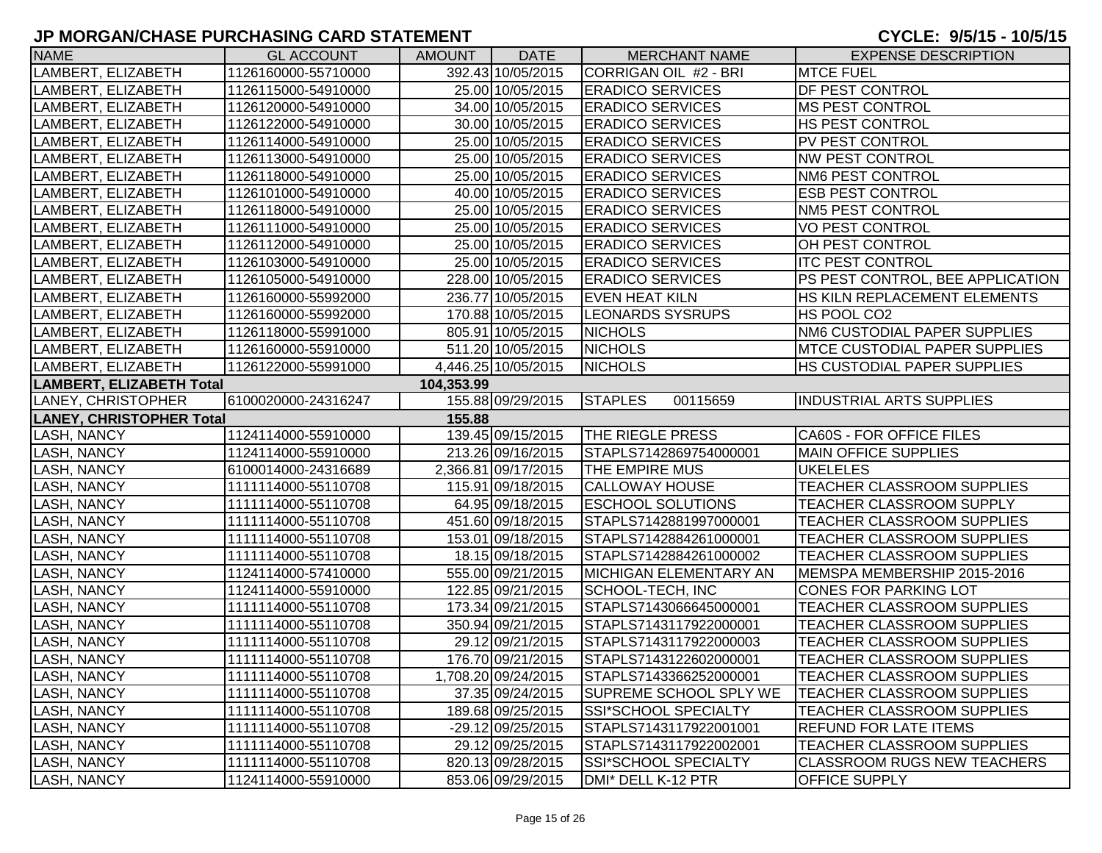| <b>NAME</b>                     | <b>GL ACCOUNT</b>   | <b>AMOUNT</b> | <b>DATE</b>         | <b>MERCHANT NAME</b>       | <b>EXPENSE DESCRIPTION</b>           |
|---------------------------------|---------------------|---------------|---------------------|----------------------------|--------------------------------------|
| LAMBERT, ELIZABETH              | 1126160000-55710000 |               | 392.43 10/05/2015   | CORRIGAN OIL #2 - BRI      | <b>MTCE FUEL</b>                     |
| LAMBERT, ELIZABETH              | 1126115000-54910000 |               | 25.00 10/05/2015    | <b>ERADICO SERVICES</b>    | <b>DF PEST CONTROL</b>               |
| LAMBERT, ELIZABETH              | 1126120000-54910000 |               | 34.00 10/05/2015    | <b>ERADICO SERVICES</b>    | <b>MS PEST CONTROL</b>               |
| LAMBERT, ELIZABETH              | 1126122000-54910000 |               | 30.00 10/05/2015    | <b>ERADICO SERVICES</b>    | <b>HS PEST CONTROL</b>               |
| LAMBERT, ELIZABETH              | 1126114000-54910000 |               | 25.00 10/05/2015    | <b>ERADICO SERVICES</b>    | PV PEST CONTROL                      |
| LAMBERT, ELIZABETH              | 1126113000-54910000 |               | 25.00 10/05/2015    | <b>ERADICO SERVICES</b>    | <b>NW PEST CONTROL</b>               |
| LAMBERT, ELIZABETH              | 1126118000-54910000 |               | 25.00 10/05/2015    | <b>ERADICO SERVICES</b>    | <b>NM6 PEST CONTROL</b>              |
| LAMBERT, ELIZABETH              | 1126101000-54910000 |               | 40.00 10/05/2015    | <b>ERADICO SERVICES</b>    | <b>ESB PEST CONTROL</b>              |
| LAMBERT, ELIZABETH              | 1126118000-54910000 |               | 25.00 10/05/2015    | <b>ERADICO SERVICES</b>    | <b>NM5 PEST CONTROL</b>              |
| LAMBERT, ELIZABETH              | 1126111000-54910000 |               | 25.00 10/05/2015    | <b>ERADICO SERVICES</b>    | <b>VO PEST CONTROL</b>               |
| LAMBERT, ELIZABETH              | 1126112000-54910000 |               | 25.00 10/05/2015    | <b>ERADICO SERVICES</b>    | OH PEST CONTROL                      |
| LAMBERT, ELIZABETH              | 1126103000-54910000 |               | 25.00 10/05/2015    | <b>ERADICO SERVICES</b>    | <b>ITC PEST CONTROL</b>              |
| LAMBERT, ELIZABETH              | 1126105000-54910000 |               | 228.00 10/05/2015   | <b>ERADICO SERVICES</b>    | PS PEST CONTROL, BEE APPLICATION     |
| LAMBERT, ELIZABETH              | 1126160000-55992000 |               | 236.77 10/05/2015   | <b>EVEN HEAT KILN</b>      | HS KILN REPLACEMENT ELEMENTS         |
| LAMBERT, ELIZABETH              | 1126160000-55992000 |               | 170.88 10/05/2015   | <b>LEONARDS SYSRUPS</b>    | HS POOL CO2                          |
| LAMBERT, ELIZABETH              | 1126118000-55991000 |               | 805.91 10/05/2015   | <b>NICHOLS</b>             | NM6 CUSTODIAL PAPER SUPPLIES         |
| LAMBERT, ELIZABETH              | 1126160000-55910000 |               | 511.20 10/05/2015   | <b>NICHOLS</b>             | <b>MTCE CUSTODIAL PAPER SUPPLIES</b> |
| LAMBERT, ELIZABETH              | 1126122000-55991000 |               | 4,446.25 10/05/2015 | <b>NICHOLS</b>             | <b>HS CUSTODIAL PAPER SUPPLIES</b>   |
| <b>LAMBERT, ELIZABETH Total</b> |                     | 104,353.99    |                     |                            |                                      |
| <b>LANEY, CHRISTOPHER</b>       | 6100020000-24316247 |               | 155.88 09/29/2015   | <b>STAPLES</b><br>00115659 | <b>INDUSTRIAL ARTS SUPPLIES</b>      |
| <b>LANEY, CHRISTOPHER Total</b> |                     | 155.88        |                     |                            |                                      |
| <b>LASH, NANCY</b>              | 1124114000-55910000 |               | 139.45 09/15/2015   | <b>THE RIEGLE PRESS</b>    | CA60S - FOR OFFICE FILES             |
| <b>LASH, NANCY</b>              | 1124114000-55910000 |               | 213.26 09/16/2015   | STAPLS7142869754000001     | <b>MAIN OFFICE SUPPLIES</b>          |
| <b>LASH, NANCY</b>              | 6100014000-24316689 |               | 2,366.81 09/17/2015 | THE EMPIRE MUS             | <b>UKELELES</b>                      |
| <b>LASH, NANCY</b>              | 1111114000-55110708 |               | 115.91 09/18/2015   | <b>CALLOWAY HOUSE</b>      | <b>TEACHER CLASSROOM SUPPLIES</b>    |
| <b>LASH, NANCY</b>              | 1111114000-55110708 |               | 64.95 09/18/2015    | <b>ESCHOOL SOLUTIONS</b>   | <b>TEACHER CLASSROOM SUPPLY</b>      |
| LASH, NANCY                     | 1111114000-55110708 |               | 451.60 09/18/2015   | STAPLS7142881997000001     | TEACHER CLASSROOM SUPPLIES           |
| LASH, NANCY                     | 1111114000-55110708 |               | 153.01 09/18/2015   | STAPLS7142884261000001     | <b>TEACHER CLASSROOM SUPPLIES</b>    |
| LASH, NANCY                     | 1111114000-55110708 |               | 18.15 09/18/2015    | STAPLS7142884261000002     | <b>TEACHER CLASSROOM SUPPLIES</b>    |
| LASH, NANCY                     | 1124114000-57410000 |               | 555.00 09/21/2015   | MICHIGAN ELEMENTARY AN     | MEMSPA MEMBERSHIP 2015-2016          |
| LASH, NANCY                     | 1124114000-55910000 |               | 122.85 09/21/2015   | SCHOOL-TECH, INC           | <b>CONES FOR PARKING LOT</b>         |
| LASH, NANCY                     | 1111114000-55110708 |               | 173.34 09/21/2015   | STAPLS7143066645000001     | TEACHER CLASSROOM SUPPLIES           |
| <b>LASH, NANCY</b>              | 1111114000-55110708 |               | 350.94 09/21/2015   | STAPLS7143117922000001     | TEACHER CLASSROOM SUPPLIES           |
| <b>LASH, NANCY</b>              | 1111114000-55110708 |               | 29.12 09/21/2015    | STAPLS7143117922000003     | <b>TEACHER CLASSROOM SUPPLIES</b>    |
| <b>LASH, NANCY</b>              | 1111114000-55110708 |               | 176.70 09/21/2015   | STAPLS7143122602000001     | TEACHER CLASSROOM SUPPLIES           |
| <b>LASH, NANCY</b>              | 1111114000-55110708 |               | 1,708.20 09/24/2015 | STAPLS7143366252000001     | <b>TEACHER CLASSROOM SUPPLIES</b>    |
| LASH, NANCY                     | 1111114000-55110708 |               | 37.35 09/24/2015    | SUPREME SCHOOL SPLY WE     | <b>TEACHER CLASSROOM SUPPLIES</b>    |
| <b>LASH, NANCY</b>              | 1111114000-55110708 |               | 189.68 09/25/2015   | SSI*SCHOOL SPECIALTY       | <b>TEACHER CLASSROOM SUPPLIES</b>    |
| LASH, NANCY                     | 1111114000-55110708 |               | -29.12 09/25/2015   | STAPLS7143117922001001     | <b>REFUND FOR LATE ITEMS</b>         |
| <b>LASH, NANCY</b>              | 1111114000-55110708 |               | 29.12 09/25/2015    | STAPLS7143117922002001     | TEACHER CLASSROOM SUPPLIES           |
| <b>LASH, NANCY</b>              | 1111114000-55110708 |               | 820.13 09/28/2015   | SSI*SCHOOL SPECIALTY       | <b>CLASSROOM RUGS NEW TEACHERS</b>   |
| <b>LASH, NANCY</b>              | 1124114000-55910000 |               | 853.06 09/29/2015   | DMI* DELL K-12 PTR         | <b>OFFICE SUPPLY</b>                 |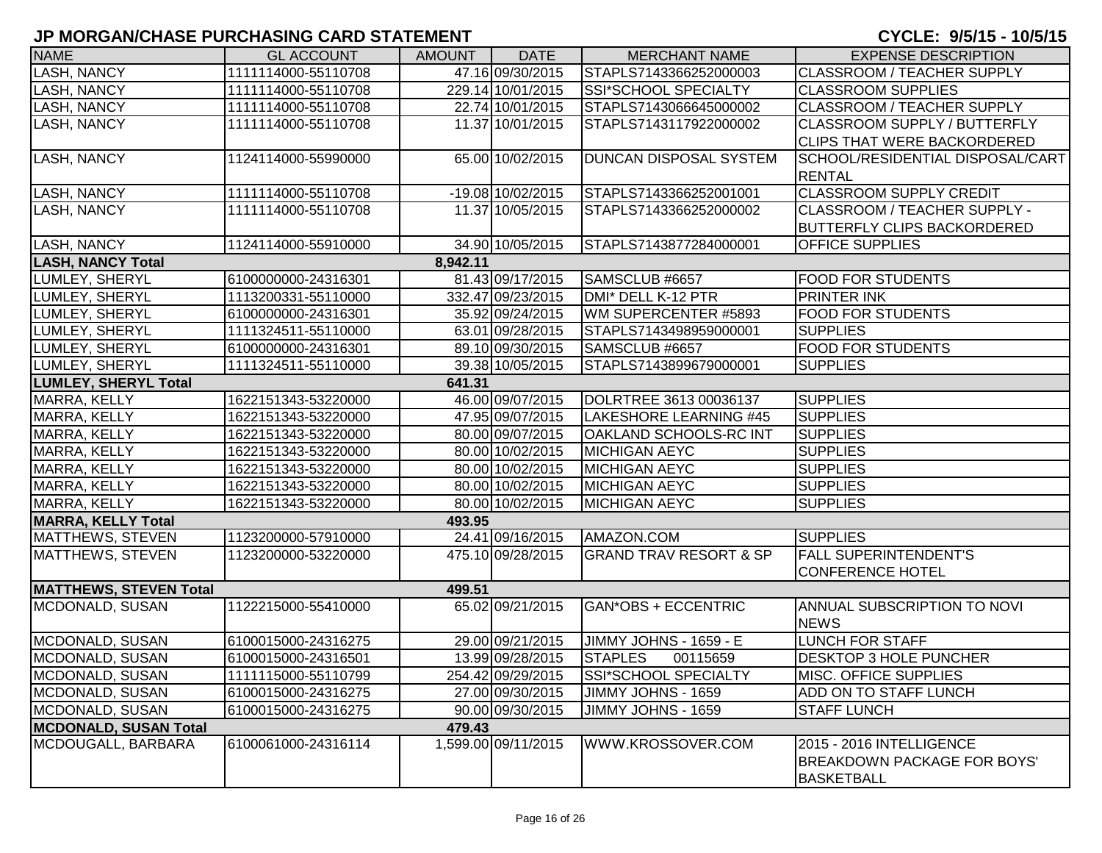| <b>NAME</b>                   | <b>GL ACCOUNT</b>   | <b>AMOUNT</b> | <b>DATE</b>         | <b>MERCHANT NAME</b>              | <b>EXPENSE DESCRIPTION</b>                                                          |
|-------------------------------|---------------------|---------------|---------------------|-----------------------------------|-------------------------------------------------------------------------------------|
| <b>LASH, NANCY</b>            | 1111114000-55110708 |               | 47.16 09/30/2015    | STAPLS7143366252000003            | <b>CLASSROOM / TEACHER SUPPLY</b>                                                   |
| <b>LASH, NANCY</b>            | 1111114000-55110708 |               | 229.14 10/01/2015   | <b>SSI*SCHOOL SPECIALTY</b>       | <b>CLASSROOM SUPPLIES</b>                                                           |
| <b>LASH, NANCY</b>            | 1111114000-55110708 |               | 22.74 10/01/2015    | STAPLS7143066645000002            | CLASSROOM / TEACHER SUPPLY                                                          |
| <b>LASH, NANCY</b>            | 1111114000-55110708 |               | 11.37 10/01/2015    | STAPLS7143117922000002            | CLASSROOM SUPPLY / BUTTERFLY                                                        |
|                               |                     |               |                     |                                   | <b>CLIPS THAT WERE BACKORDERED</b>                                                  |
| <b>LASH, NANCY</b>            | 1124114000-55990000 |               | 65.00 10/02/2015    | <b>DUNCAN DISPOSAL SYSTEM</b>     | SCHOOL/RESIDENTIAL DISPOSAL/CART                                                    |
|                               |                     |               |                     |                                   | <b>RENTAL</b>                                                                       |
| <b>LASH, NANCY</b>            | 1111114000-55110708 |               | -19.08 10/02/2015   | STAPLS7143366252001001            | <b>CLASSROOM SUPPLY CREDIT</b>                                                      |
| LASH, NANCY                   | 1111114000-55110708 |               | 11.37 10/05/2015    | STAPLS7143366252000002            | CLASSROOM / TEACHER SUPPLY -                                                        |
|                               |                     |               |                     |                                   | <b>BUTTERFLY CLIPS BACKORDERED</b>                                                  |
| <b>LASH, NANCY</b>            | 1124114000-55910000 |               | 34.90 10/05/2015    | STAPLS7143877284000001            | <b>OFFICE SUPPLIES</b>                                                              |
| <b>LASH, NANCY Total</b>      |                     | 8,942.11      |                     |                                   |                                                                                     |
| LUMLEY, SHERYL                | 6100000000-24316301 |               | 81.43 09/17/2015    | SAMSCLUB #6657                    | <b>FOOD FOR STUDENTS</b>                                                            |
| LUMLEY, SHERYL                | 1113200331-55110000 |               | 332.47 09/23/2015   | DMI* DELL K-12 PTR                | <b>PRINTER INK</b>                                                                  |
| LUMLEY, SHERYL                | 6100000000-24316301 |               | 35.92 09/24/2015    | WM SUPERCENTER #5893              | <b>FOOD FOR STUDENTS</b>                                                            |
| LUMLEY, SHERYL                | 1111324511-55110000 |               | 63.01 09/28/2015    | STAPLS7143498959000001            | <b>SUPPLIES</b>                                                                     |
| LUMLEY, SHERYL                | 6100000000-24316301 |               | 89.10 09/30/2015    | SAMSCLUB #6657                    | <b>FOOD FOR STUDENTS</b>                                                            |
| LUMLEY, SHERYL                | 1111324511-55110000 |               | 39.38 10/05/2015    | STAPLS7143899679000001            | <b>SUPPLIES</b>                                                                     |
| <b>LUMLEY, SHERYL Total</b>   |                     | 641.31        |                     |                                   |                                                                                     |
| MARRA, KELLY                  | 1622151343-53220000 |               | 46.00 09/07/2015    | DOLRTREE 3613 00036137            | <b>SUPPLIES</b>                                                                     |
| MARRA, KELLY                  | 1622151343-53220000 |               | 47.95 09/07/2015    | LAKESHORE LEARNING #45            | <b>SUPPLIES</b>                                                                     |
| MARRA, KELLY                  | 1622151343-53220000 |               | 80.00 09/07/2015    | OAKLAND SCHOOLS-RC INT            | <b>SUPPLIES</b>                                                                     |
| MARRA, KELLY                  | 1622151343-53220000 |               | 80.00 10/02/2015    | <b>MICHIGAN AEYC</b>              | <b>SUPPLIES</b>                                                                     |
| MARRA, KELLY                  | 1622151343-53220000 |               | 80.00 10/02/2015    | <b>MICHIGAN AEYC</b>              | <b>SUPPLIES</b>                                                                     |
| MARRA, KELLY                  | 1622151343-53220000 |               | 80.00 10/02/2015    | <b>MICHIGAN AEYC</b>              | <b>SUPPLIES</b>                                                                     |
| MARRA, KELLY                  | 1622151343-53220000 |               | 80.00 10/02/2015    | <b>MICHIGAN AEYC</b>              | <b>SUPPLIES</b>                                                                     |
| <b>MARRA, KELLY Total</b>     |                     | 493.95        |                     |                                   |                                                                                     |
| <b>MATTHEWS, STEVEN</b>       | 1123200000-57910000 |               | 24.41 09/16/2015    | AMAZON.COM                        | <b>SUPPLIES</b>                                                                     |
| <b>MATTHEWS, STEVEN</b>       | 1123200000-53220000 |               | 475.10 09/28/2015   | <b>GRAND TRAV RESORT &amp; SP</b> | <b>FALL SUPERINTENDENT'S</b>                                                        |
|                               |                     |               |                     |                                   | <b>CONFERENCE HOTEL</b>                                                             |
| <b>MATTHEWS, STEVEN Total</b> |                     | 499.51        |                     |                                   |                                                                                     |
| MCDONALD, SUSAN               | 1122215000-55410000 |               | 65.02 09/21/2015    | <b>GAN*OBS + ECCENTRIC</b>        | ANNUAL SUBSCRIPTION TO NOVI                                                         |
|                               |                     |               |                     |                                   | <b>NEWS</b>                                                                         |
| MCDONALD, SUSAN               | 6100015000-24316275 |               | 29.00 09/21/2015    | JIMMY JOHNS - 1659 - E            | <b>LUNCH FOR STAFF</b>                                                              |
| MCDONALD, SUSAN               | 6100015000-24316501 |               | 13.99 09/28/2015    | <b>STAPLES</b><br>00115659        | <b>DESKTOP 3 HOLE PUNCHER</b>                                                       |
| MCDONALD, SUSAN               | 1111115000-55110799 |               | 254.42 09/29/2015   | <b>SSI*SCHOOL SPECIALTY</b>       | <b>MISC. OFFICE SUPPLIES</b>                                                        |
| MCDONALD, SUSAN               | 6100015000-24316275 |               | 27.00 09/30/2015    | JIMMY JOHNS - 1659                | ADD ON TO STAFF LUNCH                                                               |
| MCDONALD, SUSAN               | 6100015000-24316275 |               | 90.00 09/30/2015    | JIMMY JOHNS - 1659                | <b>STAFF LUNCH</b>                                                                  |
| <b>MCDONALD, SUSAN Total</b>  |                     | 479.43        |                     |                                   |                                                                                     |
| MCDOUGALL, BARBARA            | 6100061000-24316114 |               | 1,599.00 09/11/2015 | WWW.KROSSOVER.COM                 | 2015 - 2016 INTELLIGENCE<br><b>BREAKDOWN PACKAGE FOR BOYS'</b><br><b>BASKETBALL</b> |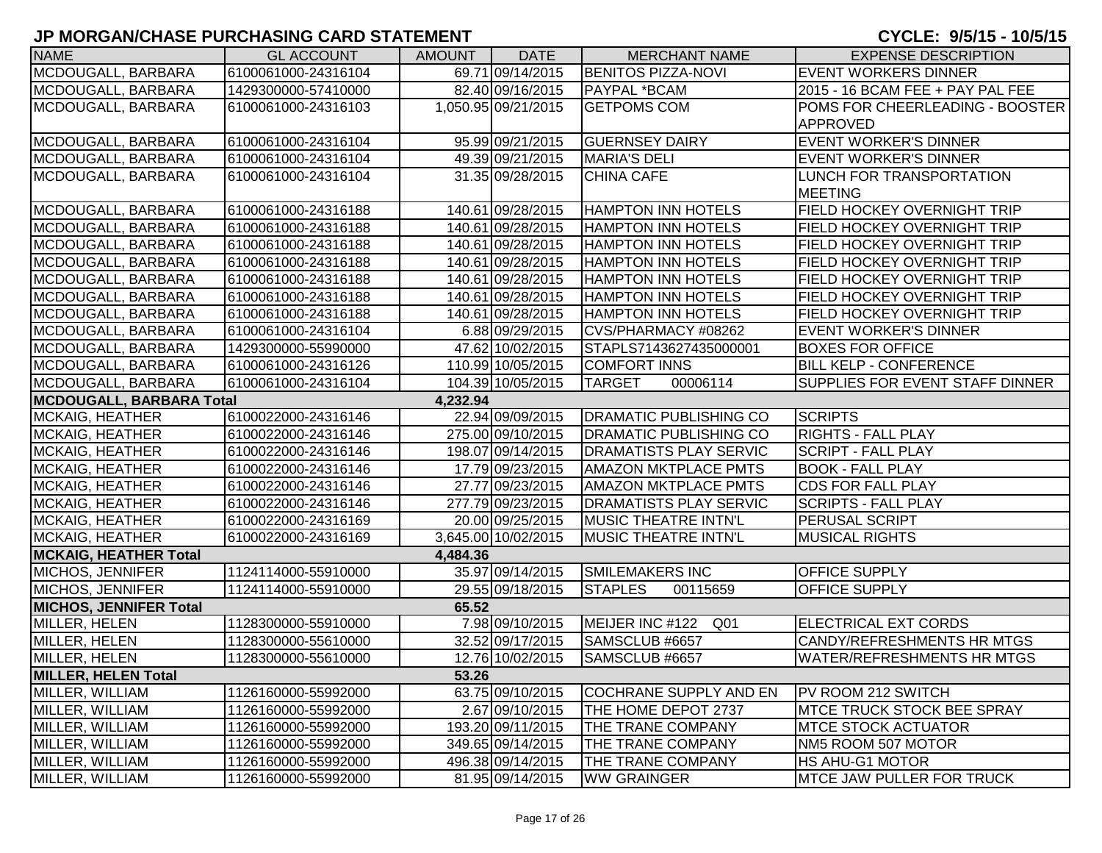| <b>NAME</b>                     | <b>GL ACCOUNT</b>   | <b>AMOUNT</b> | <b>DATE</b>         | <b>MERCHANT NAME</b>          | <b>EXPENSE DESCRIPTION</b>             |
|---------------------------------|---------------------|---------------|---------------------|-------------------------------|----------------------------------------|
| MCDOUGALL, BARBARA              | 6100061000-24316104 |               | 69.71 09/14/2015    | <b>BENITOS PIZZA-NOVI</b>     | <b>EVENT WORKERS DINNER</b>            |
| MCDOUGALL, BARBARA              | 1429300000-57410000 |               | 82.40 09/16/2015    | PAYPAL *BCAM                  | 2015 - 16 BCAM FEE + PAY PAL FEE       |
| MCDOUGALL, BARBARA              | 6100061000-24316103 |               | 1,050.95 09/21/2015 | <b>GETPOMS COM</b>            | POMS FOR CHEERLEADING - BOOSTER        |
|                                 |                     |               |                     |                               | <b>APPROVED</b>                        |
| MCDOUGALL, BARBARA              | 6100061000-24316104 |               | 95.99 09/21/2015    | <b>GUERNSEY DAIRY</b>         | <b>EVENT WORKER'S DINNER</b>           |
| MCDOUGALL, BARBARA              | 6100061000-24316104 |               | 49.39 09/21/2015    | <b>MARIA'S DELI</b>           | <b>EVENT WORKER'S DINNER</b>           |
| MCDOUGALL, BARBARA              | 6100061000-24316104 |               | 31.35 09/28/2015    | <b>CHINA CAFE</b>             | LUNCH FOR TRANSPORTATION               |
|                                 |                     |               |                     |                               | <b>MEETING</b>                         |
| MCDOUGALL, BARBARA              | 6100061000-24316188 |               | 140.61 09/28/2015   | <b>HAMPTON INN HOTELS</b>     | FIELD HOCKEY OVERNIGHT TRIP            |
| MCDOUGALL, BARBARA              | 6100061000-24316188 |               | 140.61 09/28/2015   | <b>HAMPTON INN HOTELS</b>     | FIELD HOCKEY OVERNIGHT TRIP            |
| <b>MCDOUGALL, BARBARA</b>       | 6100061000-24316188 |               | 140.61 09/28/2015   | <b>HAMPTON INN HOTELS</b>     | FIELD HOCKEY OVERNIGHT TRIP            |
| MCDOUGALL, BARBARA              | 6100061000-24316188 |               | 140.61 09/28/2015   | <b>HAMPTON INN HOTELS</b>     | FIELD HOCKEY OVERNIGHT TRIP            |
| MCDOUGALL, BARBARA              | 6100061000-24316188 |               | 140.61 09/28/2015   | <b>HAMPTON INN HOTELS</b>     | FIELD HOCKEY OVERNIGHT TRIP            |
| MCDOUGALL, BARBARA              | 6100061000-24316188 |               | 140.61 09/28/2015   | <b>HAMPTON INN HOTELS</b>     | <b>FIELD HOCKEY OVERNIGHT TRIP</b>     |
| <b>MCDOUGALL, BARBARA</b>       | 6100061000-24316188 |               | 140.61 09/28/2015   | <b>HAMPTON INN HOTELS</b>     | FIELD HOCKEY OVERNIGHT TRIP            |
| MCDOUGALL, BARBARA              | 6100061000-24316104 |               | 6.88 09/29/2015     | CVS/PHARMACY #08262           | <b>EVENT WORKER'S DINNER</b>           |
| MCDOUGALL, BARBARA              | 1429300000-55990000 |               | 47.62 10/02/2015    | STAPLS7143627435000001        | <b>BOXES FOR OFFICE</b>                |
| MCDOUGALL, BARBARA              | 6100061000-24316126 |               | 110.99 10/05/2015   | <b>COMFORT INNS</b>           | <b>BILL KELP - CONFERENCE</b>          |
| MCDOUGALL, BARBARA              | 6100061000-24316104 |               | 104.39 10/05/2015   | <b>TARGET</b><br>00006114     | <b>SUPPLIES FOR EVENT STAFF DINNER</b> |
| <b>MCDOUGALL, BARBARA Total</b> |                     | 4,232.94      |                     |                               |                                        |
| <b>MCKAIG, HEATHER</b>          | 6100022000-24316146 |               | 22.94 09/09/2015    | <b>DRAMATIC PUBLISHING CO</b> | <b>SCRIPTS</b>                         |
| <b>MCKAIG, HEATHER</b>          | 6100022000-24316146 |               | 275.00 09/10/2015   | <b>DRAMATIC PUBLISHING CO</b> | <b>RIGHTS - FALL PLAY</b>              |
| <b>MCKAIG, HEATHER</b>          | 6100022000-24316146 |               | 198.07 09/14/2015   | <b>DRAMATISTS PLAY SERVIC</b> | <b>SCRIPT - FALL PLAY</b>              |
| <b>MCKAIG, HEATHER</b>          | 6100022000-24316146 |               | 17.79 09/23/2015    | <b>AMAZON MKTPLACE PMTS</b>   | <b>BOOK - FALL PLAY</b>                |
| <b>MCKAIG, HEATHER</b>          | 6100022000-24316146 |               | 27.77 09/23/2015    | <b>AMAZON MKTPLACE PMTS</b>   | <b>CDS FOR FALL PLAY</b>               |
| <b>MCKAIG, HEATHER</b>          | 6100022000-24316146 |               | 277.79 09/23/2015   | <b>DRAMATISTS PLAY SERVIC</b> | <b>SCRIPTS - FALL PLAY</b>             |
| <b>MCKAIG, HEATHER</b>          | 6100022000-24316169 |               | 20.00 09/25/2015    | <b>MUSIC THEATRE INTN'L</b>   | PERUSAL SCRIPT                         |
| <b>MCKAIG, HEATHER</b>          | 6100022000-24316169 |               | 3,645.00 10/02/2015 | <b>MUSIC THEATRE INTN'L</b>   | <b>MUSICAL RIGHTS</b>                  |
| <b>MCKAIG, HEATHER Total</b>    |                     | 4,484.36      |                     |                               |                                        |
| MICHOS, JENNIFER                | 1124114000-55910000 |               | 35.97 09/14/2015    | <b>SMILEMAKERS INC</b>        | <b>OFFICE SUPPLY</b>                   |
| <b>MICHOS, JENNIFER</b>         | 1124114000-55910000 |               | 29.55 09/18/2015    | <b>STAPLES</b><br>00115659    | <b>OFFICE SUPPLY</b>                   |
| <b>MICHOS, JENNIFER Total</b>   |                     | 65.52         |                     |                               |                                        |
| MILLER, HELEN                   | 1128300000-55910000 |               | 7.98 09/10/2015     | MEIJER INC #122<br>Q01        | ELECTRICAL EXT CORDS                   |
| MILLER, HELEN                   | 1128300000-55610000 |               | 32.52 09/17/2015    | SAMSCLUB #6657                | <b>CANDY/REFRESHMENTS HR MTGS</b>      |
| MILLER, HELEN                   | 1128300000-55610000 |               | 12.76 10/02/2015    | SAMSCLUB #6657                | <b>WATER/REFRESHMENTS HR MTGS</b>      |
| <b>MILLER, HELEN Total</b>      |                     | 53.26         |                     |                               |                                        |
| MILLER, WILLIAM                 | 1126160000-55992000 |               | 63.75 09/10/2015    | <b>COCHRANE SUPPLY AND EN</b> | PV ROOM 212 SWITCH                     |
| MILLER, WILLIAM                 | 1126160000-55992000 |               | 2.67 09/10/2015     | THE HOME DEPOT 2737           | <b>MTCE TRUCK STOCK BEE SPRAY</b>      |
| MILLER, WILLIAM                 | 1126160000-55992000 |               | 193.20 09/11/2015   | THE TRANE COMPANY             | <b>MTCE STOCK ACTUATOR</b>             |
| MILLER, WILLIAM                 | 1126160000-55992000 |               | 349.65 09/14/2015   | THE TRANE COMPANY             | NM5 ROOM 507 MOTOR                     |
| MILLER, WILLIAM                 | 1126160000-55992000 |               | 496.38 09/14/2015   | THE TRANE COMPANY             | HS AHU-G1 MOTOR                        |
| MILLER, WILLIAM                 | 1126160000-55992000 |               | 81.95 09/14/2015    | <b>WW GRAINGER</b>            | <b>MTCE JAW PULLER FOR TRUCK</b>       |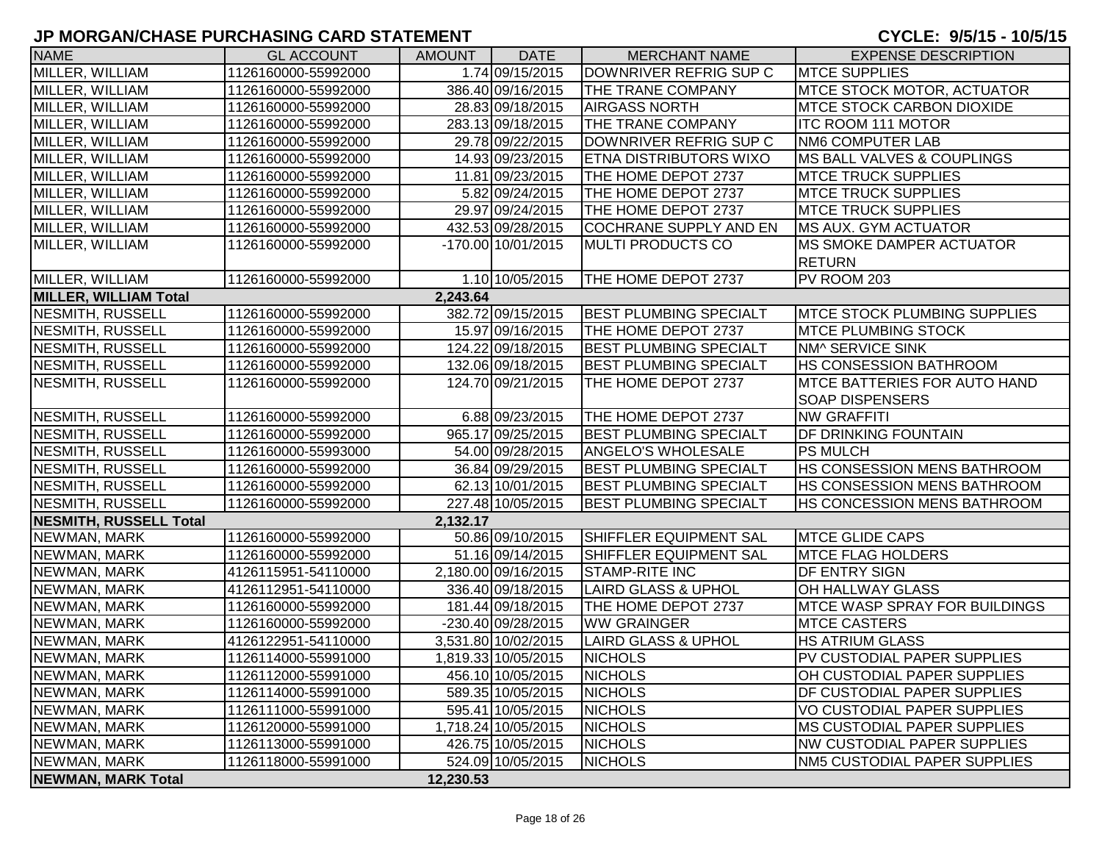| <b>NAME</b>                   | <b>GL ACCOUNT</b>   | <b>AMOUNT</b> | <b>DATE</b>         | <b>MERCHANT NAME</b>           | <b>EXPENSE DESCRIPTION</b>             |
|-------------------------------|---------------------|---------------|---------------------|--------------------------------|----------------------------------------|
| MILLER, WILLIAM               | 1126160000-55992000 |               | 1.74 09/15/2015     | DOWNRIVER REFRIG SUP C         | <b>MTCE SUPPLIES</b>                   |
| MILLER, WILLIAM               | 1126160000-55992000 |               | 386.40 09/16/2015   | THE TRANE COMPANY              | <b>MTCE STOCK MOTOR, ACTUATOR</b>      |
| MILLER, WILLIAM               | 1126160000-55992000 |               | 28.83 09/18/2015    | <b>AIRGASS NORTH</b>           | <b>IMTCE STOCK CARBON DIOXIDE</b>      |
| MILLER, WILLIAM               | 1126160000-55992000 |               | 283.13 09/18/2015   | THE TRANE COMPANY              | <b>ITC ROOM 111 MOTOR</b>              |
| MILLER, WILLIAM               | 1126160000-55992000 |               | 29.78 09/22/2015    | DOWNRIVER REFRIG SUP C         | <b>NM6 COMPUTER LAB</b>                |
| MILLER, WILLIAM               | 1126160000-55992000 |               | 14.93 09/23/2015    | <b>ETNA DISTRIBUTORS WIXO</b>  | <b>IMS BALL VALVES &amp; COUPLINGS</b> |
| MILLER, WILLIAM               | 1126160000-55992000 |               | 11.81 09/23/2015    | THE HOME DEPOT 2737            | <b>MTCE TRUCK SUPPLIES</b>             |
| MILLER, WILLIAM               | 1126160000-55992000 |               | 5.82 09/24/2015     | THE HOME DEPOT 2737            | <b>MTCE TRUCK SUPPLIES</b>             |
| MILLER, WILLIAM               | 1126160000-55992000 |               | 29.97 09/24/2015    | THE HOME DEPOT 2737            | <b>MTCE TRUCK SUPPLIES</b>             |
| MILLER, WILLIAM               | 1126160000-55992000 |               | 432.53 09/28/2015   | <b>COCHRANE SUPPLY AND EN</b>  | <b>IMS AUX. GYM ACTUATOR</b>           |
| MILLER, WILLIAM               | 1126160000-55992000 |               | -170.00 10/01/2015  | <b>MULTI PRODUCTS CO</b>       | <b>MS SMOKE DAMPER ACTUATOR</b>        |
|                               |                     |               |                     |                                | <b>RETURN</b>                          |
| MILLER, WILLIAM               | 1126160000-55992000 |               | 1.10 10/05/2015     | THE HOME DEPOT 2737            | PV ROOM 203                            |
| <b>MILLER, WILLIAM Total</b>  |                     | 2,243.64      |                     |                                |                                        |
| NESMITH, RUSSELL              | 1126160000-55992000 |               | 382.72 09/15/2015   | <b>BEST PLUMBING SPECIALT</b>  | <b>IMTCE STOCK PLUMBING SUPPLIES</b>   |
| NESMITH, RUSSELL              | 1126160000-55992000 |               | 15.97 09/16/2015    | THE HOME DEPOT 2737            | <b>IMTCE PLUMBING STOCK</b>            |
| NESMITH, RUSSELL              | 1126160000-55992000 |               | 124.22 09/18/2015   | <b>BEST PLUMBING SPECIALT</b>  | NM^ SERVICE SINK                       |
| NESMITH, RUSSELL              | 1126160000-55992000 |               | 132.06 09/18/2015   | <b>BEST PLUMBING SPECIALT</b>  | <b>HS CONSESSION BATHROOM</b>          |
| NESMITH, RUSSELL              | 1126160000-55992000 |               | 124.70 09/21/2015   | THE HOME DEPOT 2737            | <b>IMTCE BATTERIES FOR AUTO HAND</b>   |
|                               |                     |               |                     |                                | <b>SOAP DISPENSERS</b>                 |
| NESMITH, RUSSELL              | 1126160000-55992000 |               | 6.88 09/23/2015     | THE HOME DEPOT 2737            | <b>NW GRAFFITI</b>                     |
| NESMITH, RUSSELL              | 1126160000-55992000 |               | 965.17 09/25/2015   | <b>BEST PLUMBING SPECIALT</b>  | <b>DF DRINKING FOUNTAIN</b>            |
| NESMITH, RUSSELL              | 1126160000-55993000 |               | 54.00 09/28/2015    | <b>ANGELO'S WHOLESALE</b>      | <b>PS MULCH</b>                        |
| NESMITH, RUSSELL              | 1126160000-55992000 |               | 36.84 09/29/2015    | <b>BEST PLUMBING SPECIALT</b>  | <b>HS CONSESSION MENS BATHROOM</b>     |
| NESMITH, RUSSELL              | 1126160000-55992000 |               | 62.13 10/01/2015    | <b>BEST PLUMBING SPECIALT</b>  | <b>HS CONSESSION MENS BATHROOM</b>     |
| NESMITH, RUSSELL              | 1126160000-55992000 |               | 227.48 10/05/2015   | <b>BEST PLUMBING SPECIALT</b>  | <b>HS CONCESSION MENS BATHROOM</b>     |
| <b>NESMITH, RUSSELL Total</b> |                     | 2,132.17      |                     |                                |                                        |
| NEWMAN, MARK                  | 1126160000-55992000 |               | 50.86 09/10/2015    | SHIFFLER EQUIPMENT SAL         | <b>MTCE GLIDE CAPS</b>                 |
| NEWMAN, MARK                  | 1126160000-55992000 |               | 51.16 09/14/2015    | SHIFFLER EQUIPMENT SAL         | <b>MTCE FLAG HOLDERS</b>               |
| NEWMAN, MARK                  | 4126115951-54110000 |               | 2,180.00 09/16/2015 | <b>STAMP-RITE INC</b>          | DF ENTRY SIGN                          |
| NEWMAN, MARK                  | 4126112951-54110000 |               | 336.40 09/18/2015   | <b>LAIRD GLASS &amp; UPHOL</b> | OH HALLWAY GLASS                       |
| NEWMAN, MARK                  | 1126160000-55992000 |               | 181.44 09/18/2015   | THE HOME DEPOT 2737            | <b>MTCE WASP SPRAY FOR BUILDINGS</b>   |
| NEWMAN, MARK                  | 1126160000-55992000 |               | -230.40 09/28/2015  | <b>WW GRAINGER</b>             | <b>MTCE CASTERS</b>                    |
| NEWMAN, MARK                  | 4126122951-54110000 |               | 3,531.80 10/02/2015 | <b>LAIRD GLASS &amp; UPHOL</b> | <b>HS ATRIUM GLASS</b>                 |
| NEWMAN, MARK                  | 1126114000-55991000 |               | 1,819.33 10/05/2015 | <b>NICHOLS</b>                 | PV CUSTODIAL PAPER SUPPLIES            |
| NEWMAN, MARK                  | 1126112000-55991000 |               | 456.10 10/05/2015   | <b>NICHOLS</b>                 | OH CUSTODIAL PAPER SUPPLIES            |
| NEWMAN, MARK                  | 1126114000-55991000 |               | 589.35 10/05/2015   | <b>NICHOLS</b>                 | <b>DF CUSTODIAL PAPER SUPPLIES</b>     |
| NEWMAN, MARK                  | 1126111000-55991000 |               | 595.41 10/05/2015   | <b>NICHOLS</b>                 | VO CUSTODIAL PAPER SUPPLIES            |
| NEWMAN, MARK                  | 1126120000-55991000 |               | 1,718.24 10/05/2015 | <b>NICHOLS</b>                 | <b>MS CUSTODIAL PAPER SUPPLIES</b>     |
| NEWMAN, MARK                  | 1126113000-55991000 |               | 426.75 10/05/2015   | <b>NICHOLS</b>                 | <b>NW CUSTODIAL PAPER SUPPLIES</b>     |
| NEWMAN, MARK                  | 1126118000-55991000 |               | 524.09 10/05/2015   | <b>NICHOLS</b>                 | NM5 CUSTODIAL PAPER SUPPLIES           |
| <b>NEWMAN, MARK Total</b>     |                     | 12,230.53     |                     |                                |                                        |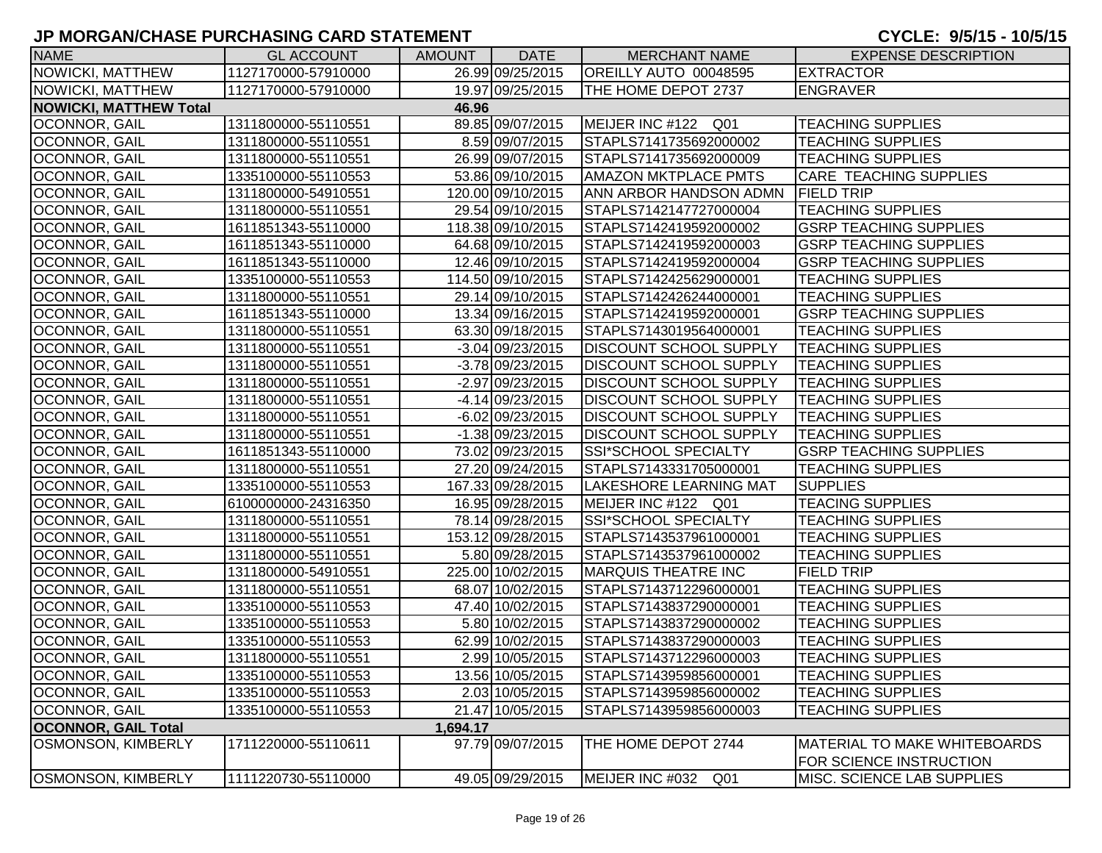| <b>NAME</b>                   | <b>GL ACCOUNT</b>   | AMOUNT   | <b>DATE</b>        | <b>MERCHANT NAME</b>          | <b>EXPENSE DESCRIPTION</b>    |
|-------------------------------|---------------------|----------|--------------------|-------------------------------|-------------------------------|
| <b>NOWICKI, MATTHEW</b>       | 1127170000-57910000 |          | 26.99 09/25/2015   | OREILLY AUTO 00048595         | <b>EXTRACTOR</b>              |
| NOWICKI, MATTHEW              | 1127170000-57910000 |          | 19.97 09/25/2015   | THE HOME DEPOT 2737           | ENGRAVER                      |
| <b>NOWICKI, MATTHEW Total</b> |                     | 46.96    |                    |                               |                               |
| <b>OCONNOR, GAIL</b>          | 1311800000-55110551 |          | 89.85 09/07/2015   | MEIJER INC #122 Q01           | <b>TEACHING SUPPLIES</b>      |
| <b>OCONNOR, GAIL</b>          | 1311800000-55110551 |          | 8.59 09/07/2015    | STAPLS7141735692000002        | <b>TEACHING SUPPLIES</b>      |
| <b>OCONNOR, GAIL</b>          | 1311800000-55110551 |          | 26.99 09/07/2015   | STAPLS7141735692000009        | <b>TEACHING SUPPLIES</b>      |
| <b>OCONNOR, GAIL</b>          | 1335100000-55110553 |          | 53.86 09/10/2015   | <b>AMAZON MKTPLACE PMTS</b>   | <b>CARE TEACHING SUPPLIES</b> |
| <b>OCONNOR, GAIL</b>          | 1311800000-54910551 |          | 120.00 09/10/2015  | ANN ARBOR HANDSON ADMN        | <b>FIELD TRIP</b>             |
| <b>OCONNOR, GAIL</b>          | 1311800000-55110551 |          | 29.54 09/10/2015   | STAPLS7142147727000004        | <b>TEACHING SUPPLIES</b>      |
| OCONNOR, GAIL                 | 1611851343-55110000 |          | 118.38 09/10/2015  | STAPLS7142419592000002        | <b>GSRP TEACHING SUPPLIES</b> |
| <b>OCONNOR, GAIL</b>          | 1611851343-55110000 |          | 64.68 09/10/2015   | STAPLS7142419592000003        | <b>GSRP TEACHING SUPPLIES</b> |
| OCONNOR, GAIL                 | 1611851343-55110000 |          | 12.46 09/10/2015   | STAPLS7142419592000004        | <b>GSRP TEACHING SUPPLIES</b> |
| <b>OCONNOR, GAIL</b>          | 1335100000-55110553 |          | 114.50 09/10/2015  | STAPLS7142425629000001        | <b>TEACHING SUPPLIES</b>      |
| OCONNOR, GAIL                 | 1311800000-55110551 |          | 29.14 09/10/2015   | STAPLS7142426244000001        | <b>TEACHING SUPPLIES</b>      |
| OCONNOR, GAIL                 | 1611851343-55110000 |          | 13.34 09/16/2015   | STAPLS7142419592000001        | <b>GSRP TEACHING SUPPLIES</b> |
| <b>OCONNOR, GAIL</b>          | 1311800000-55110551 |          | 63.30 09/18/2015   | STAPLS7143019564000001        | <b>TEACHING SUPPLIES</b>      |
| <b>OCONNOR, GAIL</b>          | 1311800000-55110551 |          | $-3.04$ 09/23/2015 | <b>DISCOUNT SCHOOL SUPPLY</b> | <b>TEACHING SUPPLIES</b>      |
| <b>OCONNOR, GAIL</b>          | 1311800000-55110551 |          | -3.78 09/23/2015   | <b>DISCOUNT SCHOOL SUPPLY</b> | <b>TEACHING SUPPLIES</b>      |
| <b>OCONNOR, GAIL</b>          | 1311800000-55110551 |          | -2.97 09/23/2015   | <b>DISCOUNT SCHOOL SUPPLY</b> | <b>TEACHING SUPPLIES</b>      |
| <b>OCONNOR, GAIL</b>          | 1311800000-55110551 |          | -4.14 09/23/2015   | <b>DISCOUNT SCHOOL SUPPLY</b> | <b>TEACHING SUPPLIES</b>      |
| OCONNOR, GAIL                 | 1311800000-55110551 |          | -6.02 09/23/2015   | <b>DISCOUNT SCHOOL SUPPLY</b> | <b>TEACHING SUPPLIES</b>      |
| <b>OCONNOR, GAIL</b>          | 1311800000-55110551 |          | $-1.38$ 09/23/2015 | <b>DISCOUNT SCHOOL SUPPLY</b> | <b>TEACHING SUPPLIES</b>      |
| OCONNOR, GAIL                 | 1611851343-55110000 |          | 73.02 09/23/2015   | SSI*SCHOOL SPECIALTY          | <b>GSRP TEACHING SUPPLIES</b> |
| <b>OCONNOR, GAIL</b>          | 1311800000-55110551 |          | 27.20 09/24/2015   | STAPLS7143331705000001        | <b>TEACHING SUPPLIES</b>      |
| <b>OCONNOR, GAIL</b>          | 1335100000-55110553 |          | 167.33 09/28/2015  | <b>LAKESHORE LEARNING MAT</b> | <b>SUPPLIES</b>               |
| <b>OCONNOR, GAIL</b>          | 6100000000-24316350 |          | 16.95 09/28/2015   | MEIJER INC #122 Q01           | <b>TEACING SUPPLIES</b>       |
| <b>OCONNOR, GAIL</b>          | 1311800000-55110551 |          | 78.14 09/28/2015   | SSI*SCHOOL SPECIALTY          | <b>TEACHING SUPPLIES</b>      |
| <b>OCONNOR, GAIL</b>          | 1311800000-55110551 |          | 153.12 09/28/2015  | STAPLS7143537961000001        | <b>TEACHING SUPPLIES</b>      |
| <b>OCONNOR, GAIL</b>          | 1311800000-55110551 |          | 5.80 09/28/2015    | STAPLS7143537961000002        | <b>TEACHING SUPPLIES</b>      |
| <b>OCONNOR, GAIL</b>          | 1311800000-54910551 |          | 225.00 10/02/2015  | <b>MARQUIS THEATRE INC</b>    | <b>FIELD TRIP</b>             |
| OCONNOR, GAIL                 | 1311800000-55110551 |          | 68.07 10/02/2015   | STAPLS7143712296000001        | <b>TEACHING SUPPLIES</b>      |
| OCONNOR, GAIL                 | 1335100000-55110553 |          | 47.40 10/02/2015   | STAPLS7143837290000001        | <b>TEACHING SUPPLIES</b>      |
| <b>OCONNOR, GAIL</b>          | 1335100000-55110553 |          | 5.80 10/02/2015    | STAPLS7143837290000002        | <b>TEACHING SUPPLIES</b>      |
| <b>OCONNOR, GAIL</b>          | 1335100000-55110553 |          | 62.99 10/02/2015   | STAPLS7143837290000003        | <b>TEACHING SUPPLIES</b>      |
| OCONNOR, GAIL                 | 1311800000-55110551 |          | 2.99 10/05/2015    | STAPLS7143712296000003        | <b>TEACHING SUPPLIES</b>      |
| <b>OCONNOR, GAIL</b>          | 1335100000-55110553 |          | 13.56 10/05/2015   | STAPLS7143959856000001        | <b>TEACHING SUPPLIES</b>      |
| OCONNOR, GAIL                 | 1335100000-55110553 |          | 2.03 10/05/2015    | STAPLS7143959856000002        | <b>TEACHING SUPPLIES</b>      |
| <b>OCONNOR, GAIL</b>          | 1335100000-55110553 |          | 21.47 10/05/2015   | STAPLS7143959856000003        | <b>TEACHING SUPPLIES</b>      |
| <b>OCONNOR, GAIL Total</b>    |                     | 1,694.17 |                    |                               |                               |
| <b>OSMONSON, KIMBERLY</b>     | 1711220000-55110611 |          | 97.79 09/07/2015   | THE HOME DEPOT 2744           | MATERIAL TO MAKE WHITEBOARDS  |
|                               |                     |          |                    |                               | FOR SCIENCE INSTRUCTION       |
| <b>OSMONSON, KIMBERLY</b>     | 1111220730-55110000 |          | 49.05 09/29/2015   | MEIJER INC #032 Q01           | MISC. SCIENCE LAB SUPPLIES    |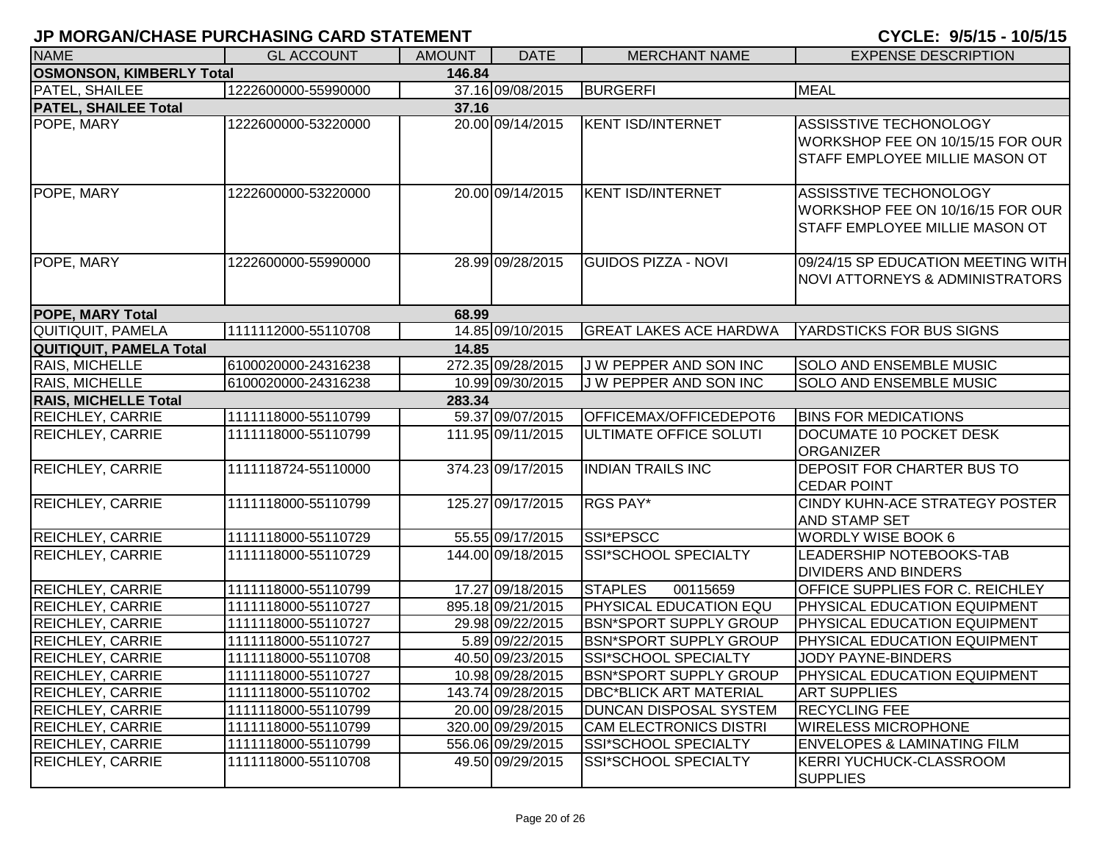| <b>NAME</b>                               | <b>GL ACCOUNT</b>   | <b>AMOUNT</b> | <b>DATE</b>       | <b>MERCHANT NAME</b>          | <b>EXPENSE DESCRIPTION</b>                                                                   |  |  |  |  |
|-------------------------------------------|---------------------|---------------|-------------------|-------------------------------|----------------------------------------------------------------------------------------------|--|--|--|--|
| <b>OSMONSON, KIMBERLY Total</b><br>146.84 |                     |               |                   |                               |                                                                                              |  |  |  |  |
| PATEL, SHAILEE                            | 1222600000-55990000 |               | 37.16 09/08/2015  | <b>BURGERFI</b>               | <b>MEAL</b>                                                                                  |  |  |  |  |
| <b>PATEL, SHAILEE Total</b>               |                     | 37.16         |                   |                               |                                                                                              |  |  |  |  |
| POPE, MARY                                | 1222600000-53220000 |               | 20.00 09/14/2015  | <b>KENT ISD/INTERNET</b>      | ASSISSTIVE TECHONOLOGY<br>WORKSHOP FEE ON 10/15/15 FOR OUR<br>STAFF EMPLOYEE MILLIE MASON OT |  |  |  |  |
| POPE, MARY                                | 1222600000-53220000 |               | 20.00 09/14/2015  | <b>KENT ISD/INTERNET</b>      | ASSISSTIVE TECHONOLOGY<br>WORKSHOP FEE ON 10/16/15 FOR OUR<br>STAFF EMPLOYEE MILLIE MASON OT |  |  |  |  |
| POPE, MARY                                | 1222600000-55990000 |               | 28.99 09/28/2015  | <b>GUIDOS PIZZA - NOVI</b>    | 09/24/15 SP EDUCATION MEETING WITH<br><b>NOVI ATTORNEYS &amp; ADMINISTRATORS</b>             |  |  |  |  |
| <b>POPE, MARY Total</b>                   |                     | 68.99         |                   |                               |                                                                                              |  |  |  |  |
| QUITIQUIT, PAMELA                         | 1111112000-55110708 |               | 14.85 09/10/2015  | <b>GREAT LAKES ACE HARDWA</b> | YARDSTICKS FOR BUS SIGNS                                                                     |  |  |  |  |
| <b>QUITIQUIT, PAMELA Total</b>            |                     | 14.85         |                   |                               |                                                                                              |  |  |  |  |
| <b>RAIS, MICHELLE</b>                     | 6100020000-24316238 |               | 272.35 09/28/2015 | J W PEPPER AND SON INC        | <b>SOLO AND ENSEMBLE MUSIC</b>                                                               |  |  |  |  |
| RAIS, MICHELLE                            | 6100020000-24316238 |               | 10.99 09/30/2015  | J W PEPPER AND SON INC        | <b>SOLO AND ENSEMBLE MUSIC</b>                                                               |  |  |  |  |
| <b>RAIS, MICHELLE Total</b>               |                     | 283.34        |                   |                               |                                                                                              |  |  |  |  |
| <b>REICHLEY, CARRIE</b>                   | 1111118000-55110799 |               | 59.37 09/07/2015  | OFFICEMAX/OFFICEDEPOT6        | <b>BINS FOR MEDICATIONS</b>                                                                  |  |  |  |  |
| <b>REICHLEY, CARRIE</b>                   | 1111118000-55110799 |               | 111.95 09/11/2015 | <b>ULTIMATE OFFICE SOLUTI</b> | DOCUMATE 10 POCKET DESK<br><b>ORGANIZER</b>                                                  |  |  |  |  |
| <b>REICHLEY, CARRIE</b>                   | 1111118724-55110000 |               | 374.23 09/17/2015 | <b>INDIAN TRAILS INC</b>      | DEPOSIT FOR CHARTER BUS TO<br><b>CEDAR POINT</b>                                             |  |  |  |  |
| <b>REICHLEY, CARRIE</b>                   | 1111118000-55110799 |               | 125.27 09/17/2015 | RGS PAY*                      | CINDY KUHN-ACE STRATEGY POSTER<br>AND STAMP SET                                              |  |  |  |  |
| <b>REICHLEY, CARRIE</b>                   | 1111118000-55110729 |               | 55.55 09/17/2015  | SSI*EPSCC                     | <b>WORDLY WISE BOOK 6</b>                                                                    |  |  |  |  |
| <b>REICHLEY, CARRIE</b>                   | 1111118000-55110729 |               | 144.00 09/18/2015 | SSI*SCHOOL SPECIALTY          | LEADERSHIP NOTEBOOKS-TAB<br><b>DIVIDERS AND BINDERS</b>                                      |  |  |  |  |
| <b>REICHLEY, CARRIE</b>                   | 1111118000-55110799 |               | 17.27 09/18/2015  | <b>STAPLES</b><br>00115659    | OFFICE SUPPLIES FOR C. REICHLEY                                                              |  |  |  |  |
| <b>REICHLEY, CARRIE</b>                   | 1111118000-55110727 |               | 895.18 09/21/2015 | <b>PHYSICAL EDUCATION EQU</b> | PHYSICAL EDUCATION EQUIPMENT                                                                 |  |  |  |  |
| <b>REICHLEY, CARRIE</b>                   | 1111118000-55110727 |               | 29.98 09/22/2015  | <b>BSN*SPORT SUPPLY GROUP</b> | <b>PHYSICAL EDUCATION EQUIPMENT</b>                                                          |  |  |  |  |
| <b>REICHLEY, CARRIE</b>                   | 1111118000-55110727 |               | 5.89 09/22/2015   | <b>BSN*SPORT SUPPLY GROUP</b> | PHYSICAL EDUCATION EQUIPMENT                                                                 |  |  |  |  |
| <b>REICHLEY, CARRIE</b>                   | 1111118000-55110708 |               | 40.50 09/23/2015  | <b>SSI*SCHOOL SPECIALTY</b>   | <b>JODY PAYNE-BINDERS</b>                                                                    |  |  |  |  |
| <b>REICHLEY, CARRIE</b>                   | 1111118000-55110727 |               | 10.98 09/28/2015  | <b>BSN*SPORT SUPPLY GROUP</b> | <b>PHYSICAL EDUCATION EQUIPMENT</b>                                                          |  |  |  |  |
| <b>REICHLEY, CARRIE</b>                   | 1111118000-55110702 |               | 143.74 09/28/2015 | <b>DBC*BLICK ART MATERIAL</b> | <b>ART SUPPLIES</b>                                                                          |  |  |  |  |
| <b>REICHLEY, CARRIE</b>                   | 1111118000-55110799 |               | 20.00 09/28/2015  | <b>DUNCAN DISPOSAL SYSTEM</b> | <b>RECYCLING FEE</b>                                                                         |  |  |  |  |
| <b>REICHLEY, CARRIE</b>                   | 1111118000-55110799 |               | 320.00 09/29/2015 | <b>CAM ELECTRONICS DISTRI</b> | <b>WIRELESS MICROPHONE</b>                                                                   |  |  |  |  |
| <b>REICHLEY, CARRIE</b>                   | 1111118000-55110799 |               | 556.06 09/29/2015 | SSI*SCHOOL SPECIALTY          | <b>ENVELOPES &amp; LAMINATING FILM</b>                                                       |  |  |  |  |
| <b>REICHLEY, CARRIE</b>                   | 1111118000-55110708 |               | 49.50 09/29/2015  | SSI*SCHOOL SPECIALTY          | KERRI YUCHUCK-CLASSROOM<br><b>SUPPLIES</b>                                                   |  |  |  |  |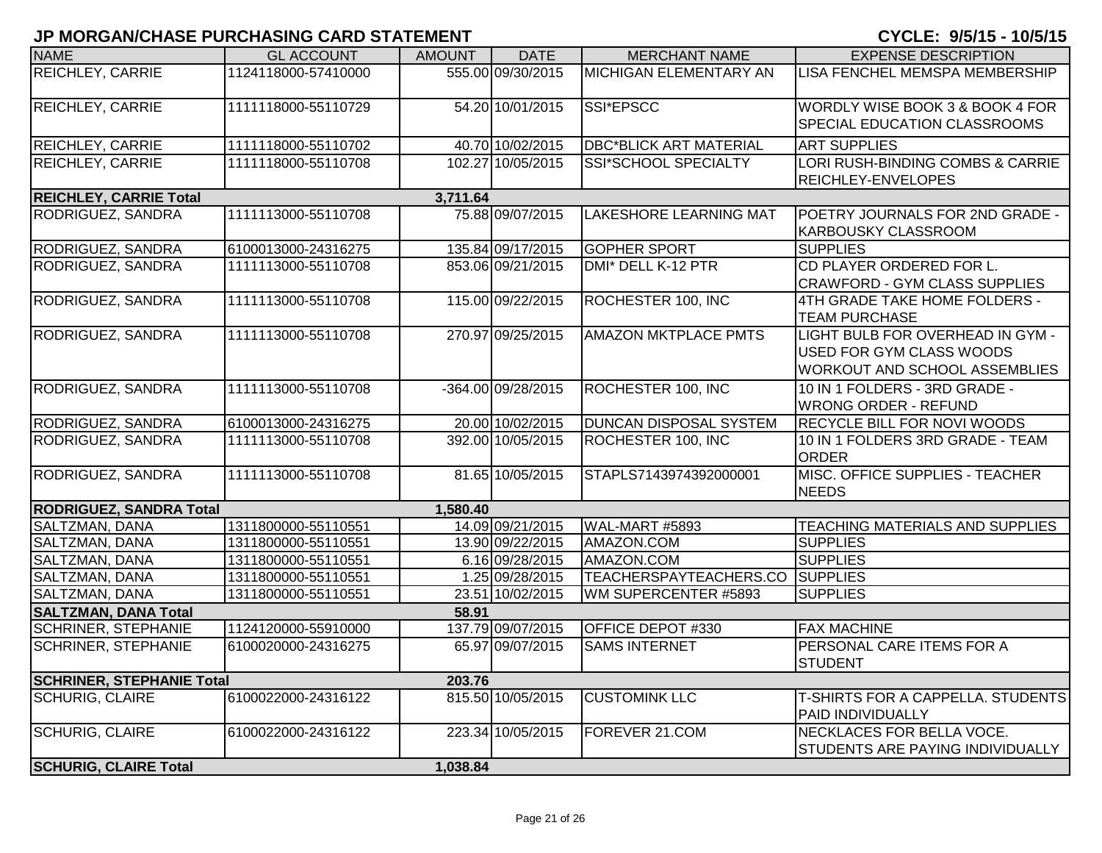| <b>NAME</b>                      | <b>GL ACCOUNT</b>   | <b>AMOUNT</b> | <b>DATE</b>        | <b>MERCHANT NAME</b>            | <b>EXPENSE DESCRIPTION</b>                                                                           |
|----------------------------------|---------------------|---------------|--------------------|---------------------------------|------------------------------------------------------------------------------------------------------|
| REICHLEY, CARRIE                 | 1124118000-57410000 |               | 555.00 09/30/2015  | MICHIGAN ELEMENTARY AN          | LISA FENCHEL MEMSPA MEMBERSHIP                                                                       |
| <b>REICHLEY, CARRIE</b>          | 1111118000-55110729 |               | 54.20 10/01/2015   | SSI*EPSCC                       | WORDLY WISE BOOK 3 & BOOK 4 FOR<br><b>SPECIAL EDUCATION CLASSROOMS</b>                               |
| <b>REICHLEY, CARRIE</b>          | 1111118000-55110702 |               | 40.70 10/02/2015   | <b>DBC*BLICK ART MATERIAL</b>   | <b>ART SUPPLIES</b>                                                                                  |
| REICHLEY, CARRIE                 | 1111118000-55110708 |               | 102.27 10/05/2015  | SSI*SCHOOL SPECIALTY            | LORI RUSH-BINDING COMBS & CARRIE<br><b>REICHLEY-ENVELOPES</b>                                        |
| <b>REICHLEY, CARRIE Total</b>    |                     | 3,711.64      |                    |                                 |                                                                                                      |
| RODRIGUEZ, SANDRA                | 1111113000-55110708 |               | 75.88 09/07/2015   | <b>LAKESHORE LEARNING MAT</b>   | POETRY JOURNALS FOR 2ND GRADE -<br><b>KARBOUSKY CLASSROOM</b>                                        |
| RODRIGUEZ, SANDRA                | 6100013000-24316275 |               | 135.84 09/17/2015  | <b>GOPHER SPORT</b>             | <b>SUPPLIES</b>                                                                                      |
| RODRIGUEZ, SANDRA                | 1111113000-55110708 |               | 853.06 09/21/2015  | DMI* DELL K-12 PTR              | CD PLAYER ORDERED FOR L.<br><b>CRAWFORD - GYM CLASS SUPPLIES</b>                                     |
| RODRIGUEZ, SANDRA                | 1111113000-55110708 |               | 115.00 09/22/2015  | ROCHESTER 100, INC              | 4TH GRADE TAKE HOME FOLDERS -<br><b>TEAM PURCHASE</b>                                                |
| RODRIGUEZ, SANDRA                | 1111113000-55110708 |               | 270.97 09/25/2015  | <b>AMAZON MKTPLACE PMTS</b>     | LIGHT BULB FOR OVERHEAD IN GYM -<br>USED FOR GYM CLASS WOODS<br><b>WORKOUT AND SCHOOL ASSEMBLIES</b> |
| RODRIGUEZ, SANDRA                | 1111113000-55110708 |               | -364.00 09/28/2015 | ROCHESTER 100, INC              | 10 IN 1 FOLDERS - 3RD GRADE -<br><b>WRONG ORDER - REFUND</b>                                         |
| RODRIGUEZ, SANDRA                | 6100013000-24316275 |               | 20.00 10/02/2015   | <b>DUNCAN DISPOSAL SYSTEM</b>   | <b>RECYCLE BILL FOR NOVI WOODS</b>                                                                   |
| RODRIGUEZ, SANDRA                | 1111113000-55110708 |               | 392.00 10/05/2015  | ROCHESTER 100, INC              | 10 IN 1 FOLDERS 3RD GRADE - TEAM<br><b>ORDER</b>                                                     |
| RODRIGUEZ, SANDRA                | 1111113000-55110708 |               | 81.65 10/05/2015   | STAPLS7143974392000001          | MISC. OFFICE SUPPLIES - TEACHER<br><b>NEEDS</b>                                                      |
| <b>RODRIGUEZ, SANDRA Total</b>   |                     | 1,580.40      |                    |                                 |                                                                                                      |
| SALTZMAN, DANA                   | 1311800000-55110551 |               | 14.09 09/21/2015   | WAL-MART #5893                  | TEACHING MATERIALS AND SUPPLIES                                                                      |
| SALTZMAN, DANA                   | 1311800000-55110551 |               | 13.90 09/22/2015   | AMAZON.COM                      | <b>SUPPLIES</b>                                                                                      |
| SALTZMAN, DANA                   | 1311800000-55110551 |               | 6.16 09/28/2015    | AMAZON.COM                      | <b>SUPPLIES</b>                                                                                      |
| SALTZMAN, DANA                   | 1311800000-55110551 |               | 1.25 09/28/2015    | TEACHERSPAYTEACHERS.CO SUPPLIES |                                                                                                      |
| SALTZMAN, DANA                   | 1311800000-55110551 |               | 23.51 10/02/2015   | WM SUPERCENTER #5893            | <b>SUPPLIES</b>                                                                                      |
| <b>SALTZMAN, DANA Total</b>      |                     | 58.91         |                    |                                 |                                                                                                      |
| <b>SCHRINER, STEPHANIE</b>       | 1124120000-55910000 |               | 137.79 09/07/2015  | OFFICE DEPOT #330               | <b>FAX MACHINE</b>                                                                                   |
| <b>SCHRINER, STEPHANIE</b>       | 6100020000-24316275 |               | 65.97 09/07/2015   | <b>SAMS INTERNET</b>            | PERSONAL CARE ITEMS FOR A<br><b>STUDENT</b>                                                          |
| <b>SCHRINER, STEPHANIE Total</b> |                     | 203.76        |                    |                                 |                                                                                                      |
| <b>SCHURIG, CLAIRE</b>           | 6100022000-24316122 |               | 815.50 10/05/2015  | <b>CUSTOMINK LLC</b>            | T-SHIRTS FOR A CAPPELLA. STUDENTS<br><b>PAID INDIVIDUALLY</b>                                        |
| <b>SCHURIG, CLAIRE</b>           | 6100022000-24316122 |               | 223.34 10/05/2015  | FOREVER 21.COM                  | NECKLACES FOR BELLA VOCE.<br>STUDENTS ARE PAYING INDIVIDUALLY                                        |
| <b>SCHURIG, CLAIRE Total</b>     |                     | 1,038.84      |                    |                                 |                                                                                                      |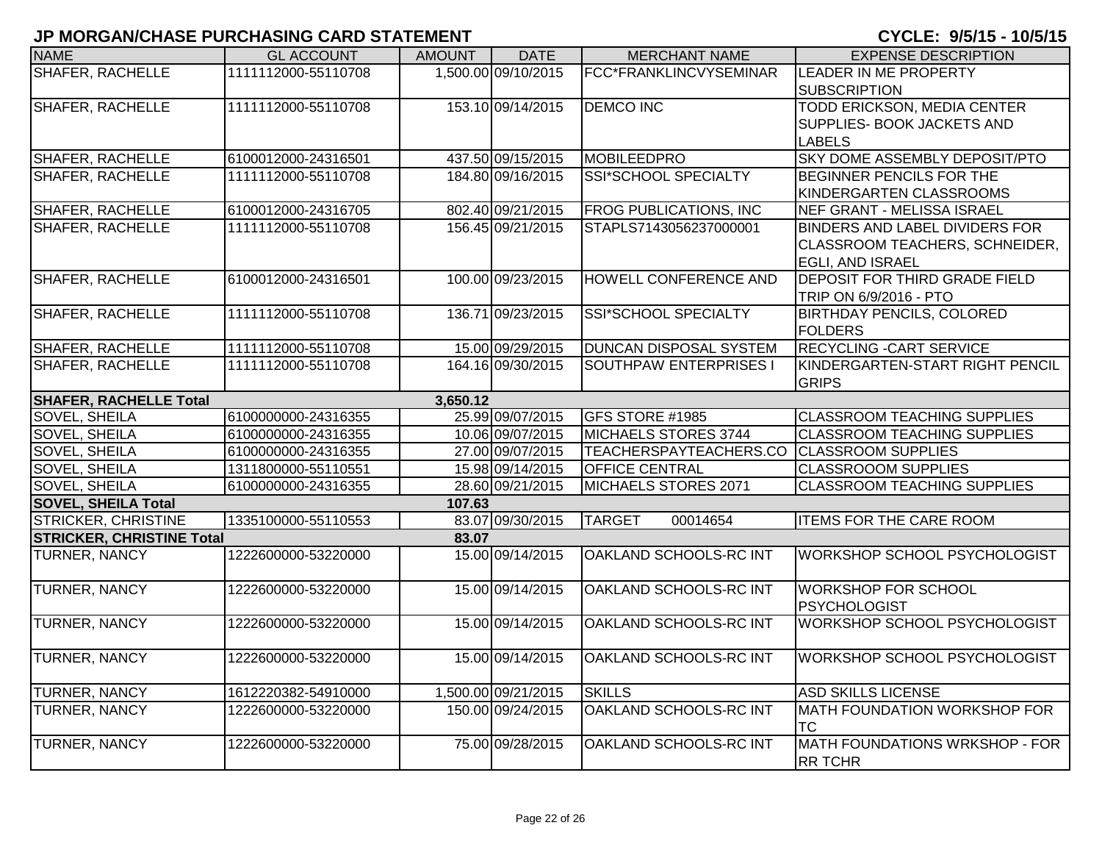| <b>NAME</b>                      | <b>GL ACCOUNT</b>   | <b>AMOUNT</b> | <b>DATE</b>         | <b>MERCHANT NAME</b>          | <b>EXPENSE DESCRIPTION</b>          |
|----------------------------------|---------------------|---------------|---------------------|-------------------------------|-------------------------------------|
| SHAFER, RACHELLE                 | 1111112000-55110708 |               | 1,500.00 09/10/2015 | FCC*FRANKLINCVYSEMINAR        | <b>LEADER IN ME PROPERTY</b>        |
|                                  |                     |               |                     |                               | <b>SUBSCRIPTION</b>                 |
| SHAFER, RACHELLE                 | 1111112000-55110708 |               | 153.10 09/14/2015   | <b>DEMCO INC</b>              | <b>TODD ERICKSON, MEDIA CENTER</b>  |
|                                  |                     |               |                     |                               | <b>SUPPLIES- BOOK JACKETS AND</b>   |
|                                  |                     |               |                     |                               | <b>LABELS</b>                       |
| SHAFER, RACHELLE                 | 6100012000-24316501 |               | 437.50 09/15/2015   | MOBILEEDPRO                   | SKY DOME ASSEMBLY DEPOSIT/PTO       |
| SHAFER, RACHELLE                 | 1111112000-55110708 |               | 184.80 09/16/2015   | SSI*SCHOOL SPECIALTY          | BEGINNER PENCILS FOR THE            |
|                                  |                     |               |                     |                               | KINDERGARTEN CLASSROOMS             |
| <b>SHAFER, RACHELLE</b>          | 6100012000-24316705 |               | 802.40 09/21/2015   | <b>FROG PUBLICATIONS, INC</b> | <b>NEF GRANT - MELISSA ISRAEL</b>   |
| SHAFER, RACHELLE                 | 1111112000-55110708 |               | 156.45 09/21/2015   | STAPLS7143056237000001        | BINDERS AND LABEL DIVIDERS FOR      |
|                                  |                     |               |                     |                               | CLASSROOM TEACHERS, SCHNEIDER,      |
|                                  |                     |               |                     |                               | <b>EGLI, AND ISRAEL</b>             |
| <b>SHAFER, RACHELLE</b>          | 6100012000-24316501 |               | 100.00 09/23/2015   | <b>HOWELL CONFERENCE AND</b>  | DEPOSIT FOR THIRD GRADE FIELD       |
|                                  |                     |               |                     |                               | TRIP ON 6/9/2016 - PTO              |
| SHAFER, RACHELLE                 | 1111112000-55110708 |               | 136.71 09/23/2015   | SSI*SCHOOL SPECIALTY          | <b>BIRTHDAY PENCILS, COLORED</b>    |
|                                  |                     |               |                     |                               | <b>FOLDERS</b>                      |
| <b>SHAFER, RACHELLE</b>          | 1111112000-55110708 |               | 15.00 09/29/2015    | <b>DUNCAN DISPOSAL SYSTEM</b> | <b>RECYCLING - CART SERVICE</b>     |
| SHAFER, RACHELLE                 | 1111112000-55110708 |               | 164.16 09/30/2015   | SOUTHPAW ENTERPRISES I        | KINDERGARTEN-START RIGHT PENCIL     |
|                                  |                     |               |                     |                               | <b>GRIPS</b>                        |
| <b>SHAFER, RACHELLE Total</b>    |                     | 3,650.12      |                     |                               |                                     |
| <b>SOVEL, SHEILA</b>             | 6100000000-24316355 |               | 25.99 09/07/2015    | GFS STORE #1985               | <b>CLASSROOM TEACHING SUPPLIES</b>  |
| SOVEL, SHEILA                    | 6100000000-24316355 |               | 10.06 09/07/2015    | MICHAELS STORES 3744          | <b>CLASSROOM TEACHING SUPPLIES</b>  |
| SOVEL, SHEILA                    | 6100000000-24316355 |               | 27.00 09/07/2015    | TEACHERSPAYTEACHERS.CO        | <b>CLASSROOM SUPPLIES</b>           |
| SOVEL, SHEILA                    | 1311800000-55110551 |               | 15.98 09/14/2015    | <b>OFFICE CENTRAL</b>         | <b>CLASSROOOM SUPPLIES</b>          |
| SOVEL, SHEILA                    | 6100000000-24316355 |               | 28.60 09/21/2015    | MICHAELS STORES 2071          | <b>CLASSROOM TEACHING SUPPLIES</b>  |
| <b>SOVEL, SHEILA Total</b>       |                     | 107.63        |                     |                               |                                     |
| STRICKER, CHRISTINE              | 1335100000-55110553 |               | 83.07 09/30/2015    | <b>TARGET</b><br>00014654     | <b>ITEMS FOR THE CARE ROOM</b>      |
| <b>STRICKER, CHRISTINE Total</b> |                     | 83.07         |                     |                               |                                     |
| TURNER, NANCY                    | 1222600000-53220000 |               | 15.00 09/14/2015    | <b>OAKLAND SCHOOLS-RC INT</b> | WORKSHOP SCHOOL PSYCHOLOGIST        |
| TURNER, NANCY                    | 1222600000-53220000 |               | 15.00 09/14/2015    | OAKLAND SCHOOLS-RC INT        | <b>WORKSHOP FOR SCHOOL</b>          |
|                                  |                     |               |                     |                               | <b>PSYCHOLOGIST</b>                 |
| TURNER, NANCY                    | 1222600000-53220000 |               | 15.00 09/14/2015    | OAKLAND SCHOOLS-RC INT        | <b>WORKSHOP SCHOOL PSYCHOLOGIST</b> |
|                                  |                     |               |                     |                               |                                     |
| <b>TURNER, NANCY</b>             | 1222600000-53220000 |               | 15.00 09/14/2015    | <b>OAKLAND SCHOOLS-RC INT</b> | <b>WORKSHOP SCHOOL PSYCHOLOGIST</b> |
|                                  |                     |               |                     |                               |                                     |
| TURNER, NANCY                    | 1612220382-54910000 |               | 1,500.00 09/21/2015 | <b>SKILLS</b>                 | <b>ASD SKILLS LICENSE</b>           |
| TURNER, NANCY                    | 1222600000-53220000 |               | 150.00 09/24/2015   | OAKLAND SCHOOLS-RC INT        | MATH FOUNDATION WORKSHOP FOR        |
|                                  |                     |               |                     |                               | <b>TC</b>                           |
| TURNER, NANCY                    | 1222600000-53220000 |               | 75.00 09/28/2015    | OAKLAND SCHOOLS-RC INT        | MATH FOUNDATIONS WRKSHOP - FOR      |
|                                  |                     |               |                     |                               | <b>RR TCHR</b>                      |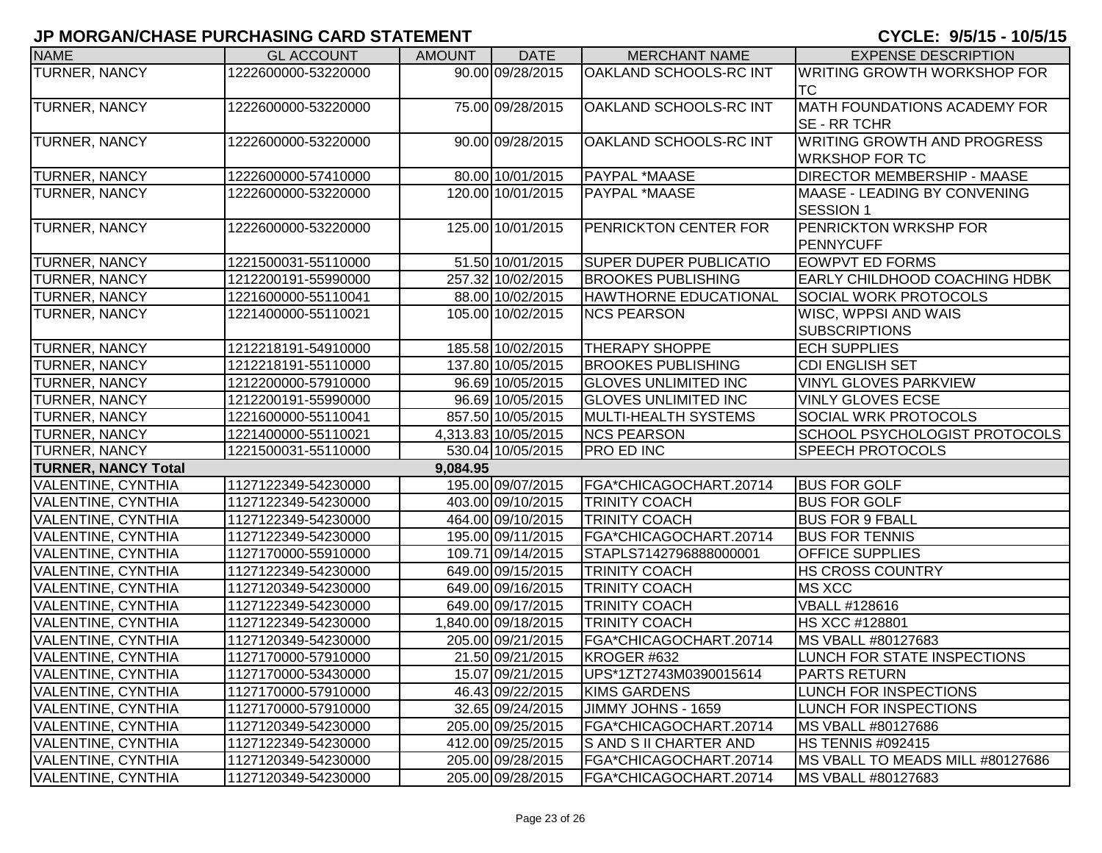| <b>NAME</b>                | <b>GL ACCOUNT</b>   | <b>AMOUNT</b> | <b>DATE</b>         | <b>MERCHANT NAME</b>          | <b>EXPENSE DESCRIPTION</b>           |
|----------------------------|---------------------|---------------|---------------------|-------------------------------|--------------------------------------|
| <b>TURNER, NANCY</b>       | 1222600000-53220000 |               | 90.00 09/28/2015    | OAKLAND SCHOOLS-RC INT        | <b>WRITING GROWTH WORKSHOP FOR</b>   |
|                            |                     |               |                     |                               | <b>TC</b>                            |
| <b>TURNER, NANCY</b>       | 1222600000-53220000 |               | 75.00 09/28/2015    | OAKLAND SCHOOLS-RC INT        | <b>MATH FOUNDATIONS ACADEMY FOR</b>  |
|                            |                     |               |                     |                               | <b>SE - RR TCHR</b>                  |
| <b>TURNER, NANCY</b>       | 1222600000-53220000 |               | 90.00 09/28/2015    | OAKLAND SCHOOLS-RC INT        | <b>WRITING GROWTH AND PROGRESS</b>   |
|                            |                     |               |                     |                               | <b>WRKSHOP FOR TC</b>                |
| <b>TURNER, NANCY</b>       | 1222600000-57410000 |               | 80.00 10/01/2015    | PAYPAL *MAASE                 | <b>DIRECTOR MEMBERSHIP - MAASE</b>   |
| <b>TURNER, NANCY</b>       | 1222600000-53220000 |               | 120.00 10/01/2015   | PAYPAL *MAASE                 | MAASE - LEADING BY CONVENING         |
|                            |                     |               |                     |                               | <b>SESSION 1</b>                     |
| <b>TURNER, NANCY</b>       | 1222600000-53220000 |               | 125.00 10/01/2015   | PENRICKTON CENTER FOR         | PENRICKTON WRKSHP FOR                |
|                            |                     |               |                     |                               | PENNYCUFF                            |
| <b>TURNER, NANCY</b>       | 1221500031-55110000 |               | 51.50 10/01/2015    | <b>SUPER DUPER PUBLICATIO</b> | <b>EOWPVT ED FORMS</b>               |
| <b>TURNER, NANCY</b>       | 1212200191-55990000 |               | 257.32 10/02/2015   | <b>BROOKES PUBLISHING</b>     | <b>EARLY CHILDHOOD COACHING HDBK</b> |
| <b>TURNER, NANCY</b>       | 1221600000-55110041 |               | 88.00 10/02/2015    | <b>HAWTHORNE EDUCATIONAL</b>  | <b>SOCIAL WORK PROTOCOLS</b>         |
| <b>TURNER, NANCY</b>       | 1221400000-55110021 |               | 105.00 10/02/2015   | <b>NCS PEARSON</b>            | WISC, WPPSI AND WAIS                 |
|                            |                     |               |                     |                               | <b>SUBSCRIPTIONS</b>                 |
| <b>TURNER, NANCY</b>       | 1212218191-54910000 |               | 185.58 10/02/2015   | <b>THERAPY SHOPPE</b>         | <b>ECH SUPPLIES</b>                  |
| <b>TURNER, NANCY</b>       | 1212218191-55110000 |               | 137.80 10/05/2015   | <b>BROOKES PUBLISHING</b>     | <b>CDI ENGLISH SET</b>               |
| <b>TURNER, NANCY</b>       | 1212200000-57910000 |               | 96.69 10/05/2015    | <b>GLOVES UNLIMITED INC</b>   | <b>VINYL GLOVES PARKVIEW</b>         |
| <b>TURNER, NANCY</b>       | 1212200191-55990000 |               | 96.69 10/05/2015    | <b>GLOVES UNLIMITED INC</b>   | <b>VINLY GLOVES ECSE</b>             |
| <b>TURNER, NANCY</b>       | 1221600000-55110041 |               | 857.50 10/05/2015   | MULTI-HEALTH SYSTEMS          | <b>SOCIAL WRK PROTOCOLS</b>          |
| <b>TURNER, NANCY</b>       | 1221400000-55110021 |               | 4,313.83 10/05/2015 | <b>NCS PEARSON</b>            | SCHOOL PSYCHOLOGIST PROTOCOLS        |
| <b>TURNER, NANCY</b>       | 1221500031-55110000 |               | 530.04 10/05/2015   | <b>PRO ED INC</b>             | <b>SPEECH PROTOCOLS</b>              |
| <b>TURNER, NANCY Total</b> |                     | 9,084.95      |                     |                               |                                      |
| <b>VALENTINE, CYNTHIA</b>  | 1127122349-54230000 |               | 195.00 09/07/2015   | FGA*CHICAGOCHART.20714        | <b>BUS FOR GOLF</b>                  |
| <b>VALENTINE, CYNTHIA</b>  | 1127122349-54230000 |               | 403.00 09/10/2015   | <b>TRINITY COACH</b>          | <b>BUS FOR GOLF</b>                  |
| <b>VALENTINE, CYNTHIA</b>  | 1127122349-54230000 |               | 464.00 09/10/2015   | <b>TRINITY COACH</b>          | <b>BUS FOR 9 FBALL</b>               |
| <b>VALENTINE, CYNTHIA</b>  | 1127122349-54230000 |               | 195.00 09/11/2015   | FGA*CHICAGOCHART.20714        | <b>BUS FOR TENNIS</b>                |
| <b>VALENTINE, CYNTHIA</b>  | 1127170000-55910000 |               | 109.71 09/14/2015   | STAPLS7142796888000001        | <b>OFFICE SUPPLIES</b>               |
| <b>VALENTINE, CYNTHIA</b>  | 1127122349-54230000 |               | 649.00 09/15/2015   | <b>TRINITY COACH</b>          | HS CROSS COUNTRY                     |
| <b>VALENTINE, CYNTHIA</b>  | 1127120349-54230000 |               | 649.00 09/16/2015   | <b>TRINITY COACH</b>          | <b>MS XCC</b>                        |
| <b>VALENTINE, CYNTHIA</b>  | 1127122349-54230000 |               | 649.00 09/17/2015   | <b>TRINITY COACH</b>          | VBALL #128616                        |
| <b>VALENTINE, CYNTHIA</b>  | 1127122349-54230000 |               | 1,840.00 09/18/2015 | <b>TRINITY COACH</b>          | HS XCC #128801                       |
| <b>VALENTINE, CYNTHIA</b>  | 1127120349-54230000 |               | 205.00 09/21/2015   | FGA*CHICAGOCHART.20714        | MS VBALL #80127683                   |
| <b>VALENTINE, CYNTHIA</b>  | 1127170000-57910000 |               | 21.50 09/21/2015    | KROGER #632                   | LUNCH FOR STATE INSPECTIONS          |
| <b>VALENTINE, CYNTHIA</b>  | 1127170000-53430000 |               | 15.07 09/21/2015    | UPS*1ZT2743M0390015614        | <b>PARTS RETURN</b>                  |
| <b>VALENTINE, CYNTHIA</b>  | 1127170000-57910000 |               | 46.43 09/22/2015    | <b>KIMS GARDENS</b>           | LUNCH FOR INSPECTIONS                |
| <b>VALENTINE, CYNTHIA</b>  | 1127170000-57910000 |               | 32.65 09/24/2015    | JIMMY JOHNS - 1659            | LUNCH FOR INSPECTIONS                |
| <b>VALENTINE, CYNTHIA</b>  | 1127120349-54230000 |               | 205.00 09/25/2015   | FGA*CHICAGOCHART.20714        | MS VBALL #80127686                   |
| <b>VALENTINE, CYNTHIA</b>  | 1127122349-54230000 |               | 412.00 09/25/2015   | S AND S II CHARTER AND        | HS TENNIS #092415                    |
| <b>VALENTINE, CYNTHIA</b>  | 1127120349-54230000 |               | 205.00 09/28/2015   | FGA*CHICAGOCHART.20714        | MS VBALL TO MEADS MILL #80127686     |
| <b>VALENTINE, CYNTHIA</b>  | 1127120349-54230000 |               | 205.00 09/28/2015   | FGA*CHICAGOCHART.20714        | MS VBALL #80127683                   |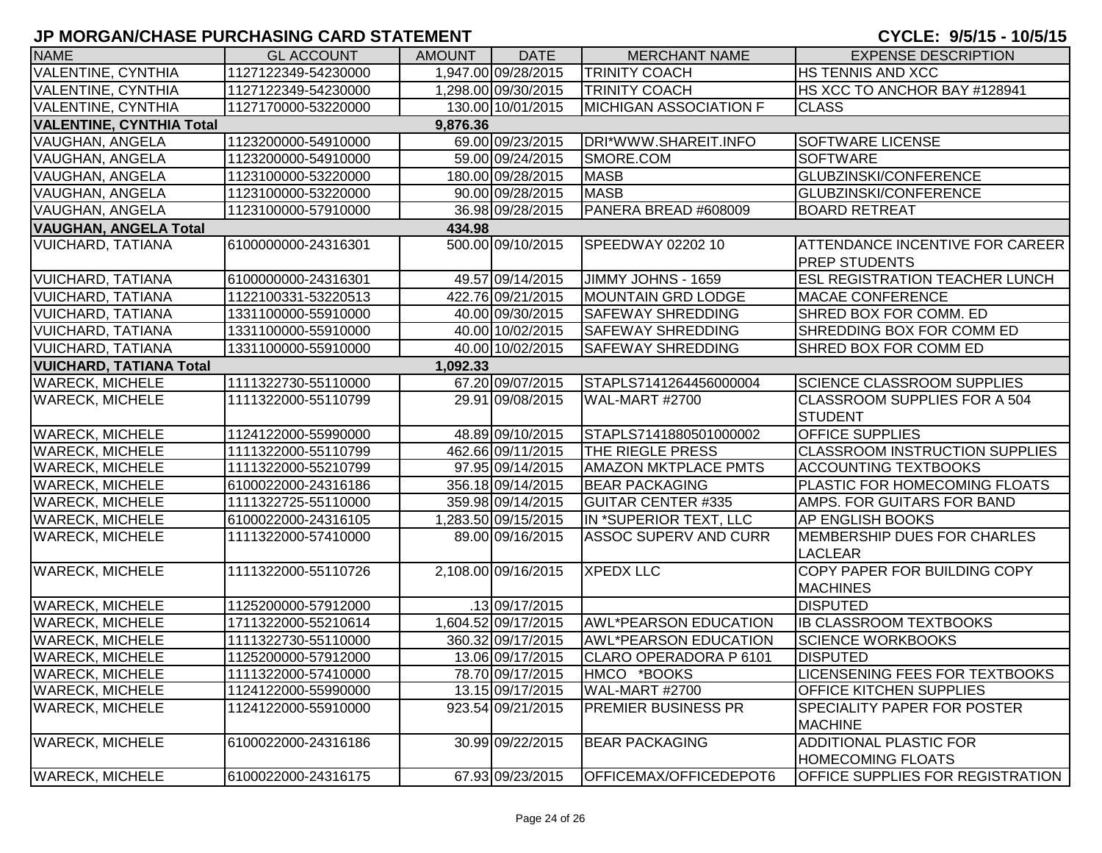| <b>NAME</b>                                 | <b>GL ACCOUNT</b>   | <b>AMOUNT</b> | <b>DATE</b>         | <b>MERCHANT NAME</b>          | <b>EXPENSE DESCRIPTION</b>                                     |  |  |  |
|---------------------------------------------|---------------------|---------------|---------------------|-------------------------------|----------------------------------------------------------------|--|--|--|
| <b>VALENTINE, CYNTHIA</b>                   | 1127122349-54230000 |               | 1,947.00 09/28/2015 | <b>TRINITY COACH</b>          | <b>HS TENNIS AND XCC</b>                                       |  |  |  |
| <b>VALENTINE, CYNTHIA</b>                   | 1127122349-54230000 |               | 1,298.00 09/30/2015 | <b>TRINITY COACH</b>          | HS XCC TO ANCHOR BAY #128941                                   |  |  |  |
| <b>VALENTINE, CYNTHIA</b>                   | 1127170000-53220000 |               | 130.00 10/01/2015   | <b>MICHIGAN ASSOCIATION F</b> | <b>CLASS</b>                                                   |  |  |  |
| <b>VALENTINE, CYNTHIA Total</b><br>9,876.36 |                     |               |                     |                               |                                                                |  |  |  |
| <b>VAUGHAN, ANGELA</b>                      | 1123200000-54910000 |               | 69.00 09/23/2015    | DRI*WWW.SHAREIT.INFO          | <b>SOFTWARE LICENSE</b>                                        |  |  |  |
| VAUGHAN, ANGELA                             | 1123200000-54910000 |               | 59.00 09/24/2015    | SMORE.COM                     | <b>SOFTWARE</b>                                                |  |  |  |
| VAUGHAN, ANGELA                             | 1123100000-53220000 |               | 180.00 09/28/2015   | <b>MASB</b>                   | GLUBZINSKI/CONFERENCE                                          |  |  |  |
| <b>VAUGHAN, ANGELA</b>                      | 1123100000-53220000 |               | 90.00 09/28/2015    | <b>MASB</b>                   | GLUBZINSKI/CONFERENCE                                          |  |  |  |
| <b>VAUGHAN, ANGELA</b>                      | 1123100000-57910000 |               | 36.98 09/28/2015    | PANERA BREAD #608009          | <b>BOARD RETREAT</b>                                           |  |  |  |
| <b>VAUGHAN, ANGELA Total</b>                |                     | 434.98        |                     |                               |                                                                |  |  |  |
| <b>VUICHARD, TATIANA</b>                    | 6100000000-24316301 |               | 500.00 09/10/2015   | <b>SPEEDWAY 02202 10</b>      | <b>ATTENDANCE INCENTIVE FOR CAREER</b><br><b>PREP STUDENTS</b> |  |  |  |
| <b>VUICHARD, TATIANA</b>                    | 6100000000-24316301 |               | 49.57 09/14/2015    | JIMMY JOHNS - 1659            | <b>ESL REGISTRATION TEACHER LUNCH</b>                          |  |  |  |
| <b>VUICHARD, TATIANA</b>                    | 1122100331-53220513 |               | 422.76 09/21/2015   | <b>MOUNTAIN GRD LODGE</b>     | <b>MACAE CONFERENCE</b>                                        |  |  |  |
| <b>VUICHARD, TATIANA</b>                    | 1331100000-55910000 |               | 40.00 09/30/2015    | <b>SAFEWAY SHREDDING</b>      | SHRED BOX FOR COMM. ED                                         |  |  |  |
| <b>VUICHARD, TATIANA</b>                    | 1331100000-55910000 |               | 40.00 10/02/2015    | <b>SAFEWAY SHREDDING</b>      | SHREDDING BOX FOR COMM ED                                      |  |  |  |
| <b>VUICHARD, TATIANA</b>                    | 1331100000-55910000 |               | 40.00 10/02/2015    | <b>SAFEWAY SHREDDING</b>      | SHRED BOX FOR COMM ED                                          |  |  |  |
| <b>VUICHARD, TATIANA Total</b><br>1,092.33  |                     |               |                     |                               |                                                                |  |  |  |
| <b>WARECK, MICHELE</b>                      | 1111322730-55110000 |               | 67.20 09/07/2015    | STAPLS7141264456000004        | SCIENCE CLASSROOM SUPPLIES                                     |  |  |  |
| <b>WARECK, MICHELE</b>                      | 1111322000-55110799 |               | 29.91 09/08/2015    | WAL-MART #2700                | <b>CLASSROOM SUPPLIES FOR A 504</b><br><b>STUDENT</b>          |  |  |  |
| <b>WARECK, MICHELE</b>                      | 1124122000-55990000 |               | 48.89 09/10/2015    | STAPLS7141880501000002        | <b>OFFICE SUPPLIES</b>                                         |  |  |  |
| <b>WARECK, MICHELE</b>                      | 1111322000-55110799 |               | 462.66 09/11/2015   | <b>THE RIEGLE PRESS</b>       | <b>CLASSROOM INSTRUCTION SUPPLIES</b>                          |  |  |  |
| <b>WARECK, MICHELE</b>                      | 1111322000-55210799 |               | 97.95 09/14/2015    | <b>AMAZON MKTPLACE PMTS</b>   | <b>ACCOUNTING TEXTBOOKS</b>                                    |  |  |  |
| <b>WARECK, MICHELE</b>                      | 6100022000-24316186 |               | 356.18 09/14/2015   | <b>BEAR PACKAGING</b>         | PLASTIC FOR HOMECOMING FLOATS                                  |  |  |  |
| <b>WARECK, MICHELE</b>                      | 1111322725-55110000 |               | 359.98 09/14/2015   | <b>GUITAR CENTER #335</b>     | AMPS. FOR GUITARS FOR BAND                                     |  |  |  |
| <b>WARECK, MICHELE</b>                      | 6100022000-24316105 |               | 1,283.50 09/15/2015 | IN *SUPERIOR TEXT, LLC        | <b>AP ENGLISH BOOKS</b>                                        |  |  |  |
| <b>WARECK, MICHELE</b>                      | 1111322000-57410000 |               | 89.00 09/16/2015    | <b>ASSOC SUPERV AND CURR</b>  | MEMBERSHIP DUES FOR CHARLES<br><b>LACLEAR</b>                  |  |  |  |
| <b>WARECK, MICHELE</b>                      | 1111322000-55110726 |               | 2,108.00 09/16/2015 | <b>XPEDX LLC</b>              | COPY PAPER FOR BUILDING COPY<br><b>MACHINES</b>                |  |  |  |
| <b>WARECK, MICHELE</b>                      | 1125200000-57912000 |               | .13 09/17/2015      |                               | <b>DISPUTED</b>                                                |  |  |  |
| <b>WARECK, MICHELE</b>                      | 1711322000-55210614 |               | 1,604.52 09/17/2015 | <b>AWL*PEARSON EDUCATION</b>  | <b>IB CLASSROOM TEXTBOOKS</b>                                  |  |  |  |
| <b>WARECK, MICHELE</b>                      | 1111322730-55110000 |               | 360.32 09/17/2015   | <b>AWL*PEARSON EDUCATION</b>  | <b>SCIENCE WORKBOOKS</b>                                       |  |  |  |
| <b>WARECK, MICHELE</b>                      | 1125200000-57912000 |               | 13.06 09/17/2015    | CLARO OPERADORA P 6101        | <b>DISPUTED</b>                                                |  |  |  |
| <b>WARECK, MICHELE</b>                      | 1111322000-57410000 |               | 78.70 09/17/2015    | HMCO *BOOKS                   | <b>LICENSENING FEES FOR TEXTBOOKS</b>                          |  |  |  |
| <b>WARECK, MICHELE</b>                      | 1124122000-55990000 |               | 13.15 09/17/2015    | WAL-MART #2700                | <b>OFFICE KITCHEN SUPPLIES</b>                                 |  |  |  |
| <b>WARECK, MICHELE</b>                      | 1124122000-55910000 |               | 923.54 09/21/2015   | <b>PREMIER BUSINESS PR</b>    | <b>SPECIALITY PAPER FOR POSTER</b><br><b>MACHINE</b>           |  |  |  |
| <b>WARECK, MICHELE</b>                      | 6100022000-24316186 |               | 30.99 09/22/2015    | <b>BEAR PACKAGING</b>         | <b>ADDITIONAL PLASTIC FOR</b><br><b>HOMECOMING FLOATS</b>      |  |  |  |
| <b>WARECK, MICHELE</b>                      | 6100022000-24316175 |               | 67.93 09/23/2015    | OFFICEMAX/OFFICEDEPOT6        | <b>OFFICE SUPPLIES FOR REGISTRATION</b>                        |  |  |  |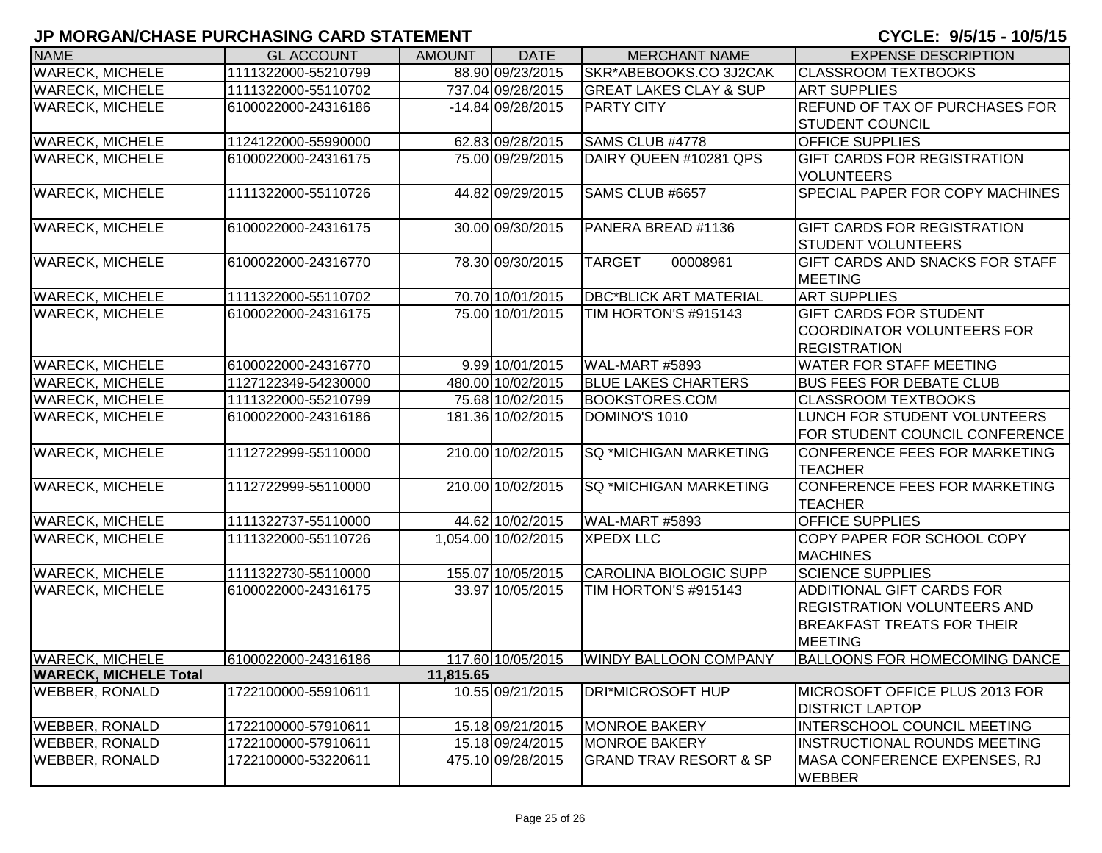| <b>NAME</b>                               | <b>GL ACCOUNT</b>   | <b>AMOUNT</b> | <b>DATE</b>         | <b>MERCHANT NAME</b>              | <b>EXPENSE DESCRIPTION</b>                    |  |  |
|-------------------------------------------|---------------------|---------------|---------------------|-----------------------------------|-----------------------------------------------|--|--|
| <b>WARECK, MICHELE</b>                    | 1111322000-55210799 |               | 88.90 09/23/2015    | SKR*ABEBOOKS.CO 3J2CAK            | <b>CLASSROOM TEXTBOOKS</b>                    |  |  |
| <b>WARECK, MICHELE</b>                    | 1111322000-55110702 |               | 737.04 09/28/2015   | <b>GREAT LAKES CLAY &amp; SUP</b> | <b>ART SUPPLIES</b>                           |  |  |
| <b>WARECK, MICHELE</b>                    | 6100022000-24316186 |               | $-14.84$ 09/28/2015 | <b>PARTY CITY</b>                 | REFUND OF TAX OF PURCHASES FOR                |  |  |
|                                           |                     |               |                     |                                   | <b>STUDENT COUNCIL</b>                        |  |  |
| <b>WARECK, MICHELE</b>                    | 1124122000-55990000 |               | 62.83 09/28/2015    | SAMS CLUB #4778                   | <b>OFFICE SUPPLIES</b>                        |  |  |
| <b>WARECK, MICHELE</b>                    | 6100022000-24316175 |               | 75.00 09/29/2015    | DAIRY QUEEN #10281 QPS            | <b>GIFT CARDS FOR REGISTRATION</b>            |  |  |
|                                           |                     |               |                     |                                   | <b>VOLUNTEERS</b>                             |  |  |
| <b>WARECK, MICHELE</b>                    | 1111322000-55110726 |               | 44.82 09/29/2015    | SAMS CLUB #6657                   | SPECIAL PAPER FOR COPY MACHINES               |  |  |
| <b>WARECK, MICHELE</b>                    | 6100022000-24316175 |               | 30.00 09/30/2015    | PANERA BREAD #1136                | <b>GIFT CARDS FOR REGISTRATION</b>            |  |  |
|                                           |                     |               |                     |                                   | <b>STUDENT VOLUNTEERS</b>                     |  |  |
| <b>WARECK, MICHELE</b>                    | 6100022000-24316770 |               | 78.30 09/30/2015    | <b>TARGET</b><br>00008961         | GIFT CARDS AND SNACKS FOR STAFF               |  |  |
|                                           |                     |               |                     |                                   | <b>MEETING</b>                                |  |  |
| <b>WARECK, MICHELE</b>                    | 1111322000-55110702 |               | 70.70 10/01/2015    | <b>DBC*BLICK ART MATERIAL</b>     | <b>ART SUPPLIES</b>                           |  |  |
| <b>WARECK, MICHELE</b>                    | 6100022000-24316175 |               | 75.00 10/01/2015    | TIM HORTON'S #915143              | <b>GIFT CARDS FOR STUDENT</b>                 |  |  |
|                                           |                     |               |                     |                                   | <b>COORDINATOR VOLUNTEERS FOR</b>             |  |  |
|                                           |                     |               |                     |                                   | <b>REGISTRATION</b>                           |  |  |
| <b>WARECK, MICHELE</b>                    | 6100022000-24316770 |               | 9.99 10/01/2015     | WAL-MART #5893                    | <b>WATER FOR STAFF MEETING</b>                |  |  |
| <b>WARECK, MICHELE</b>                    | 1127122349-54230000 |               | 480.00 10/02/2015   | <b>BLUE LAKES CHARTERS</b>        | <b>BUS FEES FOR DEBATE CLUB</b>               |  |  |
| <b>WARECK, MICHELE</b>                    | 1111322000-55210799 |               | 75.68 10/02/2015    | <b>BOOKSTORES.COM</b>             | <b>CLASSROOM TEXTBOOKS</b>                    |  |  |
| <b>WARECK, MICHELE</b>                    | 6100022000-24316186 |               | 181.36 10/02/2015   | DOMINO'S 1010                     | LUNCH FOR STUDENT VOLUNTEERS                  |  |  |
|                                           |                     |               |                     |                                   | FOR STUDENT COUNCIL CONFERENCE                |  |  |
| <b>WARECK, MICHELE</b>                    | 1112722999-55110000 |               | 210.00 10/02/2015   | <b>SQ *MICHIGAN MARKETING</b>     | CONFERENCE FEES FOR MARKETING                 |  |  |
|                                           |                     |               |                     |                                   | <b>TEACHER</b>                                |  |  |
| <b>WARECK, MICHELE</b>                    | 1112722999-55110000 |               | 210.00 10/02/2015   | <b>SQ *MICHIGAN MARKETING</b>     | CONFERENCE FEES FOR MARKETING                 |  |  |
|                                           |                     |               |                     |                                   | <b>TEACHER</b>                                |  |  |
| <b>WARECK, MICHELE</b>                    | 1111322737-55110000 |               | 44.62 10/02/2015    | WAL-MART #5893                    | <b>OFFICE SUPPLIES</b>                        |  |  |
| <b>WARECK, MICHELE</b>                    | 1111322000-55110726 |               | 1,054.00 10/02/2015 | <b>XPEDX LLC</b>                  | COPY PAPER FOR SCHOOL COPY                    |  |  |
|                                           |                     |               |                     |                                   | <b>MACHINES</b>                               |  |  |
| <b>WARECK, MICHELE</b>                    | 1111322730-55110000 |               | 155.07 10/05/2015   | CAROLINA BIOLOGIC SUPP            | <b>SCIENCE SUPPLIES</b>                       |  |  |
| <b>WARECK, MICHELE</b>                    | 6100022000-24316175 |               | 33.97 10/05/2015    | TIM HORTON'S #915143              | <b>ADDITIONAL GIFT CARDS FOR</b>              |  |  |
|                                           |                     |               |                     |                                   | <b>REGISTRATION VOLUNTEERS AND</b>            |  |  |
|                                           |                     |               |                     |                                   | <b>BREAKFAST TREATS FOR THEIR</b>             |  |  |
|                                           |                     |               |                     |                                   | <b>MEETING</b>                                |  |  |
| <b>WARECK, MICHELE</b>                    | 6100022000-24316186 |               | 117.60 10/05/2015   | <b>WINDY BALLOON COMPANY</b>      | <b>BALLOONS FOR HOMECOMING DANCE</b>          |  |  |
| 11,815.65<br><b>WARECK, MICHELE Total</b> |                     |               |                     |                                   |                                               |  |  |
| <b>WEBBER, RONALD</b>                     | 1722100000-55910611 |               | 10.55 09/21/2015    | <b>DRI*MICROSOFT HUP</b>          | MICROSOFT OFFICE PLUS 2013 FOR                |  |  |
|                                           |                     |               |                     |                                   | <b>DISTRICT LAPTOP</b>                        |  |  |
| <b>WEBBER, RONALD</b>                     | 1722100000-57910611 |               | 15.18 09/21/2015    | <b>MONROE BAKERY</b>              | INTERSCHOOL COUNCIL MEETING                   |  |  |
| <b>WEBBER, RONALD</b>                     | 1722100000-57910611 |               | 15.18 09/24/2015    | <b>MONROE BAKERY</b>              | INSTRUCTIONAL ROUNDS MEETING                  |  |  |
| <b>WEBBER, RONALD</b>                     | 1722100000-53220611 |               | 475.10 09/28/2015   | <b>GRAND TRAV RESORT &amp; SP</b> | MASA CONFERENCE EXPENSES, RJ<br><b>WEBBER</b> |  |  |